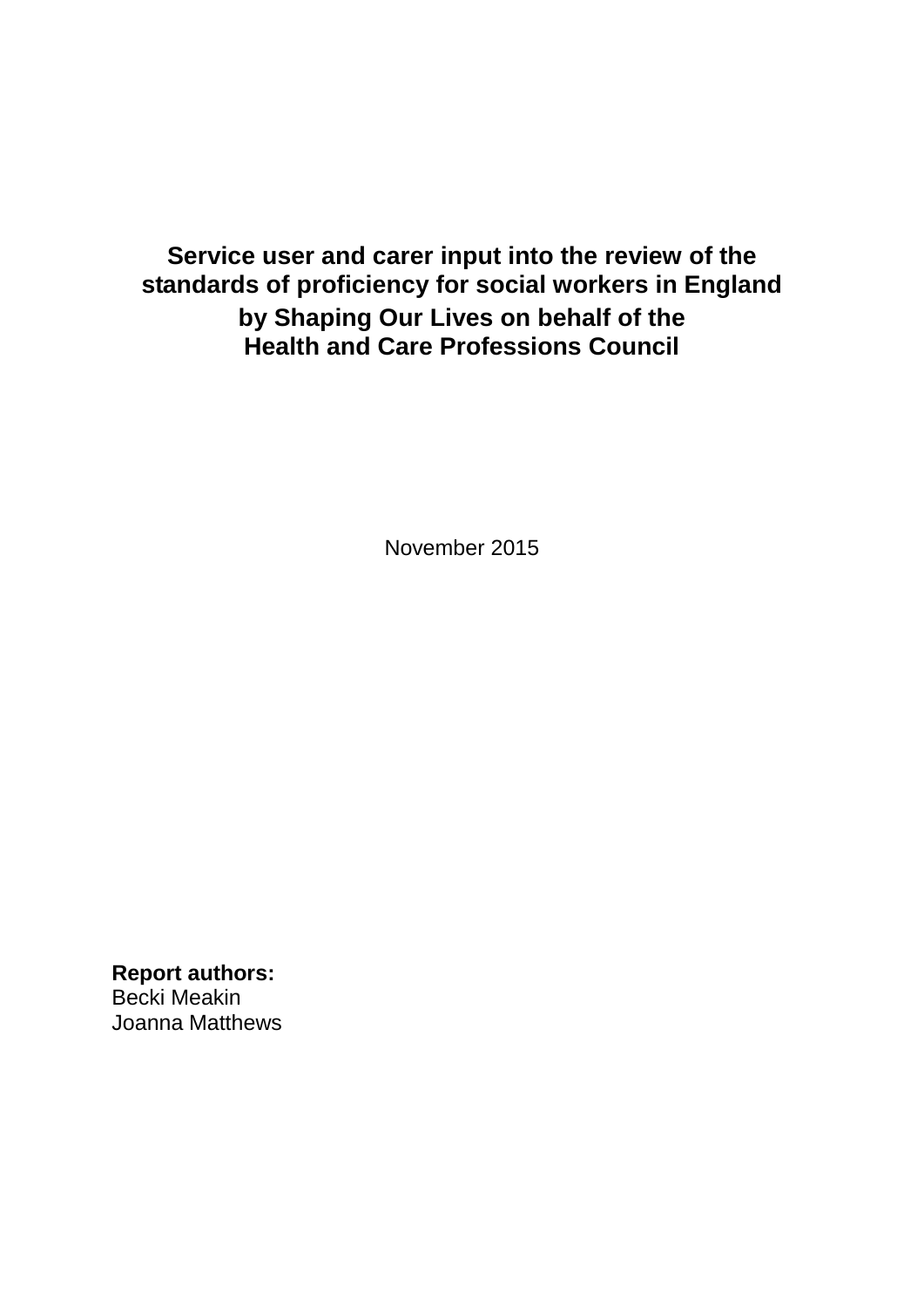# **Service user and carer input into the review of the standards of proficiency for social workers in England by Shaping Our Lives on behalf of the Health and Care Professions Council**

November 2015

**Report authors:** Becki Meakin Joanna Matthews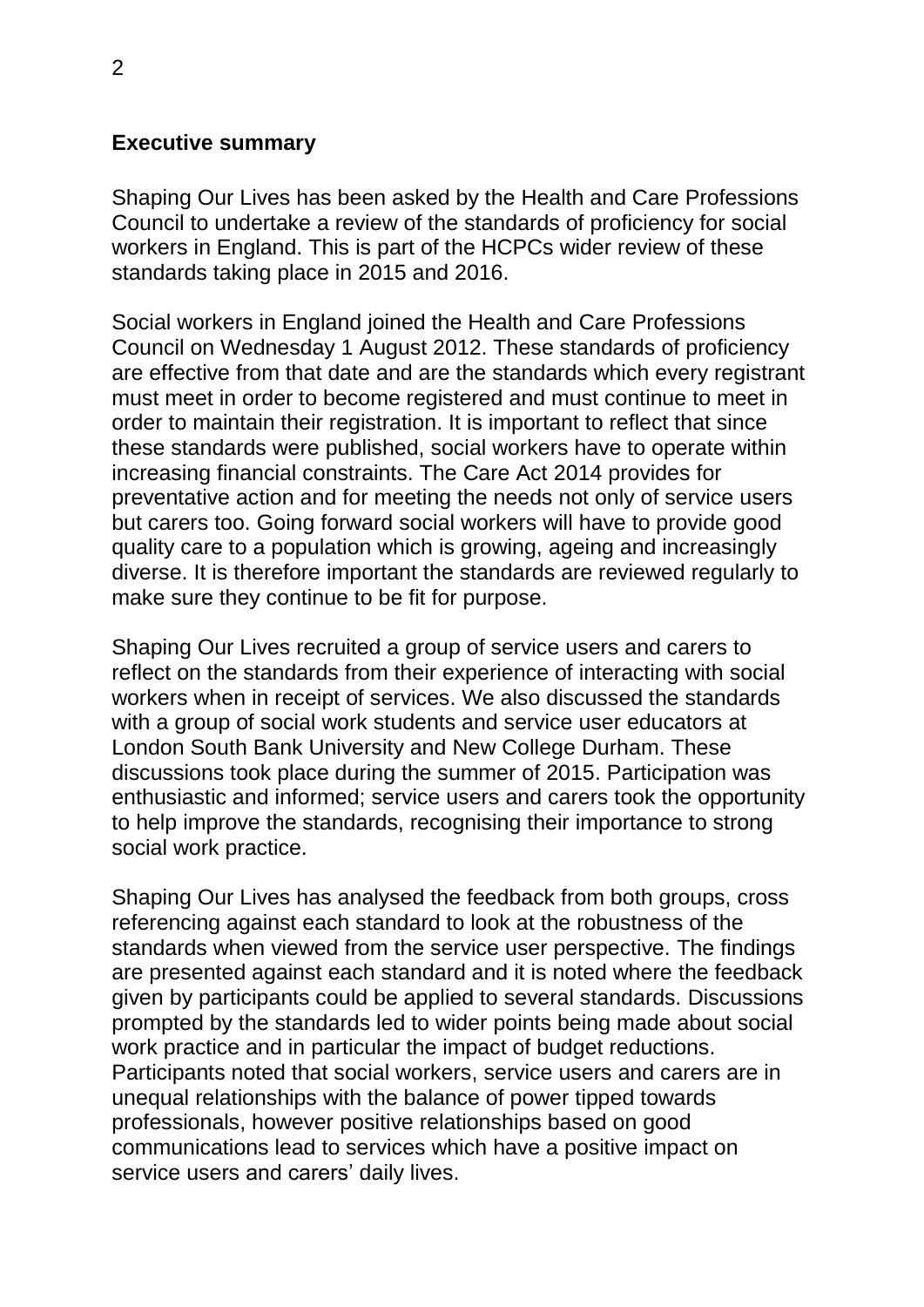#### **Executive summary**

Shaping Our Lives has been asked by the Health and Care Professions Council to undertake a review of the standards of proficiency for social workers in England. This is part of the HCPCs wider review of these standards taking place in 2015 and 2016.

Social workers in England joined the Health and Care Professions Council on Wednesday 1 August 2012. These standards of proficiency are effective from that date and are the standards which every registrant must meet in order to become registered and must continue to meet in order to maintain their registration. It is important to reflect that since these standards were published, social workers have to operate within increasing financial constraints. The Care Act 2014 provides for preventative action and for meeting the needs not only of service users but carers too. Going forward social workers will have to provide good quality care to a population which is growing, ageing and increasingly diverse. It is therefore important the standards are reviewed regularly to make sure they continue to be fit for purpose.

Shaping Our Lives recruited a group of service users and carers to reflect on the standards from their experience of interacting with social workers when in receipt of services. We also discussed the standards with a group of social work students and service user educators at London South Bank University and New College Durham. These discussions took place during the summer of 2015. Participation was enthusiastic and informed; service users and carers took the opportunity to help improve the standards, recognising their importance to strong social work practice.

Shaping Our Lives has analysed the feedback from both groups, cross referencing against each standard to look at the robustness of the standards when viewed from the service user perspective. The findings are presented against each standard and it is noted where the feedback given by participants could be applied to several standards. Discussions prompted by the standards led to wider points being made about social work practice and in particular the impact of budget reductions. Participants noted that social workers, service users and carers are in unequal relationships with the balance of power tipped towards professionals, however positive relationships based on good communications lead to services which have a positive impact on service users and carers' daily lives.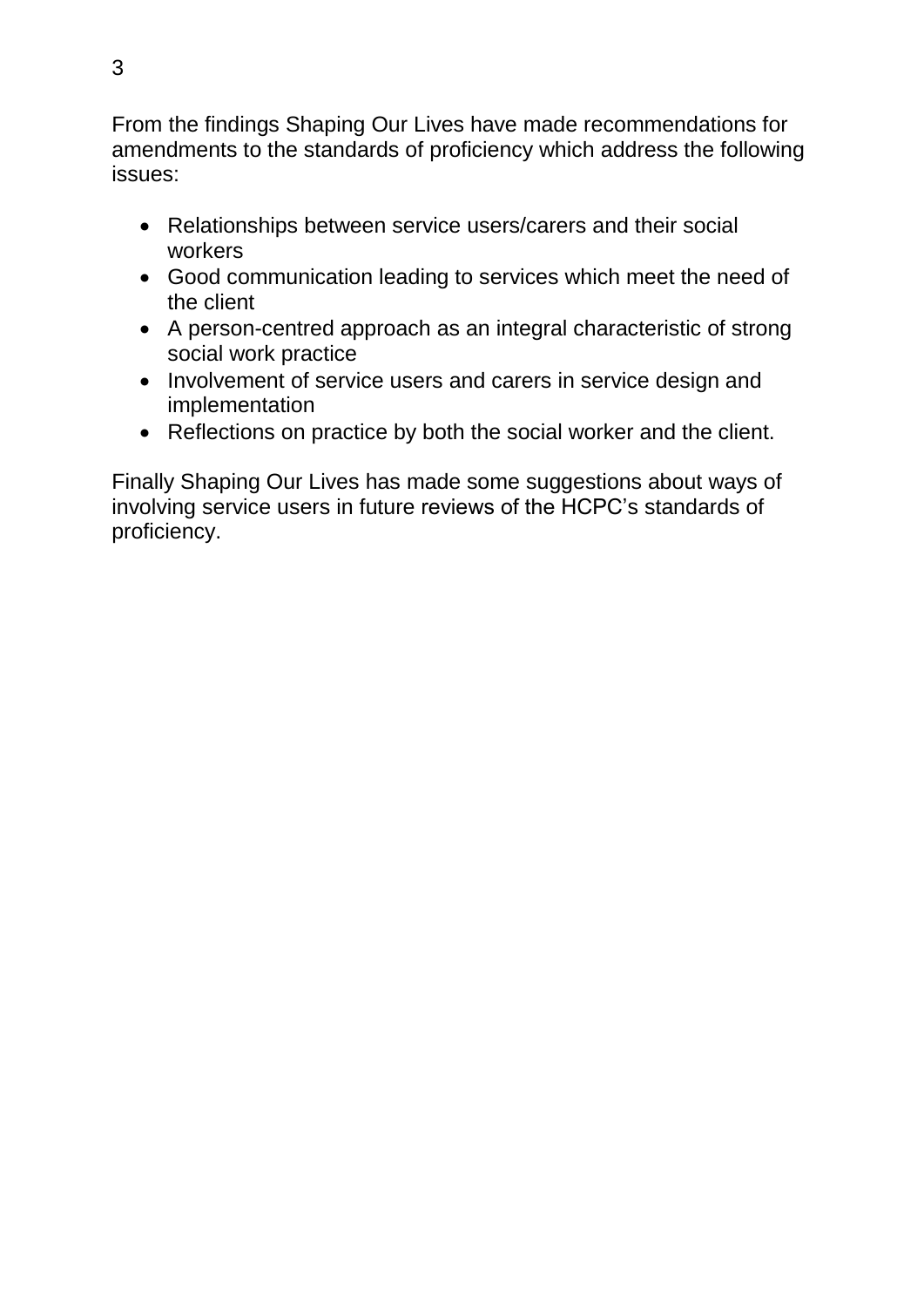From the findings Shaping Our Lives have made recommendations for amendments to the standards of proficiency which address the following issues:

- Relationships between service users/carers and their social workers
- Good communication leading to services which meet the need of the client
- A person-centred approach as an integral characteristic of strong social work practice
- Involvement of service users and carers in service design and implementation
- Reflections on practice by both the social worker and the client.

Finally Shaping Our Lives has made some suggestions about ways of involving service users in future reviews of the HCPC's standards of proficiency.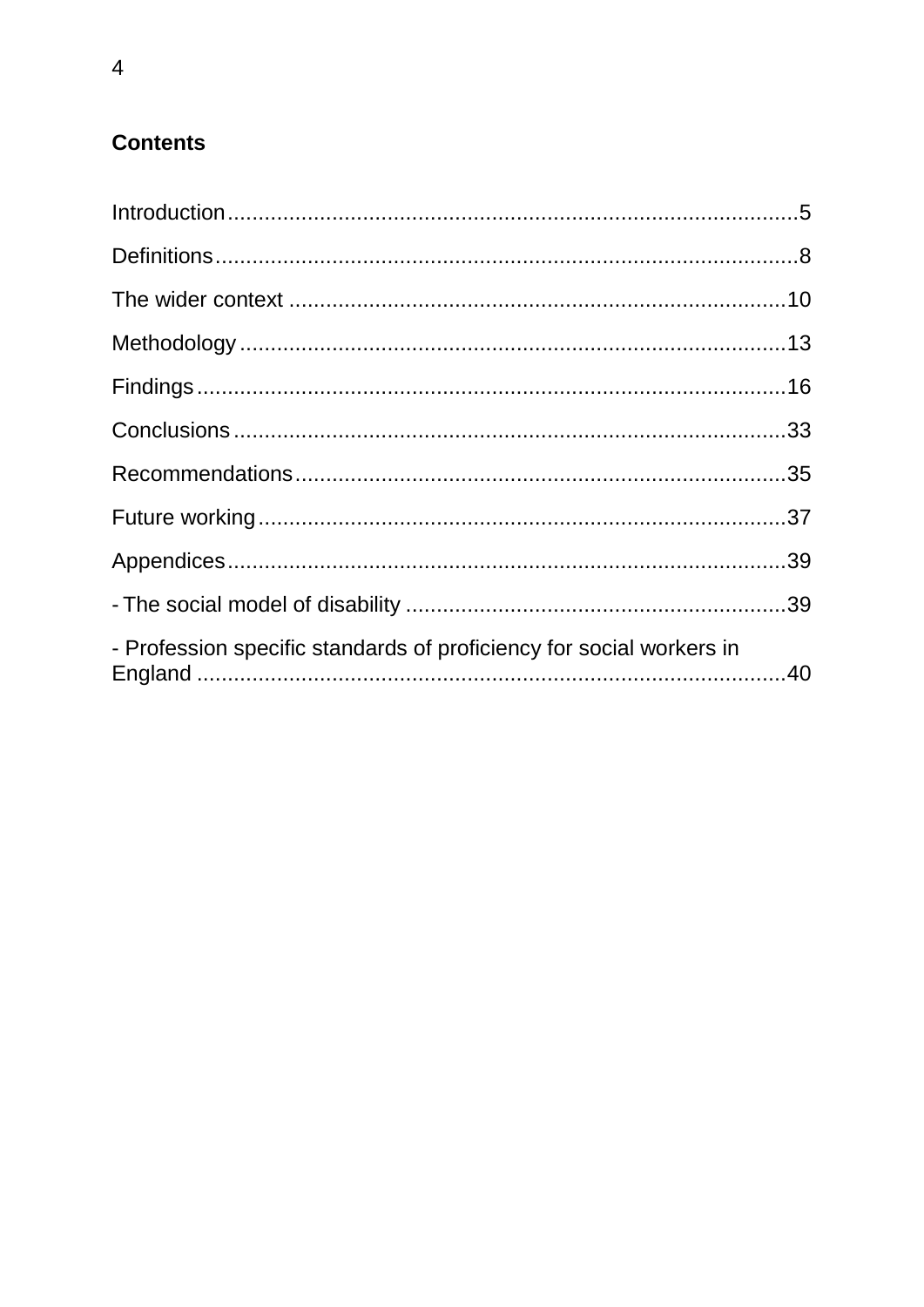# **Contents**

| - Profession specific standards of proficiency for social workers in |  |
|----------------------------------------------------------------------|--|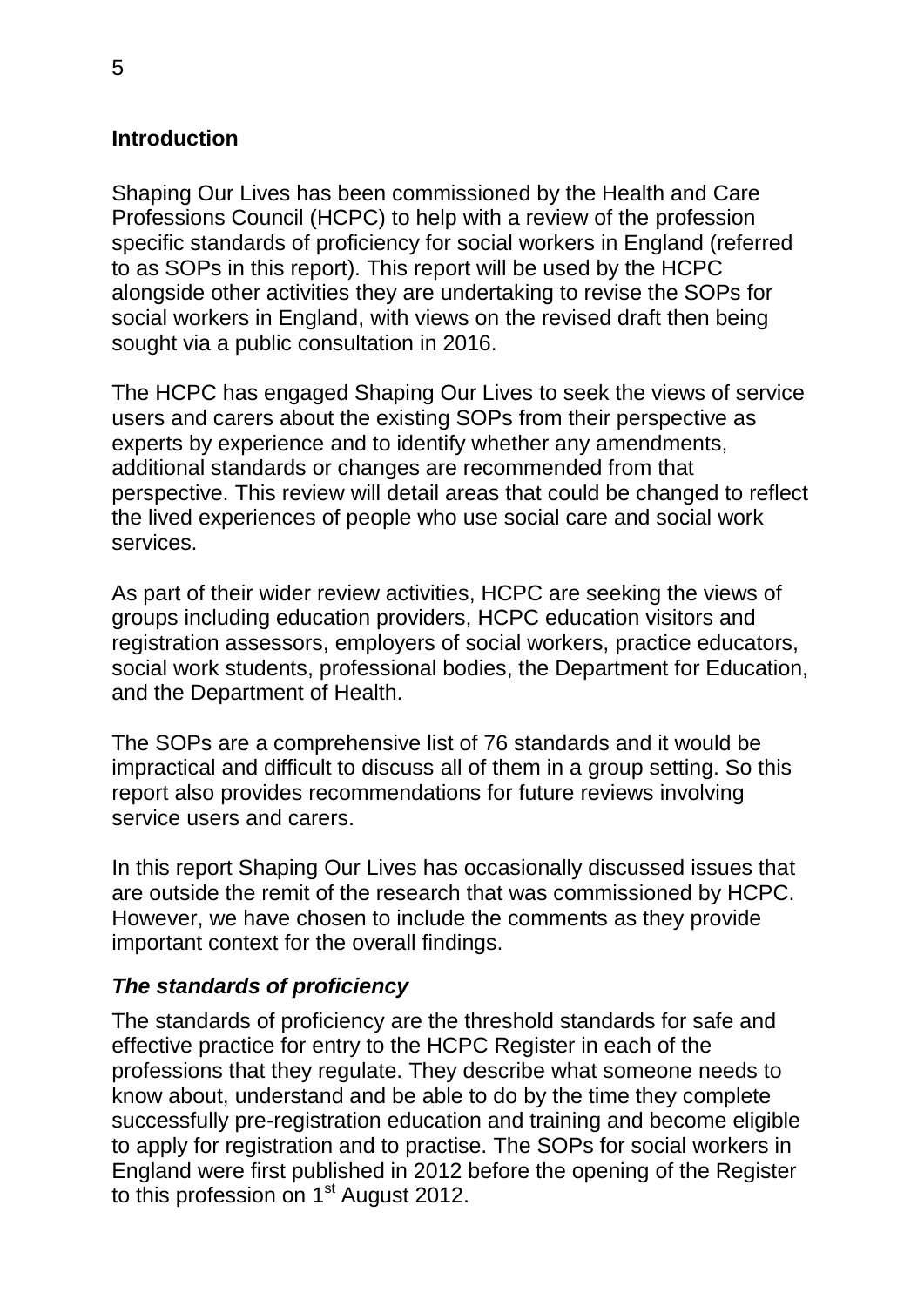#### <span id="page-4-0"></span>**Introduction**

Shaping Our Lives has been commissioned by the Health and Care Professions Council (HCPC) to help with a review of the profession specific standards of proficiency for social workers in England (referred to as SOPs in this report). This report will be used by the HCPC alongside other activities they are undertaking to revise the SOPs for social workers in England, with views on the revised draft then being sought via a public consultation in 2016.

The HCPC has engaged Shaping Our Lives to seek the views of service users and carers about the existing SOPs from their perspective as experts by experience and to identify whether any amendments, additional standards or changes are recommended from that perspective. This review will detail areas that could be changed to reflect the lived experiences of people who use social care and social work services.

As part of their wider review activities, HCPC are seeking the views of groups including education providers, HCPC education visitors and registration assessors, employers of social workers, practice educators, social work students, professional bodies, the Department for Education, and the Department of Health.

The SOPs are a comprehensive list of 76 standards and it would be impractical and difficult to discuss all of them in a group setting. So this report also provides recommendations for future reviews involving service users and carers.

In this report Shaping Our Lives has occasionally discussed issues that are outside the remit of the research that was commissioned by HCPC. However, we have chosen to include the comments as they provide important context for the overall findings.

#### *The standards of proficiency*

The standards of proficiency are the threshold standards for safe and effective practice for entry to the HCPC Register in each of the professions that they regulate. They describe what someone needs to know about, understand and be able to do by the time they complete successfully pre-registration education and training and become eligible to apply for registration and to practise. The SOPs for social workers in England were first published in 2012 before the opening of the Register to this profession on 1<sup>st</sup> August 2012.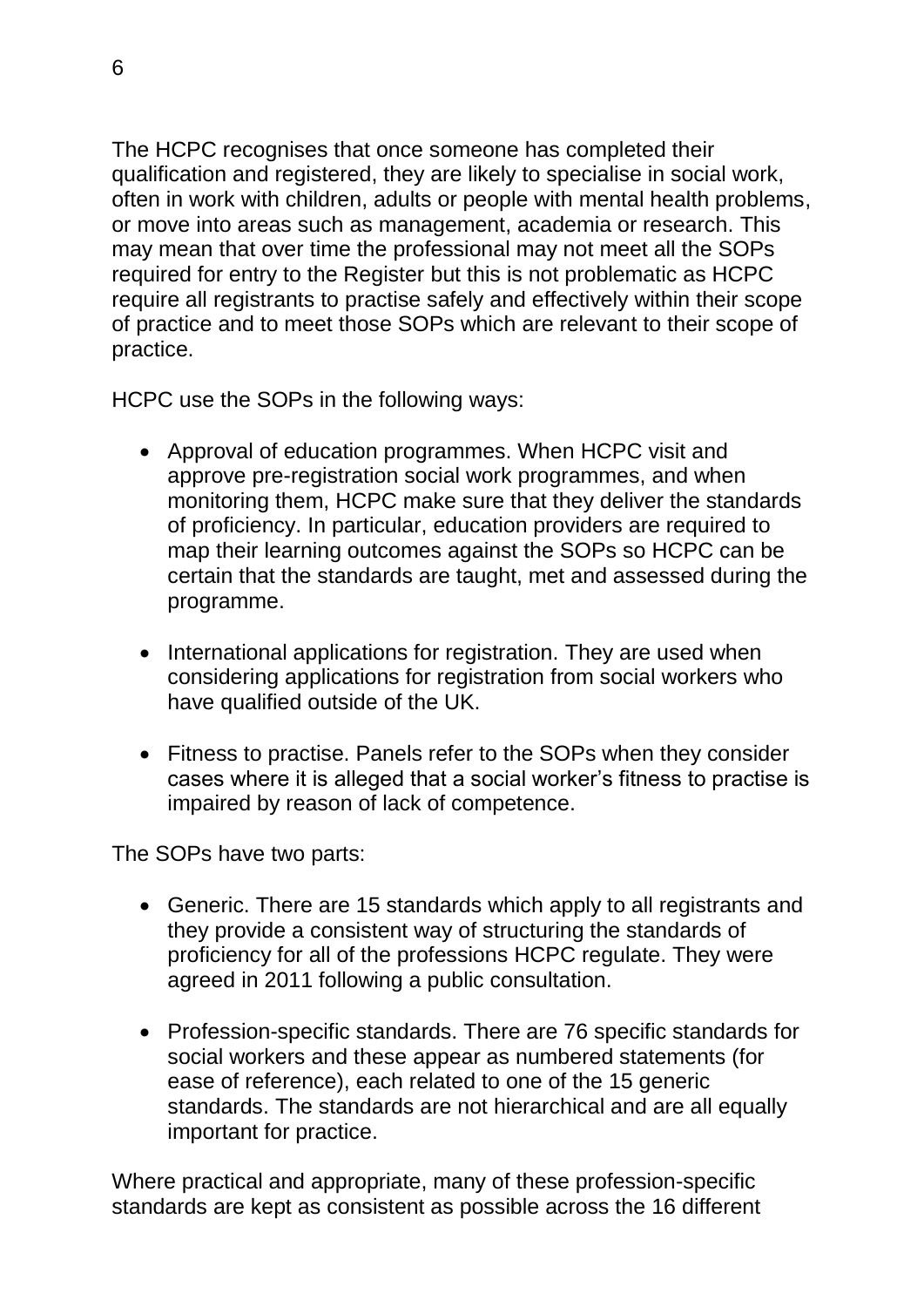The HCPC recognises that once someone has completed their qualification and registered, they are likely to specialise in social work, often in work with children, adults or people with mental health problems, or move into areas such as management, academia or research. This may mean that over time the professional may not meet all the SOPs required for entry to the Register but this is not problematic as HCPC require all registrants to practise safely and effectively within their scope of practice and to meet those SOPs which are relevant to their scope of practice.

HCPC use the SOPs in the following ways:

- Approval of education programmes. When HCPC visit and approve pre-registration social work programmes, and when monitoring them, HCPC make sure that they deliver the standards of proficiency. In particular, education providers are required to map their learning outcomes against the SOPs so HCPC can be certain that the standards are taught, met and assessed during the programme.
- International applications for registration. They are used when considering applications for registration from social workers who have qualified outside of the UK.
- Fitness to practise. Panels refer to the SOPs when they consider cases where it is alleged that a social worker's fitness to practise is impaired by reason of lack of competence.

The SOPs have two parts:

- Generic. There are 15 standards which apply to all registrants and they provide a consistent way of structuring the standards of proficiency for all of the professions HCPC regulate. They were agreed in 2011 following a public consultation.
- Profession-specific standards. There are 76 specific standards for social workers and these appear as numbered statements (for ease of reference), each related to one of the 15 generic standards. The standards are not hierarchical and are all equally important for practice.

Where practical and appropriate, many of these profession-specific standards are kept as consistent as possible across the 16 different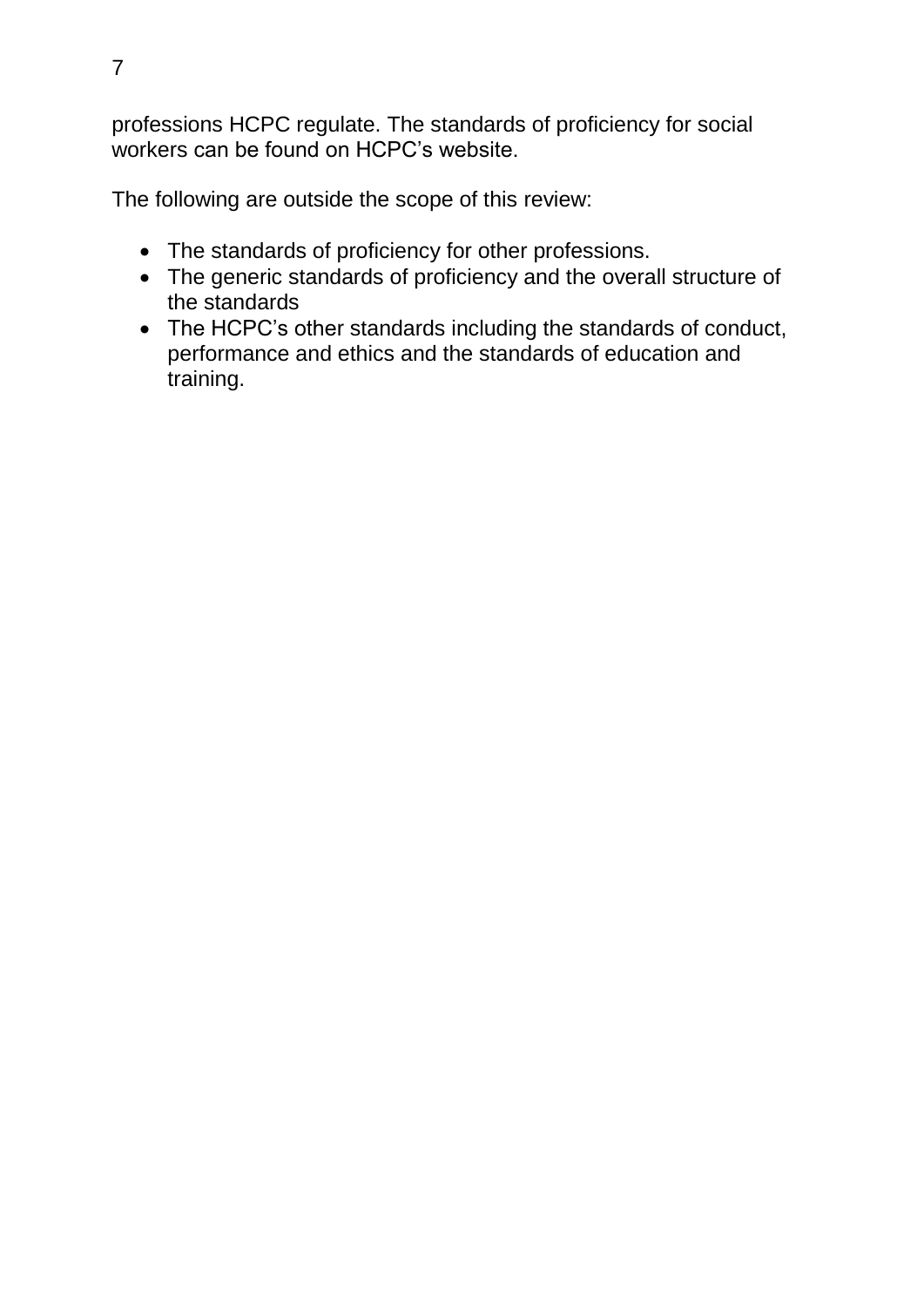professions HCPC regulate. The standards of proficiency for social workers can be found on HCPC's website.

The following are outside the scope of this review:

- The standards of proficiency for other professions.
- The generic standards of proficiency and the overall structure of the standards
- The HCPC's other standards including the standards of conduct, performance and ethics and the standards of education and training.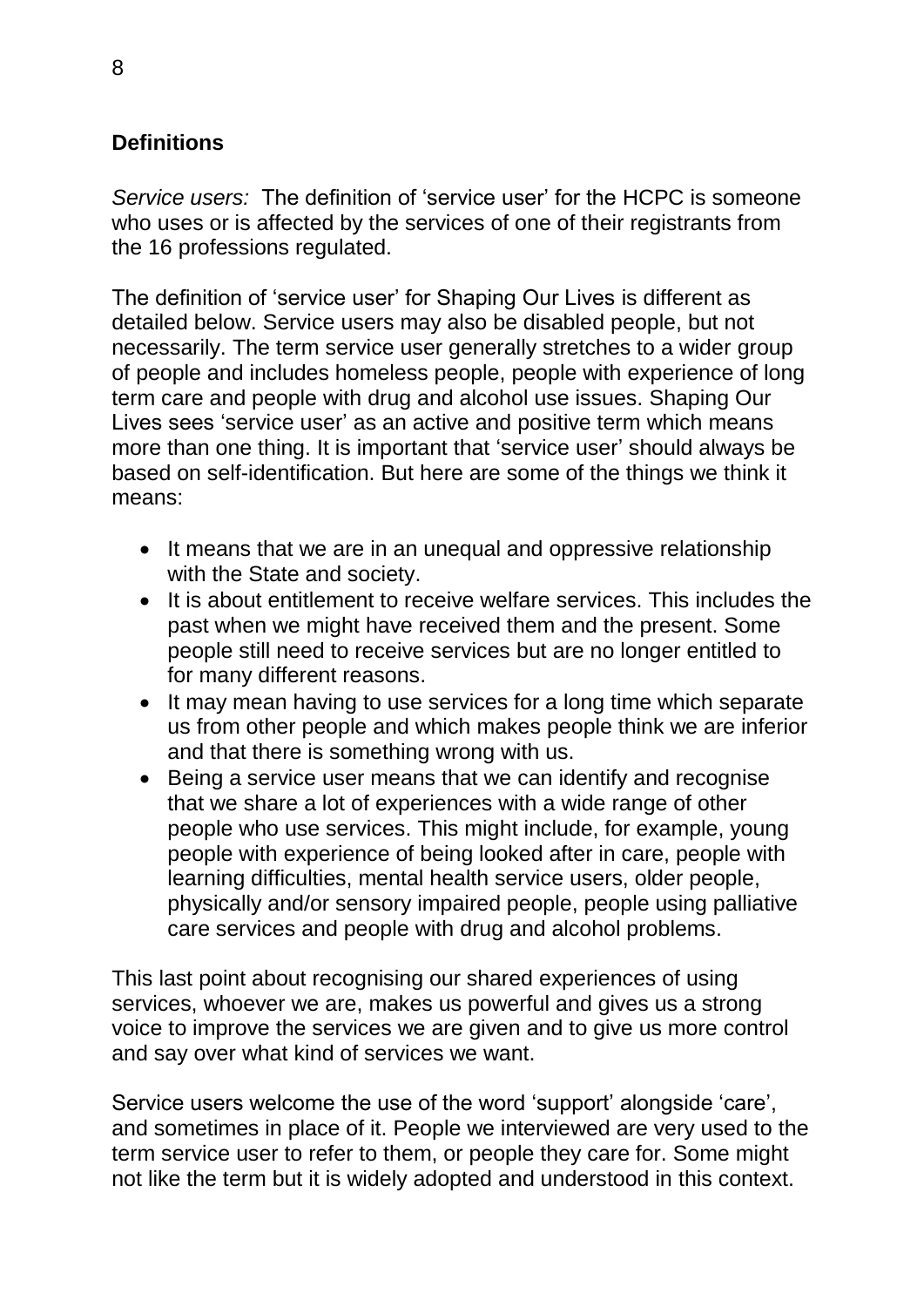## <span id="page-7-0"></span>**Definitions**

*Service users:* The definition of 'service user' for the HCPC is someone who uses or is affected by the services of one of their registrants from the 16 professions regulated.

The definition of 'service user' for Shaping Our Lives is different as detailed below. Service users may also be disabled people, but not necessarily. The term service user generally stretches to a wider group of people and includes homeless people, people with experience of long term care and people with drug and alcohol use issues. Shaping Our Lives sees 'service user' as an active and positive term which means more than one thing. It is important that 'service user' should always be based on self-identification. But here are some of the things we think it means:

- It means that we are in an unequal and oppressive relationship with the State and society.
- It is about entitlement to receive welfare services. This includes the past when we might have received them and the present. Some people still need to receive services but are no longer entitled to for many different reasons.
- It may mean having to use services for a long time which separate us from other people and which makes people think we are inferior and that there is something wrong with us.
- Being a service user means that we can identify and recognise that we share a lot of experiences with a wide range of other people who use services. This might include, for example, young people with experience of being looked after in care, people with learning difficulties, mental health service users, older people, physically and/or sensory impaired people, people using palliative care services and people with drug and alcohol problems.

This last point about recognising our shared experiences of using services, whoever we are, makes us powerful and gives us a strong voice to improve the services we are given and to give us more control and say over what kind of services we want.

Service users welcome the use of the word 'support' alongside 'care', and sometimes in place of it. People we interviewed are very used to the term service user to refer to them, or people they care for. Some might not like the term but it is widely adopted and understood in this context.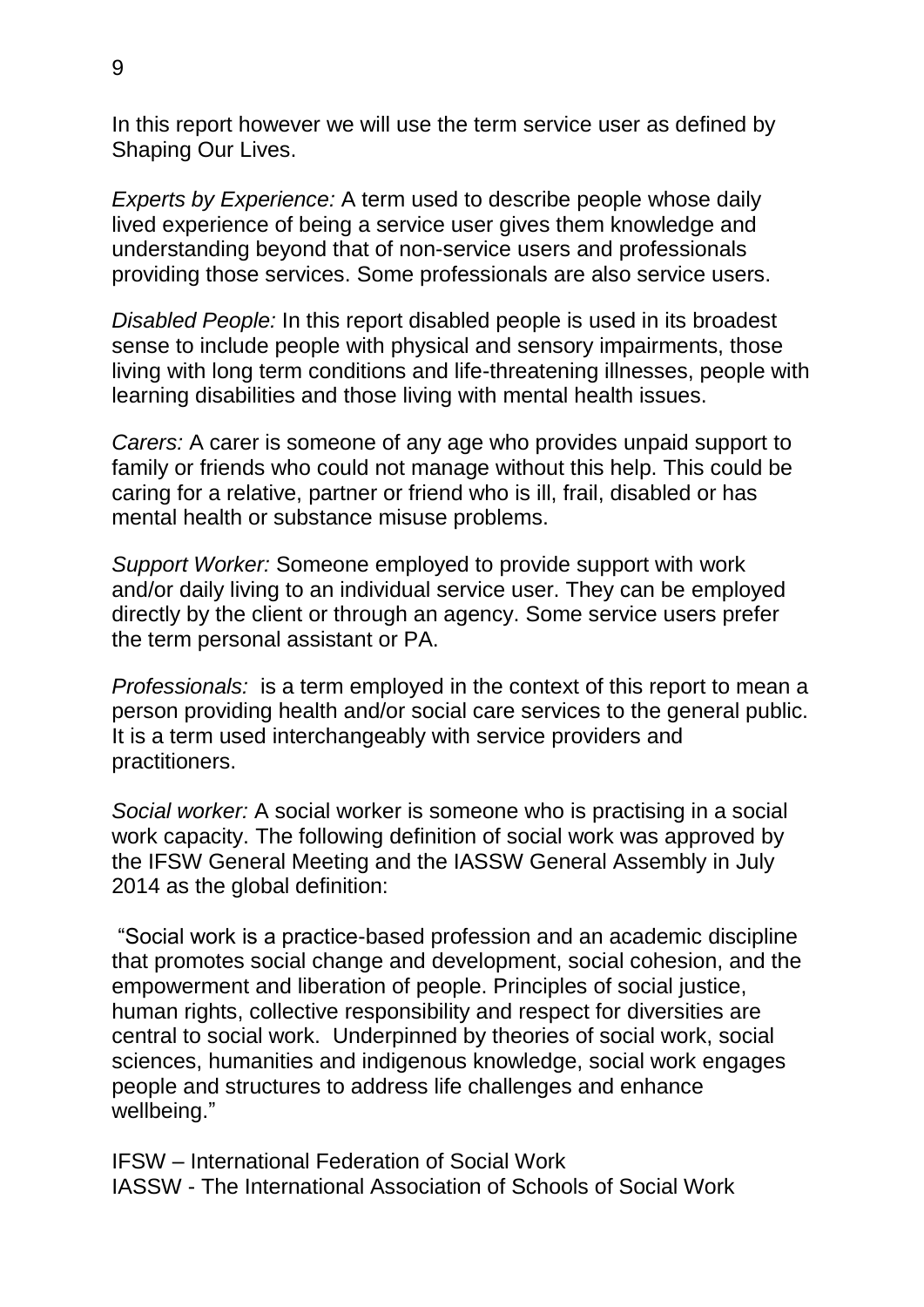In this report however we will use the term service user as defined by Shaping Our Lives.

*Experts by Experience:* A term used to describe people whose daily lived experience of being a service user gives them knowledge and understanding beyond that of non-service users and professionals providing those services. Some professionals are also service users.

*Disabled People:* In this report disabled people is used in its broadest sense to include people with physical and sensory impairments, those living with long term conditions and life-threatening illnesses, people with learning disabilities and those living with mental health issues.

*Carers:* A carer is someone of any age who provides unpaid support to family or friends who could not manage without this help. This could be caring for a relative, partner or friend who is ill, frail, disabled or has mental health or substance misuse problems.

*Support Worker:* Someone employed to provide support with work and/or daily living to an individual service user. They can be employed directly by the client or through an agency. Some service users prefer the term personal assistant or PA.

*Professionals:* is a term employed in the context of this report to mean a person providing health and/or social care services to the general public. It is a term used interchangeably with service providers and practitioners.

*Social worker:* A social worker is someone who is practising in a social work capacity. The following definition of social work was approved by the IFSW General Meeting and the IASSW General Assembly in July 2014 as the global definition:

"Social work is a practice-based profession and an academic discipline that promotes social change and development, social cohesion, and the empowerment and liberation of people. Principles of social justice, human rights, collective responsibility and respect for diversities are central to social work. Underpinned by theories of social work, social sciences, humanities and indigenous knowledge, social work engages people and structures to address life challenges and enhance wellbeing."

IFSW – International Federation of Social Work IASSW - The International Association of Schools of Social Work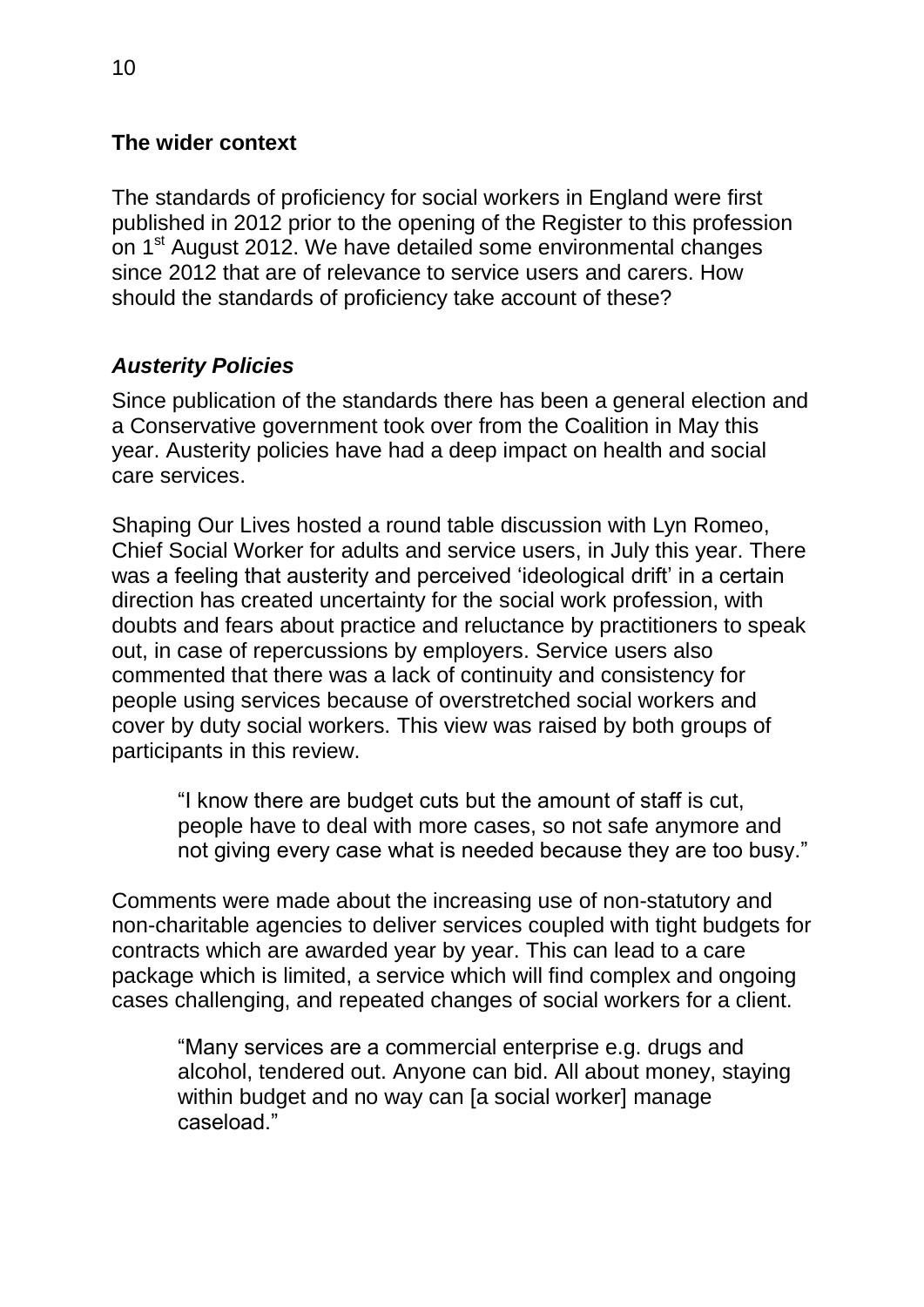#### <span id="page-9-0"></span>**The wider context**

The standards of proficiency for social workers in England were first published in 2012 prior to the opening of the Register to this profession on 1<sup>st</sup> August 2012. We have detailed some environmental changes since 2012 that are of relevance to service users and carers. How should the standards of proficiency take account of these?

## *Austerity Policies*

Since publication of the standards there has been a general election and a Conservative government took over from the Coalition in May this year. Austerity policies have had a deep impact on health and social care services.

Shaping Our Lives hosted a round table discussion with Lyn Romeo, Chief Social Worker for adults and service users, in July this year. There was a feeling that austerity and perceived 'ideological drift' in a certain direction has created uncertainty for the social work profession, with doubts and fears about practice and reluctance by practitioners to speak out, in case of repercussions by employers. Service users also commented that there was a lack of continuity and consistency for people using services because of overstretched social workers and cover by duty social workers. This view was raised by both groups of participants in this review.

"I know there are budget cuts but the amount of staff is cut, people have to deal with more cases, so not safe anymore and not giving every case what is needed because they are too busy."

Comments were made about the increasing use of non-statutory and non-charitable agencies to deliver services coupled with tight budgets for contracts which are awarded year by year. This can lead to a care package which is limited, a service which will find complex and ongoing cases challenging, and repeated changes of social workers for a client.

"Many services are a commercial enterprise e.g. drugs and alcohol, tendered out. Anyone can bid. All about money, staying within budget and no way can [a social worker] manage caseload."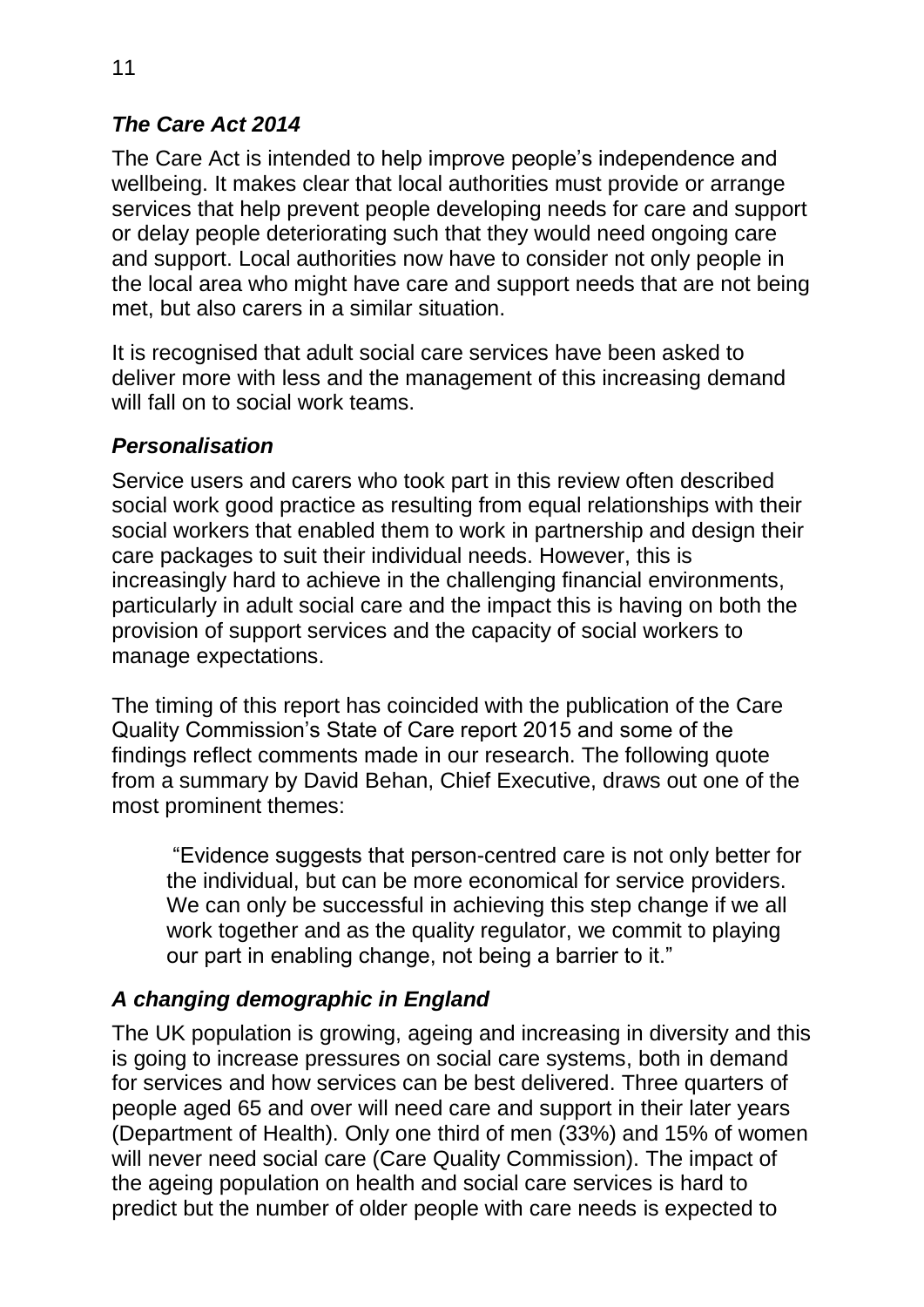# *The Care Act 2014*

The Care Act is intended to help improve people's independence and wellbeing. It makes clear that local authorities must provide or arrange services that help prevent people developing needs for care and support or delay people deteriorating such that they would need ongoing care and support. Local authorities now have to consider not only people in the local area who might have care and support needs that are not being met, but also carers in a similar situation.

It is recognised that adult social care services have been asked to deliver more with less and the management of this increasing demand will fall on to social work teams.

#### *Personalisation*

Service users and carers who took part in this review often described social work good practice as resulting from equal relationships with their social workers that enabled them to work in partnership and design their care packages to suit their individual needs. However, this is increasingly hard to achieve in the challenging financial environments, particularly in adult social care and the impact this is having on both the provision of support services and the capacity of social workers to manage expectations.

The timing of this report has coincided with the publication of the Care Quality Commission's State of Care report 2015 and some of the findings reflect comments made in our research. The following quote from a summary by David Behan, Chief Executive, draws out one of the most prominent themes:

"Evidence suggests that person-centred care is not only better for the individual, but can be more economical for service providers. We can only be successful in achieving this step change if we all work together and as the quality regulator, we commit to playing our part in enabling change, not being a barrier to it."

## *A changing demographic in England*

The UK population is growing, ageing and increasing in diversity and this is going to increase pressures on social care systems, both in demand for services and how services can be best delivered. Three quarters of people aged 65 and over will need care and support in their later years (Department of Health). Only one third of men (33%) and 15% of women will never need social care (Care Quality Commission). The impact of the ageing population on health and social care services is hard to predict but the number of older people with care needs is expected to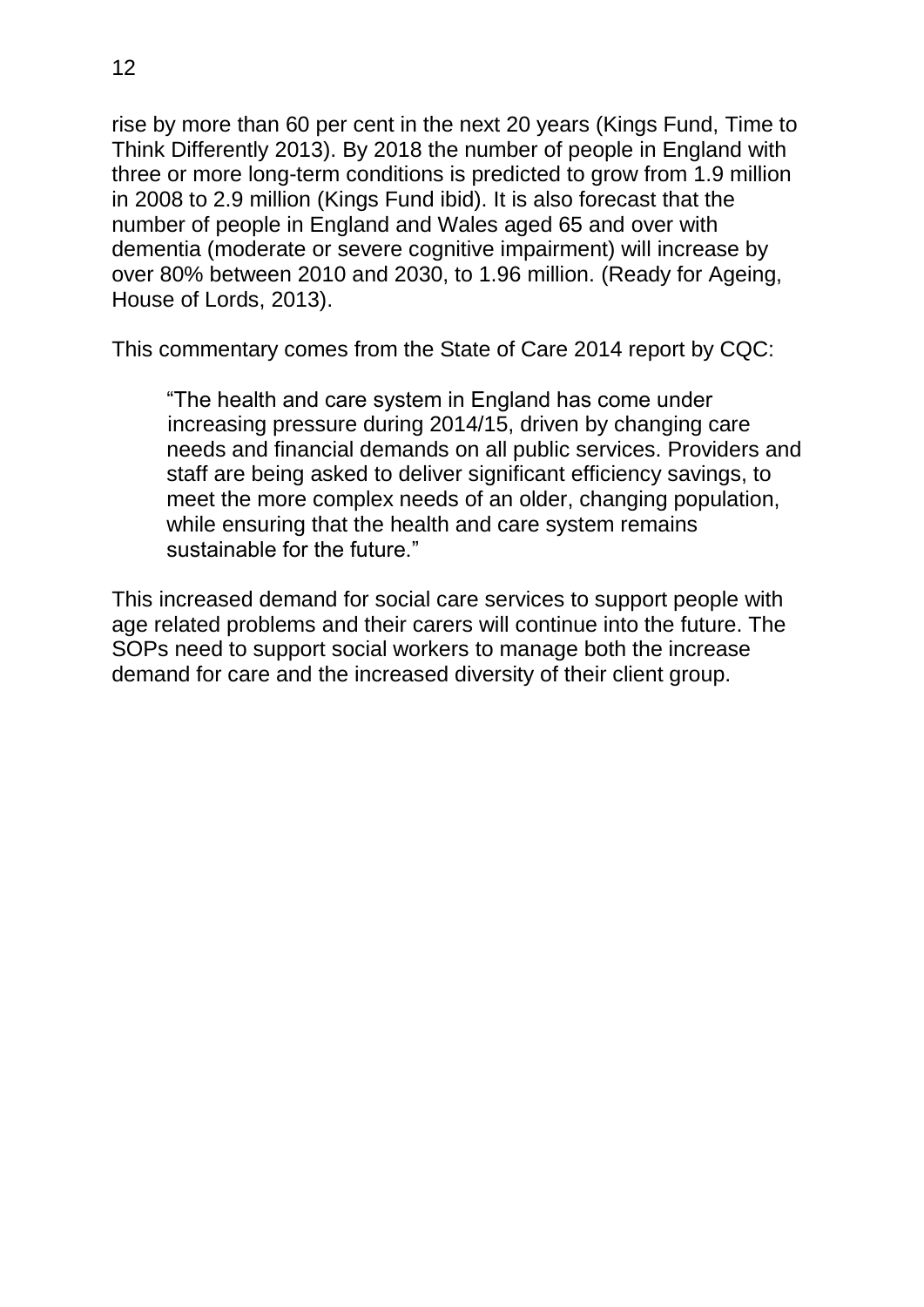rise by more than 60 per cent in the next 20 years (Kings Fund, Time to Think Differently 2013). By 2018 the number of people in England with three or more long-term conditions is predicted to grow from 1.9 million in 2008 to 2.9 million (Kings Fund ibid). It is also forecast that the number of people in England and Wales aged 65 and over with dementia (moderate or severe cognitive impairment) will increase by over 80% between 2010 and 2030, to 1.96 million. (Ready for Ageing, House of Lords, 2013).

This commentary comes from the State of Care 2014 report by CQC:

"The health and care system in England has come under increasing pressure during 2014/15, driven by changing care needs and financial demands on all public services. Providers and staff are being asked to deliver significant efficiency savings, to meet the more complex needs of an older, changing population, while ensuring that the health and care system remains sustainable for the future."

This increased demand for social care services to support people with age related problems and their carers will continue into the future. The SOPs need to support social workers to manage both the increase demand for care and the increased diversity of their client group.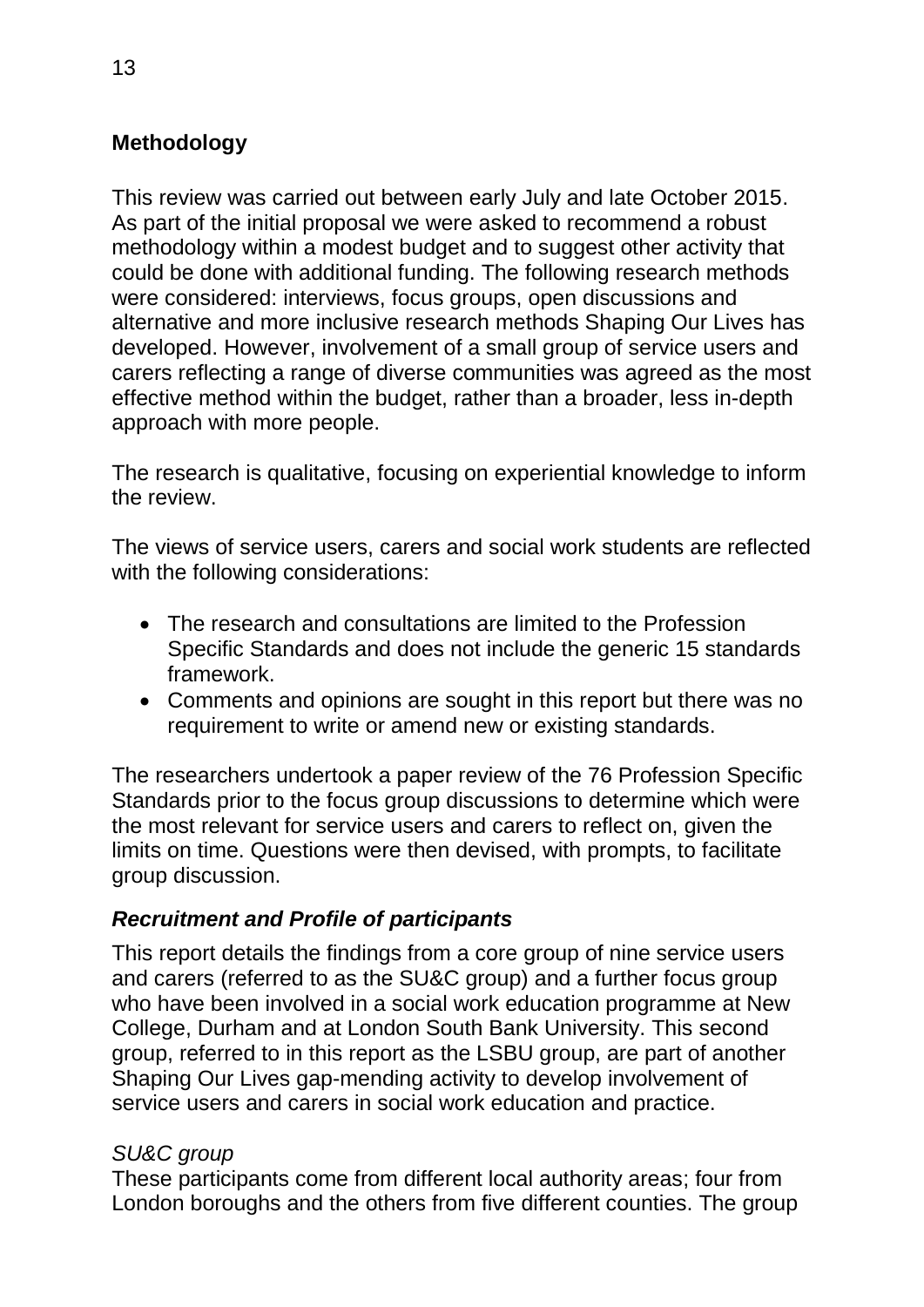# <span id="page-12-0"></span>**Methodology**

This review was carried out between early July and late October 2015. As part of the initial proposal we were asked to recommend a robust methodology within a modest budget and to suggest other activity that could be done with additional funding. The following research methods were considered: interviews, focus groups, open discussions and alternative and more inclusive research methods Shaping Our Lives has developed. However, involvement of a small group of service users and carers reflecting a range of diverse communities was agreed as the most effective method within the budget, rather than a broader, less in-depth approach with more people.

The research is qualitative, focusing on experiential knowledge to inform the review.

The views of service users, carers and social work students are reflected with the following considerations:

- The research and consultations are limited to the Profession Specific Standards and does not include the generic 15 standards framework.
- Comments and opinions are sought in this report but there was no requirement to write or amend new or existing standards.

The researchers undertook a paper review of the 76 Profession Specific Standards prior to the focus group discussions to determine which were the most relevant for service users and carers to reflect on, given the limits on time. Questions were then devised, with prompts, to facilitate group discussion.

# *Recruitment and Profile of participants*

This report details the findings from a core group of nine service users and carers (referred to as the SU&C group) and a further focus group who have been involved in a social work education programme at New College, Durham and at London South Bank University. This second group, referred to in this report as the LSBU group, are part of another Shaping Our Lives gap-mending activity to develop involvement of service users and carers in social work education and practice.

## *SU&C group*

These participants come from different local authority areas; four from London boroughs and the others from five different counties. The group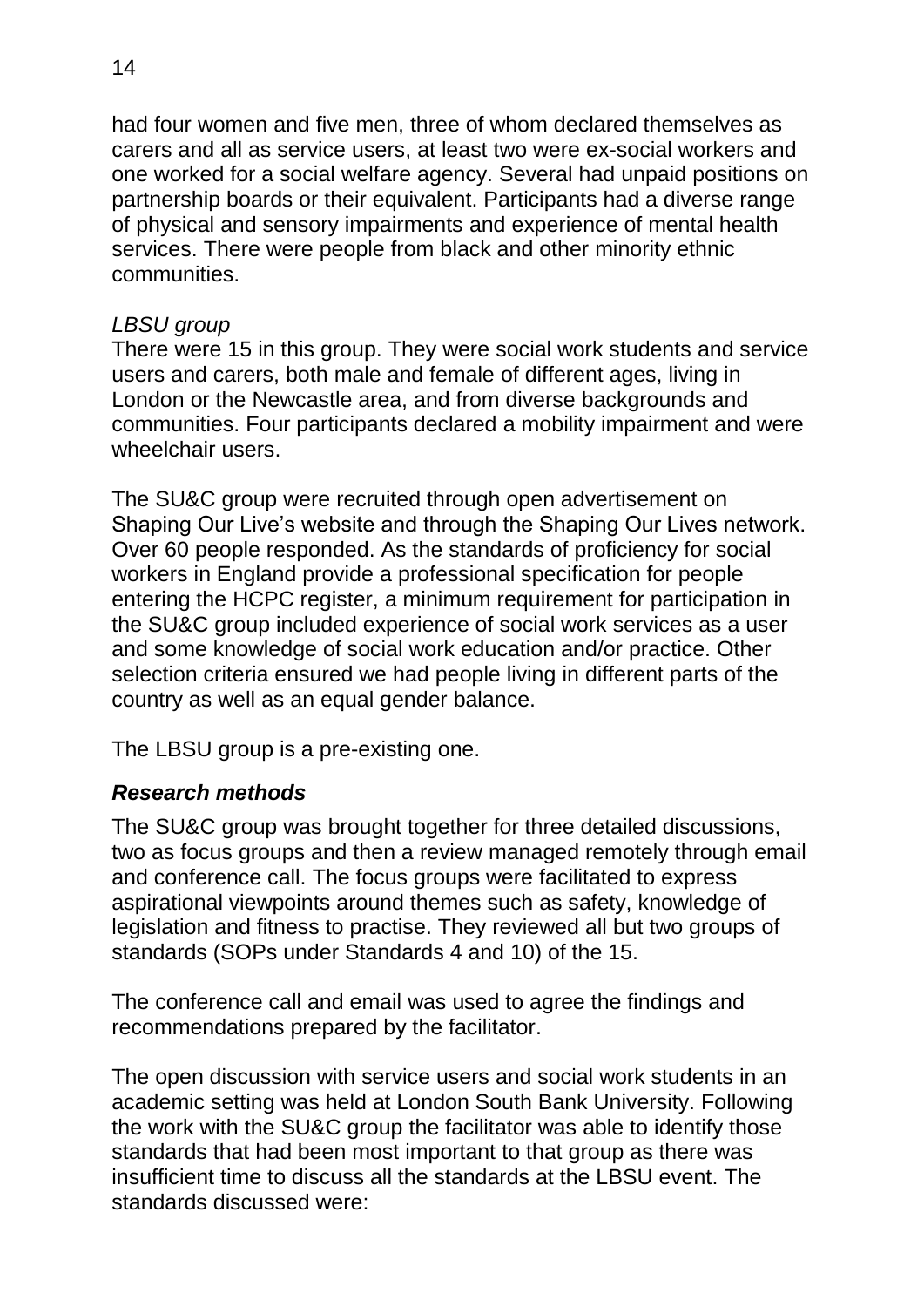had four women and five men, three of whom declared themselves as carers and all as service users, at least two were ex-social workers and one worked for a social welfare agency. Several had unpaid positions on partnership boards or their equivalent. Participants had a diverse range of physical and sensory impairments and experience of mental health services. There were people from black and other minority ethnic communities.

#### *LBSU group*

There were 15 in this group. They were social work students and service users and carers, both male and female of different ages, living in London or the Newcastle area, and from diverse backgrounds and communities. Four participants declared a mobility impairment and were wheelchair users.

The SU&C group were recruited through open advertisement on Shaping Our Live's website and through the Shaping Our Lives network. Over 60 people responded. As the standards of proficiency for social workers in England provide a professional specification for people entering the HCPC register, a minimum requirement for participation in the SU&C group included experience of social work services as a user and some knowledge of social work education and/or practice. Other selection criteria ensured we had people living in different parts of the country as well as an equal gender balance.

The LBSU group is a pre-existing one.

# *Research methods*

The SU&C group was brought together for three detailed discussions, two as focus groups and then a review managed remotely through email and conference call. The focus groups were facilitated to express aspirational viewpoints around themes such as safety, knowledge of legislation and fitness to practise. They reviewed all but two groups of standards (SOPs under Standards 4 and 10) of the 15.

The conference call and email was used to agree the findings and recommendations prepared by the facilitator.

The open discussion with service users and social work students in an academic setting was held at London South Bank University. Following the work with the SU&C group the facilitator was able to identify those standards that had been most important to that group as there was insufficient time to discuss all the standards at the LBSU event. The standards discussed were: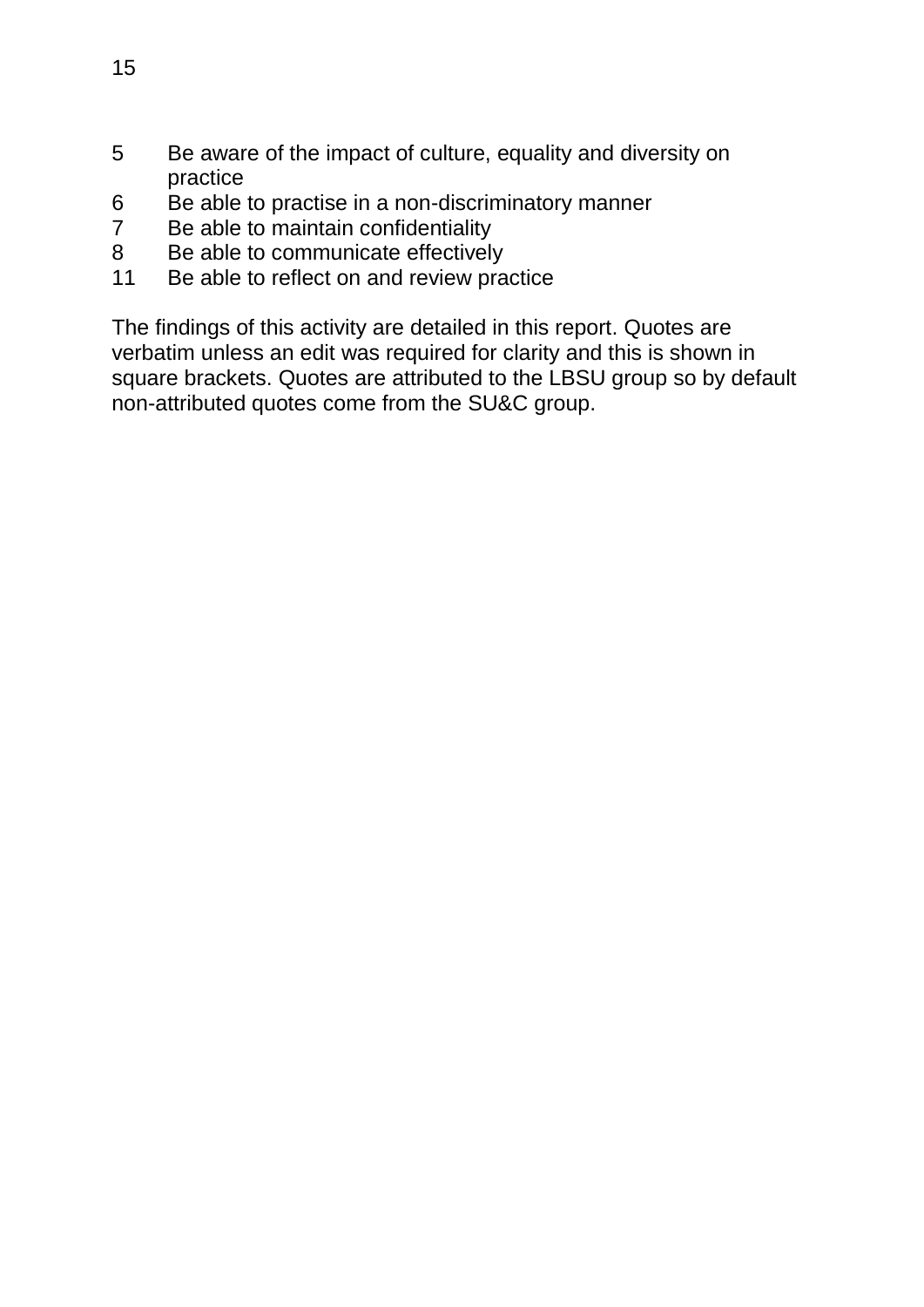- 5 Be aware of the impact of culture, equality and diversity on practice
- 6 Be able to practise in a non-discriminatory manner<br>
7 Be able to maintain confidentiality
- Be able to maintain confidentiality
- 8 Be able to communicate effectively
- 11 Be able to reflect on and review practice

The findings of this activity are detailed in this report. Quotes are verbatim unless an edit was required for clarity and this is shown in square brackets. Quotes are attributed to the LBSU group so by default non-attributed quotes come from the SU&C group.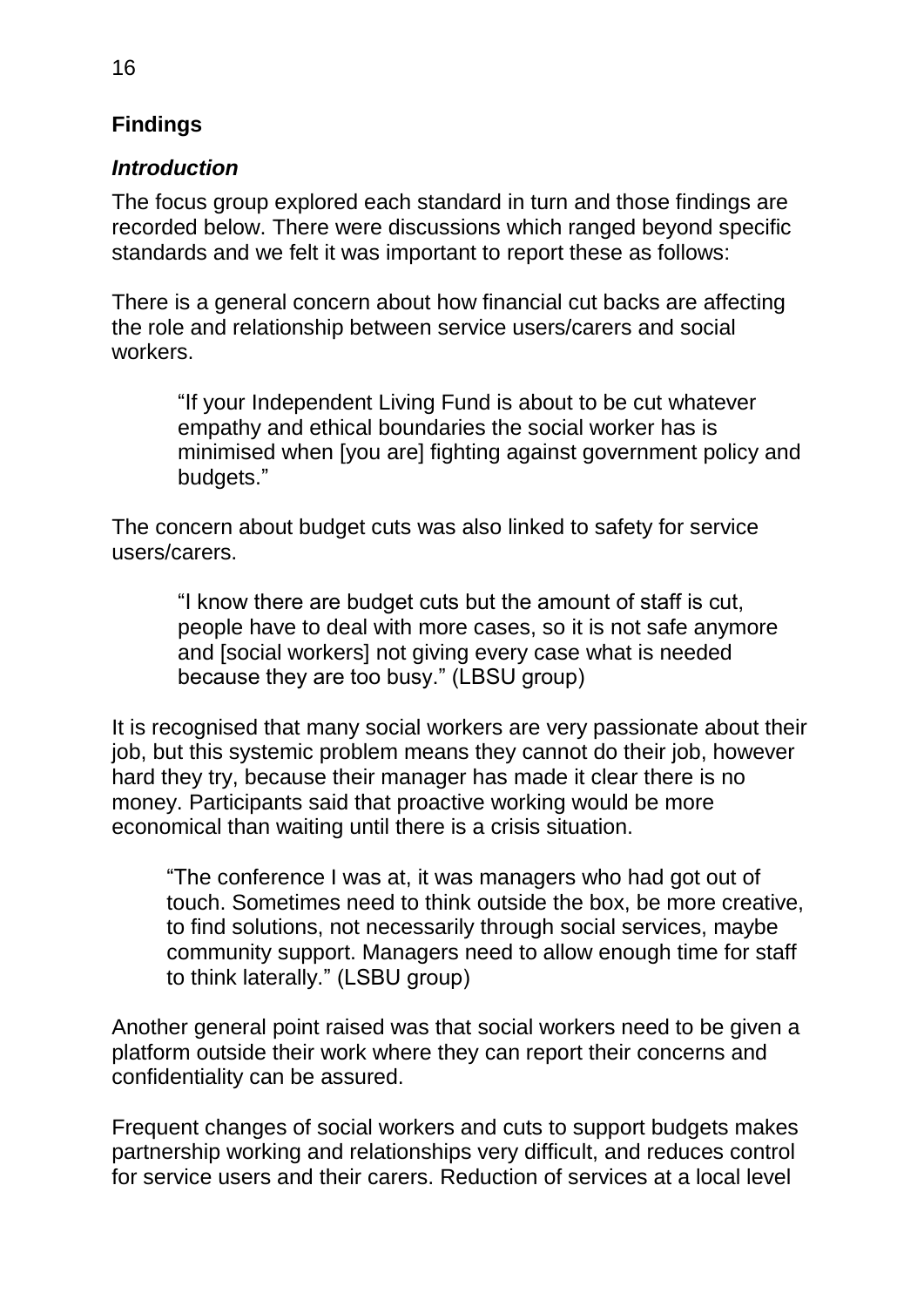# <span id="page-15-0"></span>**Findings**

## *Introduction*

The focus group explored each standard in turn and those findings are recorded below. There were discussions which ranged beyond specific standards and we felt it was important to report these as follows:

There is a general concern about how financial cut backs are affecting the role and relationship between service users/carers and social workers.

"If your Independent Living Fund is about to be cut whatever empathy and ethical boundaries the social worker has is minimised when [you are] fighting against government policy and budgets."

The concern about budget cuts was also linked to safety for service users/carers.

"I know there are budget cuts but the amount of staff is cut, people have to deal with more cases, so it is not safe anymore and [social workers] not giving every case what is needed because they are too busy." (LBSU group)

It is recognised that many social workers are very passionate about their job, but this systemic problem means they cannot do their job, however hard they try, because their manager has made it clear there is no money. Participants said that proactive working would be more economical than waiting until there is a crisis situation.

"The conference I was at, it was managers who had got out of touch. Sometimes need to think outside the box, be more creative, to find solutions, not necessarily through social services, maybe community support. Managers need to allow enough time for staff to think laterally." (LSBU group)

Another general point raised was that social workers need to be given a platform outside their work where they can report their concerns and confidentiality can be assured.

Frequent changes of social workers and cuts to support budgets makes partnership working and relationships very difficult, and reduces control for service users and their carers. Reduction of services at a local level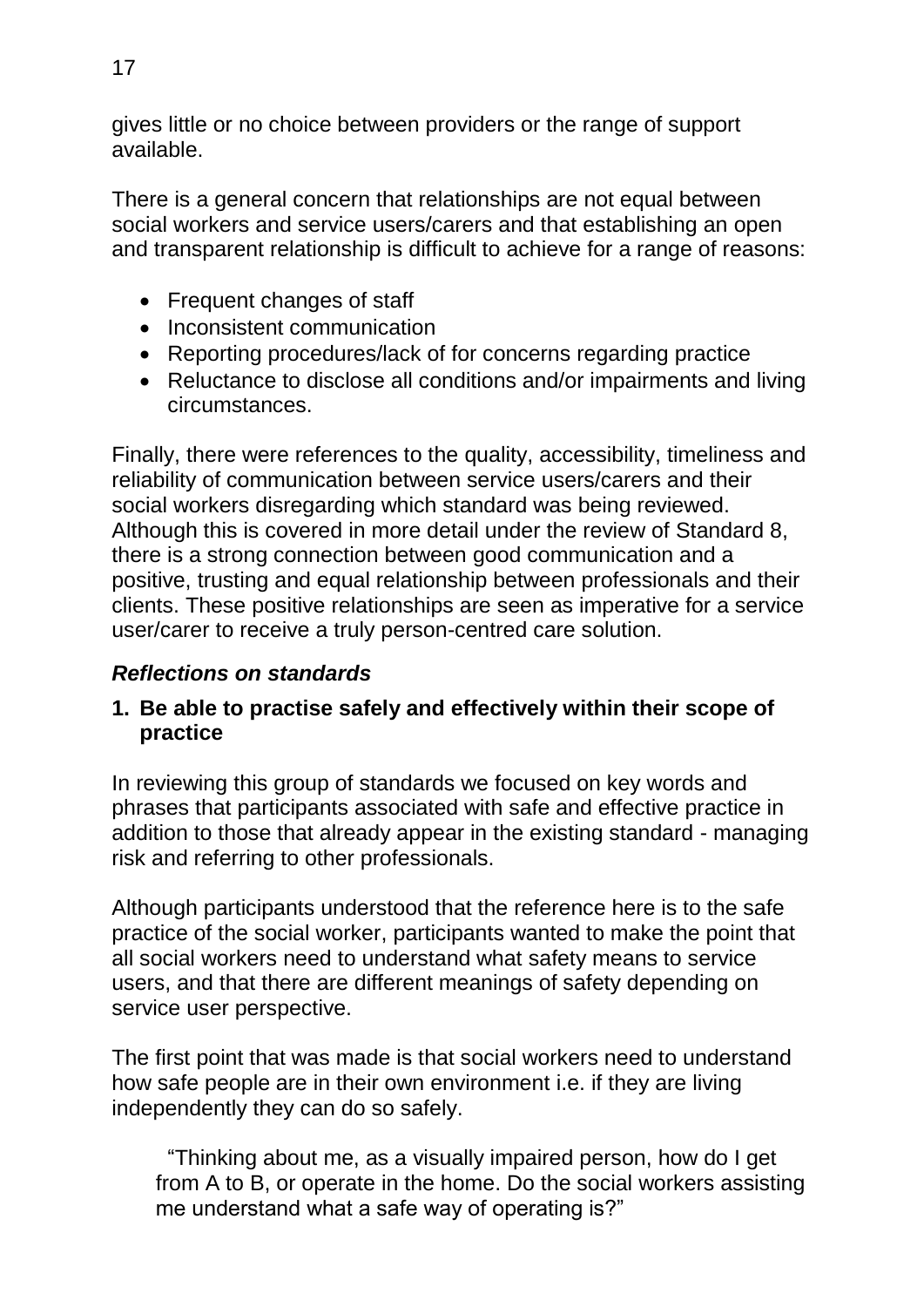gives little or no choice between providers or the range of support available.

There is a general concern that relationships are not equal between social workers and service users/carers and that establishing an open and transparent relationship is difficult to achieve for a range of reasons:

- Frequent changes of staff
- Inconsistent communication
- Reporting procedures/lack of for concerns regarding practice
- Reluctance to disclose all conditions and/or impairments and living circumstances.

Finally, there were references to the quality, accessibility, timeliness and reliability of communication between service users/carers and their social workers disregarding which standard was being reviewed. Although this is covered in more detail under the review of Standard 8, there is a strong connection between good communication and a positive, trusting and equal relationship between professionals and their clients. These positive relationships are seen as imperative for a service user/carer to receive a truly person-centred care solution.

# *Reflections on standards*

#### **1. Be able to practise safely and effectively within their scope of practice**

In reviewing this group of standards we focused on key words and phrases that participants associated with safe and effective practice in addition to those that already appear in the existing standard - managing risk and referring to other professionals.

Although participants understood that the reference here is to the safe practice of the social worker, participants wanted to make the point that all social workers need to understand what safety means to service users, and that there are different meanings of safety depending on service user perspective.

The first point that was made is that social workers need to understand how safe people are in their own environment i.e. if they are living independently they can do so safely.

"Thinking about me, as a visually impaired person, how do I get from A to B, or operate in the home. Do the social workers assisting me understand what a safe way of operating is?"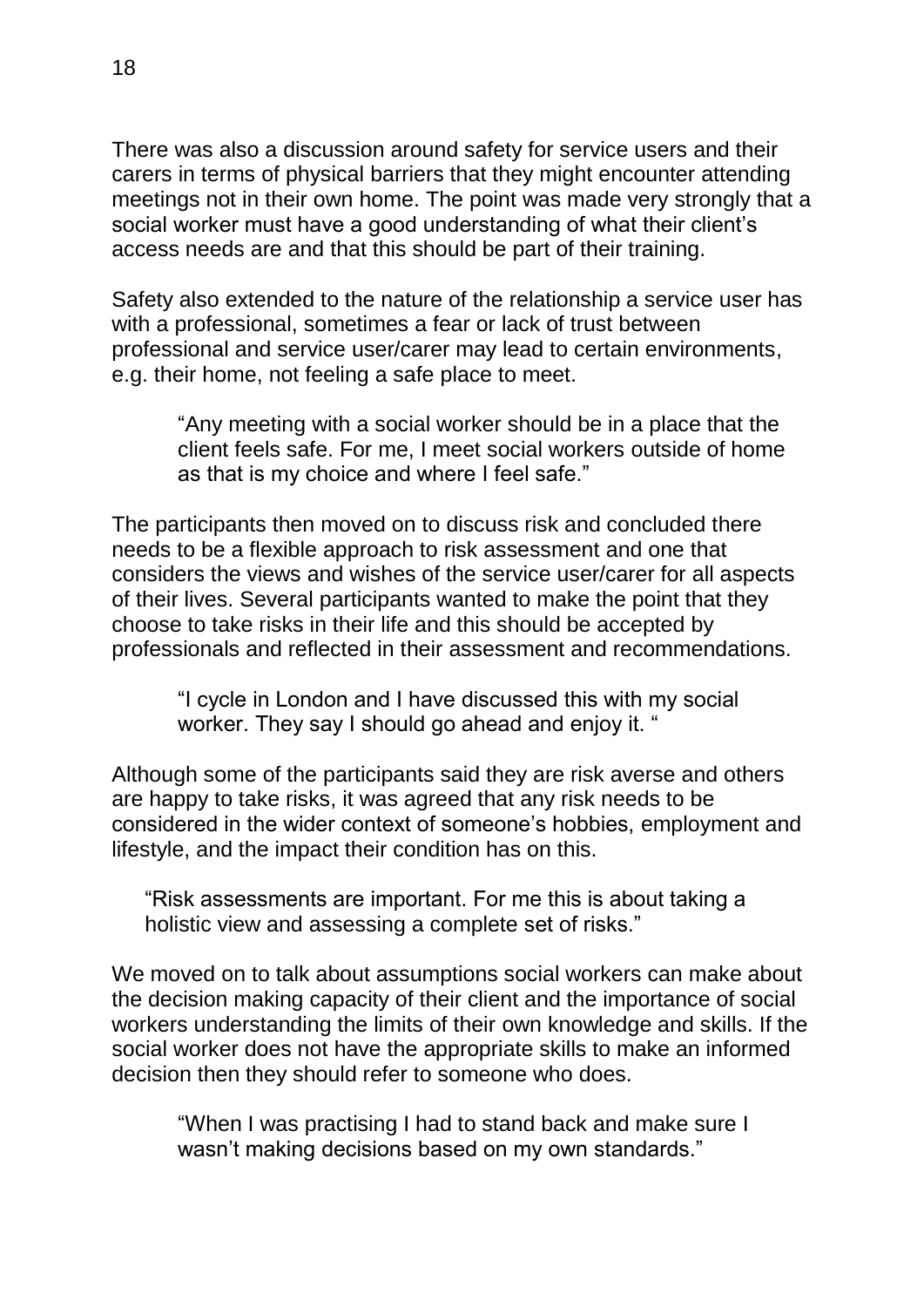There was also a discussion around safety for service users and their carers in terms of physical barriers that they might encounter attending meetings not in their own home. The point was made very strongly that a social worker must have a good understanding of what their client's access needs are and that this should be part of their training.

Safety also extended to the nature of the relationship a service user has with a professional, sometimes a fear or lack of trust between professional and service user/carer may lead to certain environments, e.g. their home, not feeling a safe place to meet.

"Any meeting with a social worker should be in a place that the client feels safe. For me, I meet social workers outside of home as that is my choice and where I feel safe."

The participants then moved on to discuss risk and concluded there needs to be a flexible approach to risk assessment and one that considers the views and wishes of the service user/carer for all aspects of their lives. Several participants wanted to make the point that they choose to take risks in their life and this should be accepted by professionals and reflected in their assessment and recommendations.

"I cycle in London and I have discussed this with my social worker. They say I should go ahead and enjoy it. "

Although some of the participants said they are risk averse and others are happy to take risks, it was agreed that any risk needs to be considered in the wider context of someone's hobbies, employment and lifestyle, and the impact their condition has on this.

"Risk assessments are important. For me this is about taking a holistic view and assessing a complete set of risks."

We moved on to talk about assumptions social workers can make about the decision making capacity of their client and the importance of social workers understanding the limits of their own knowledge and skills. If the social worker does not have the appropriate skills to make an informed decision then they should refer to someone who does.

"When I was practising I had to stand back and make sure I wasn't making decisions based on my own standards."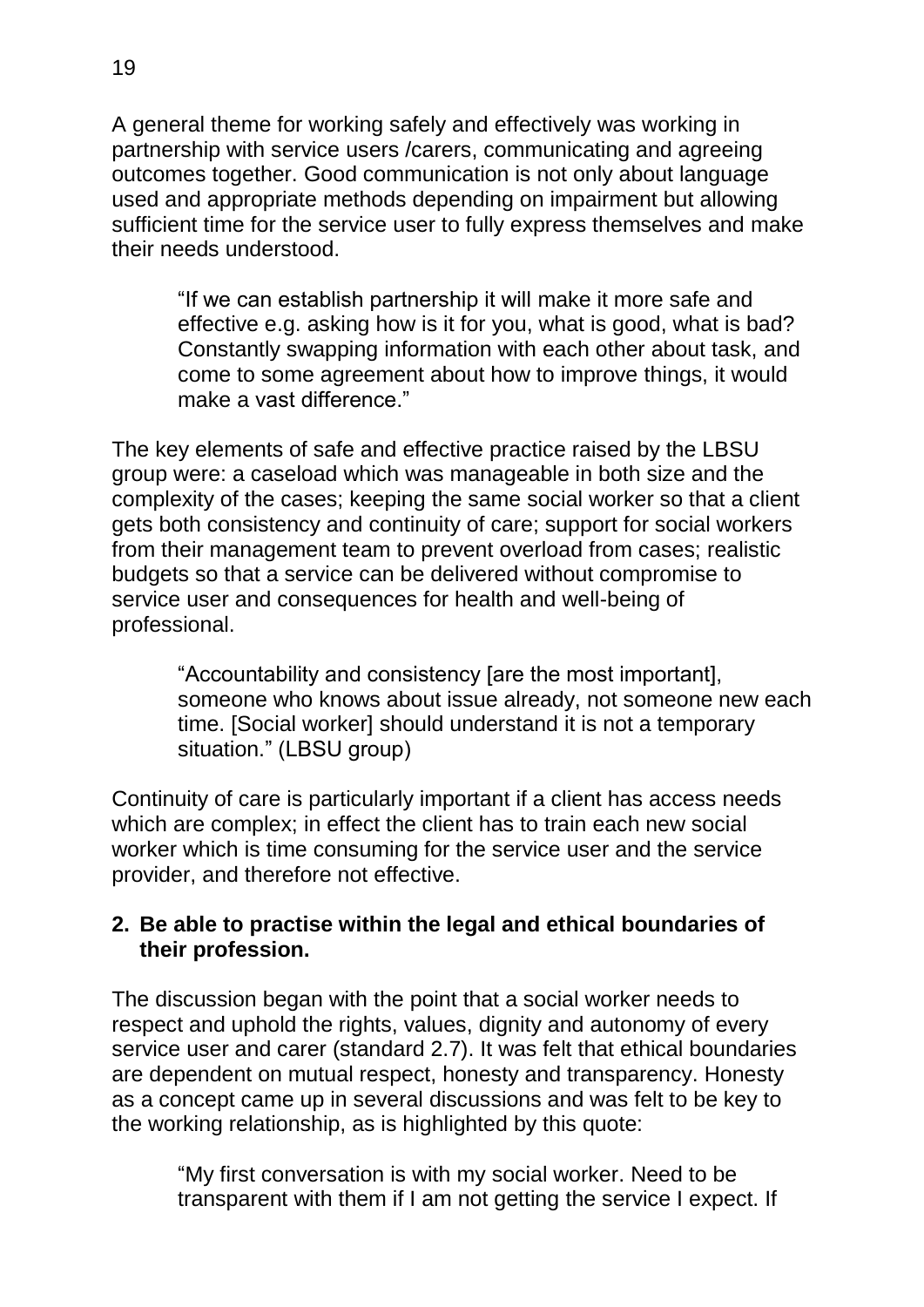A general theme for working safely and effectively was working in partnership with service users /carers, communicating and agreeing outcomes together. Good communication is not only about language used and appropriate methods depending on impairment but allowing sufficient time for the service user to fully express themselves and make their needs understood.

"If we can establish partnership it will make it more safe and effective e.g. asking how is it for you, what is good, what is bad? Constantly swapping information with each other about task, and come to some agreement about how to improve things, it would make a vast difference."

The key elements of safe and effective practice raised by the LBSU group were: a caseload which was manageable in both size and the complexity of the cases; keeping the same social worker so that a client gets both consistency and continuity of care; support for social workers from their management team to prevent overload from cases; realistic budgets so that a service can be delivered without compromise to service user and consequences for health and well-being of professional.

"Accountability and consistency [are the most important], someone who knows about issue already, not someone new each time. [Social worker] should understand it is not a temporary situation." (LBSU group)

Continuity of care is particularly important if a client has access needs which are complex; in effect the client has to train each new social worker which is time consuming for the service user and the service provider, and therefore not effective.

#### **2. Be able to practise within the legal and ethical boundaries of their profession.**

The discussion began with the point that a social worker needs to respect and uphold the rights, values, dignity and autonomy of every service user and carer (standard 2.7). It was felt that ethical boundaries are dependent on mutual respect, honesty and transparency. Honesty as a concept came up in several discussions and was felt to be key to the working relationship, as is highlighted by this quote:

"My first conversation is with my social worker. Need to be transparent with them if I am not getting the service I expect. If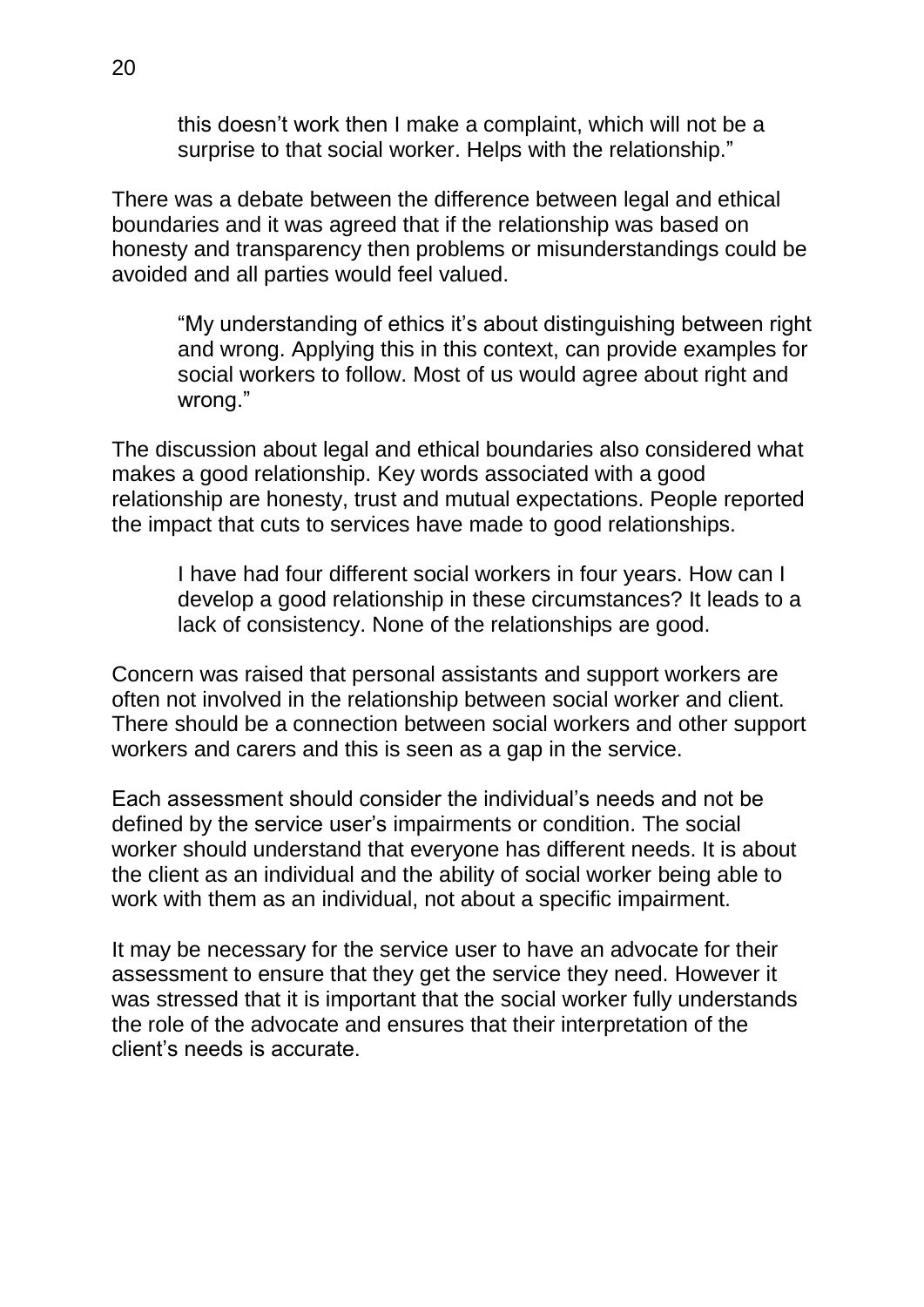this doesn't work then I make a complaint, which will not be a surprise to that social worker. Helps with the relationship."

There was a debate between the difference between legal and ethical boundaries and it was agreed that if the relationship was based on honesty and transparency then problems or misunderstandings could be avoided and all parties would feel valued.

"My understanding of ethics it's about distinguishing between right and wrong. Applying this in this context, can provide examples for social workers to follow. Most of us would agree about right and wrong."

The discussion about legal and ethical boundaries also considered what makes a good relationship. Key words associated with a good relationship are honesty, trust and mutual expectations. People reported the impact that cuts to services have made to good relationships.

I have had four different social workers in four years. How can I develop a good relationship in these circumstances? It leads to a lack of consistency. None of the relationships are good.

Concern was raised that personal assistants and support workers are often not involved in the relationship between social worker and client. There should be a connection between social workers and other support workers and carers and this is seen as a gap in the service.

Each assessment should consider the individual's needs and not be defined by the service user's impairments or condition. The social worker should understand that everyone has different needs. It is about the client as an individual and the ability of social worker being able to work with them as an individual, not about a specific impairment.

It may be necessary for the service user to have an advocate for their assessment to ensure that they get the service they need. However it was stressed that it is important that the social worker fully understands the role of the advocate and ensures that their interpretation of the client's needs is accurate.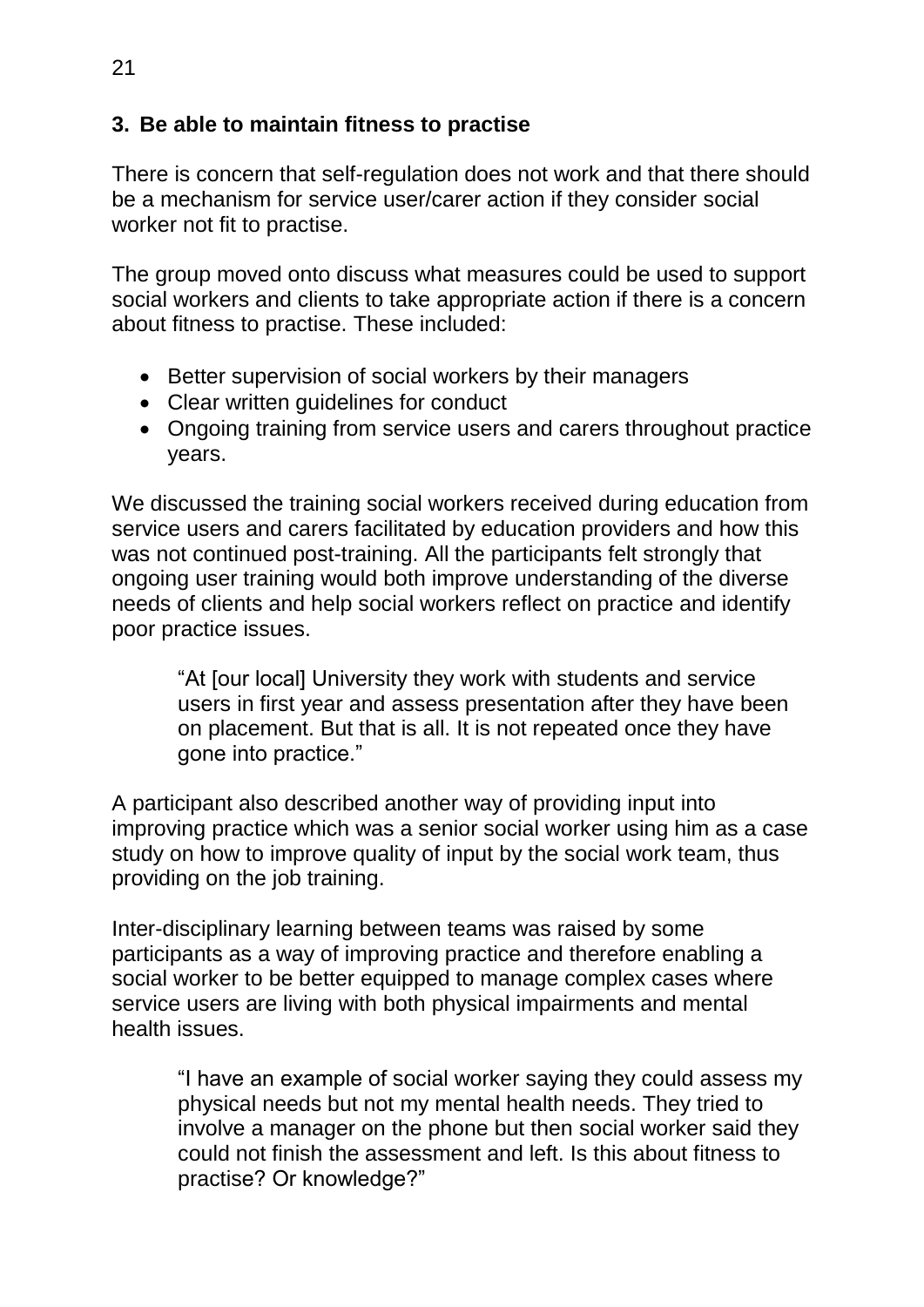## **3. Be able to maintain fitness to practise**

There is concern that self-regulation does not work and that there should be a mechanism for service user/carer action if they consider social worker not fit to practise.

The group moved onto discuss what measures could be used to support social workers and clients to take appropriate action if there is a concern about fitness to practise. These included:

- Better supervision of social workers by their managers
- Clear written quidelines for conduct
- Ongoing training from service users and carers throughout practice years.

We discussed the training social workers received during education from service users and carers facilitated by education providers and how this was not continued post-training. All the participants felt strongly that ongoing user training would both improve understanding of the diverse needs of clients and help social workers reflect on practice and identify poor practice issues.

"At [our local] University they work with students and service users in first year and assess presentation after they have been on placement. But that is all. It is not repeated once they have gone into practice."

A participant also described another way of providing input into improving practice which was a senior social worker using him as a case study on how to improve quality of input by the social work team, thus providing on the job training.

Inter-disciplinary learning between teams was raised by some participants as a way of improving practice and therefore enabling a social worker to be better equipped to manage complex cases where service users are living with both physical impairments and mental health issues.

> "I have an example of social worker saying they could assess my physical needs but not my mental health needs. They tried to involve a manager on the phone but then social worker said they could not finish the assessment and left. Is this about fitness to practise? Or knowledge?"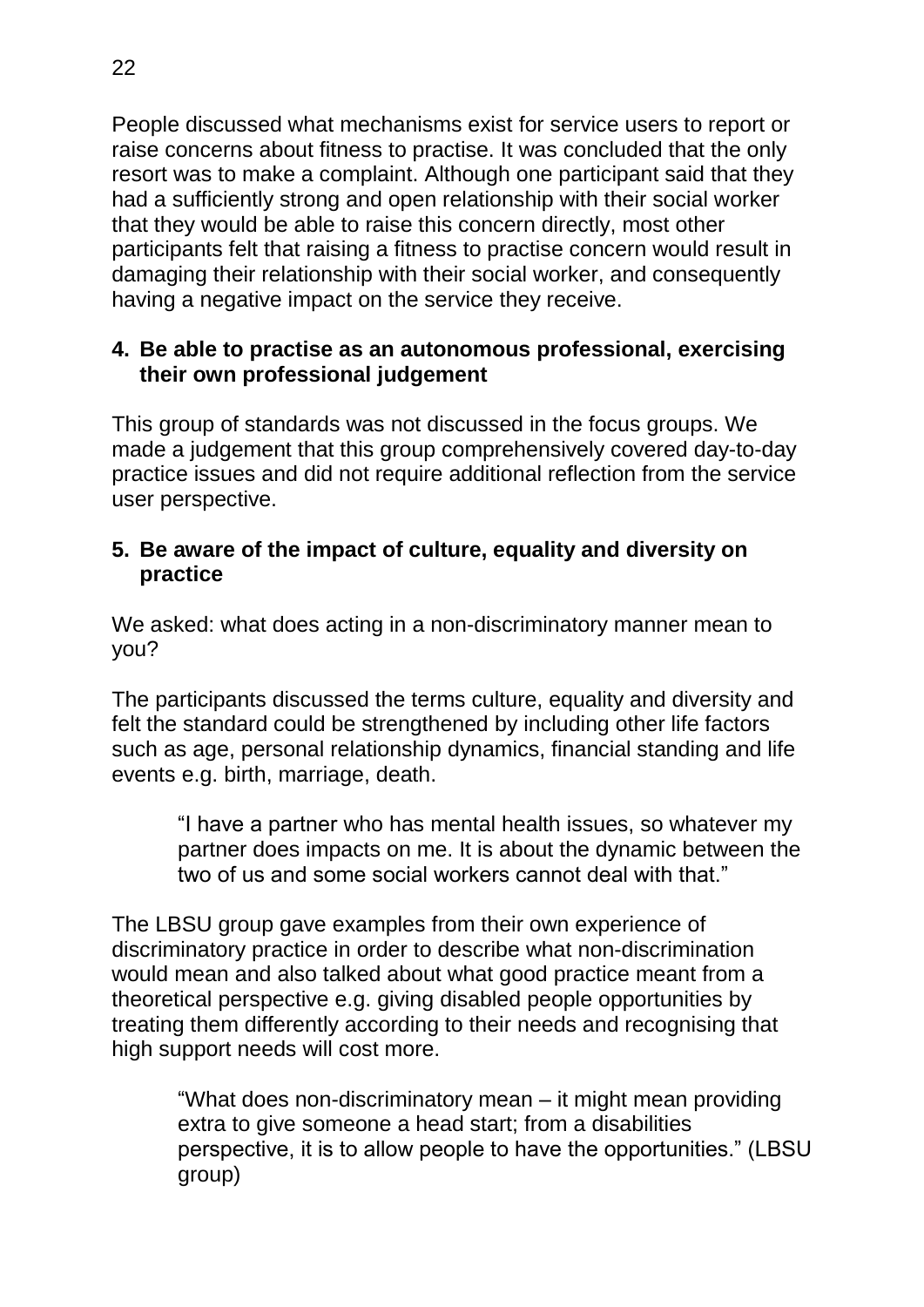People discussed what mechanisms exist for service users to report or raise concerns about fitness to practise. It was concluded that the only resort was to make a complaint. Although one participant said that they had a sufficiently strong and open relationship with their social worker that they would be able to raise this concern directly, most other participants felt that raising a fitness to practise concern would result in damaging their relationship with their social worker, and consequently having a negative impact on the service they receive.

#### **4. Be able to practise as an autonomous professional, exercising their own professional judgement**

This group of standards was not discussed in the focus groups. We made a judgement that this group comprehensively covered day-to-day practice issues and did not require additional reflection from the service user perspective.

#### **5. Be aware of the impact of culture, equality and diversity on practice**

We asked: what does acting in a non-discriminatory manner mean to you?

The participants discussed the terms culture, equality and diversity and felt the standard could be strengthened by including other life factors such as age, personal relationship dynamics, financial standing and life events e.g. birth, marriage, death.

"I have a partner who has mental health issues, so whatever my partner does impacts on me. It is about the dynamic between the two of us and some social workers cannot deal with that."

The LBSU group gave examples from their own experience of discriminatory practice in order to describe what non-discrimination would mean and also talked about what good practice meant from a theoretical perspective e.g. giving disabled people opportunities by treating them differently according to their needs and recognising that high support needs will cost more.

"What does non-discriminatory mean – it might mean providing extra to give someone a head start; from a disabilities perspective, it is to allow people to have the opportunities." (LBSU group)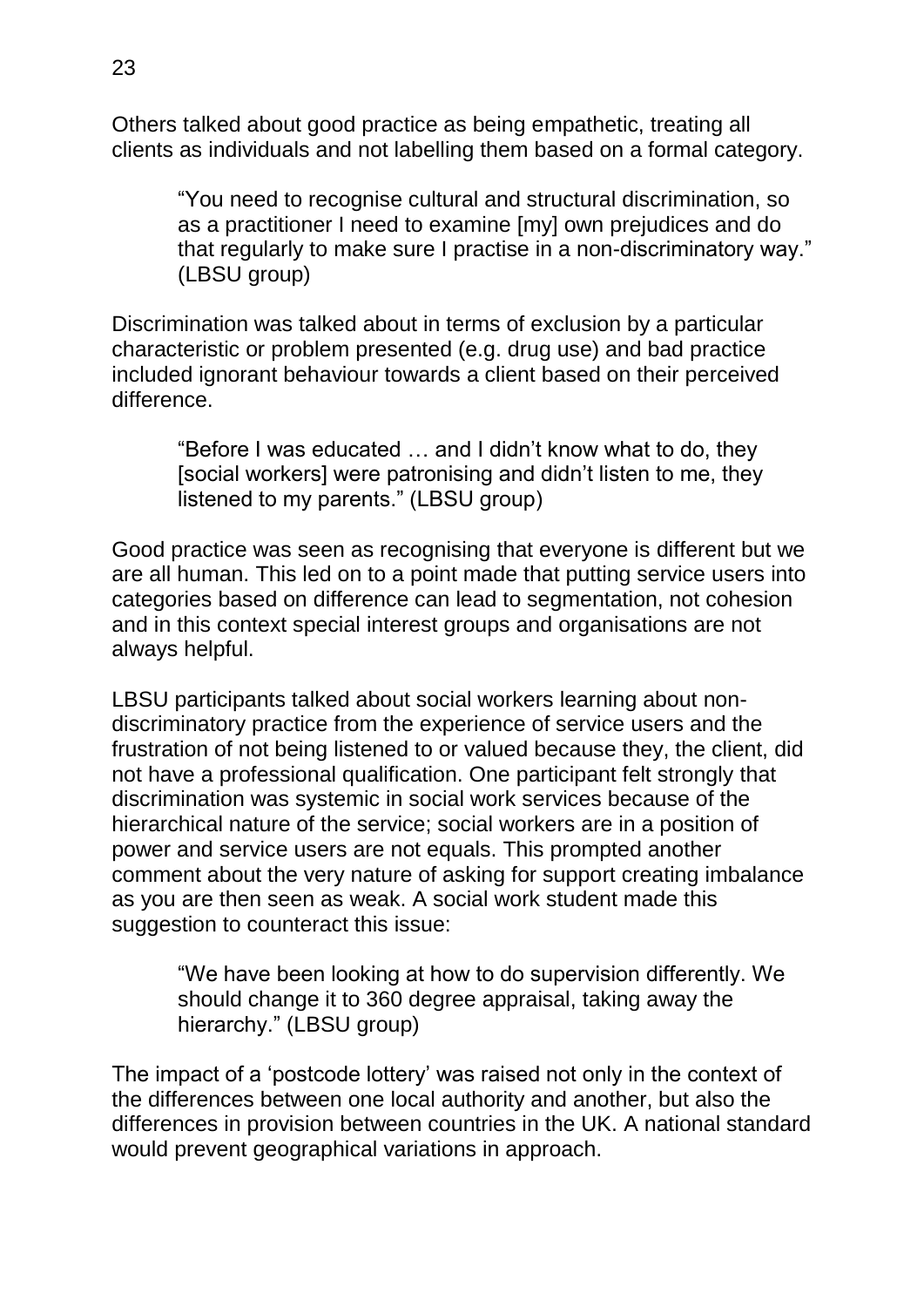Others talked about good practice as being empathetic, treating all clients as individuals and not labelling them based on a formal category.

"You need to recognise cultural and structural discrimination, so as a practitioner I need to examine [my] own prejudices and do that regularly to make sure I practise in a non-discriminatory way." (LBSU group)

Discrimination was talked about in terms of exclusion by a particular characteristic or problem presented (e.g. drug use) and bad practice included ignorant behaviour towards a client based on their perceived difference.

"Before I was educated … and I didn't know what to do, they [social workers] were patronising and didn't listen to me, they listened to my parents." (LBSU group)

Good practice was seen as recognising that everyone is different but we are all human. This led on to a point made that putting service users into categories based on difference can lead to segmentation, not cohesion and in this context special interest groups and organisations are not always helpful.

LBSU participants talked about social workers learning about nondiscriminatory practice from the experience of service users and the frustration of not being listened to or valued because they, the client, did not have a professional qualification. One participant felt strongly that discrimination was systemic in social work services because of the hierarchical nature of the service; social workers are in a position of power and service users are not equals. This prompted another comment about the very nature of asking for support creating imbalance as you are then seen as weak. A social work student made this suggestion to counteract this issue:

"We have been looking at how to do supervision differently. We should change it to 360 degree appraisal, taking away the hierarchy." (LBSU group)

The impact of a 'postcode lottery' was raised not only in the context of the differences between one local authority and another, but also the differences in provision between countries in the UK. A national standard would prevent geographical variations in approach.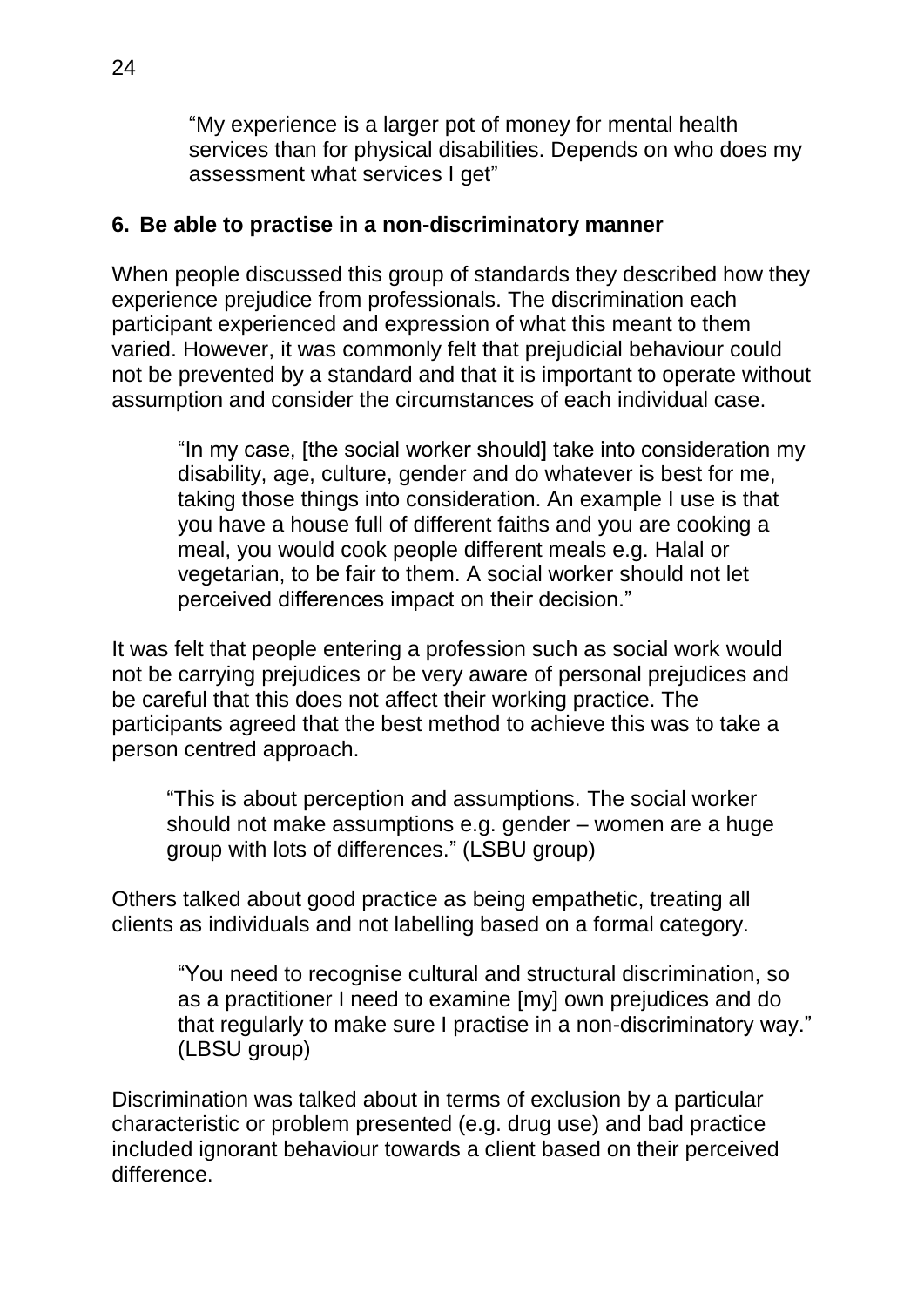"My experience is a larger pot of money for mental health services than for physical disabilities. Depends on who does my assessment what services I get"

### **6. Be able to practise in a non-discriminatory manner**

When people discussed this group of standards they described how they experience prejudice from professionals. The discrimination each participant experienced and expression of what this meant to them varied. However, it was commonly felt that prejudicial behaviour could not be prevented by a standard and that it is important to operate without assumption and consider the circumstances of each individual case.

"In my case, [the social worker should] take into consideration my disability, age, culture, gender and do whatever is best for me, taking those things into consideration. An example I use is that you have a house full of different faiths and you are cooking a meal, you would cook people different meals e.g. Halal or vegetarian, to be fair to them. A social worker should not let perceived differences impact on their decision."

It was felt that people entering a profession such as social work would not be carrying prejudices or be very aware of personal prejudices and be careful that this does not affect their working practice. The participants agreed that the best method to achieve this was to take a person centred approach.

"This is about perception and assumptions. The social worker should not make assumptions e.g. gender – women are a huge group with lots of differences." (LSBU group)

Others talked about good practice as being empathetic, treating all clients as individuals and not labelling based on a formal category.

> "You need to recognise cultural and structural discrimination, so as a practitioner I need to examine [my] own prejudices and do that regularly to make sure I practise in a non-discriminatory way." (LBSU group)

Discrimination was talked about in terms of exclusion by a particular characteristic or problem presented (e.g. drug use) and bad practice included ignorant behaviour towards a client based on their perceived difference.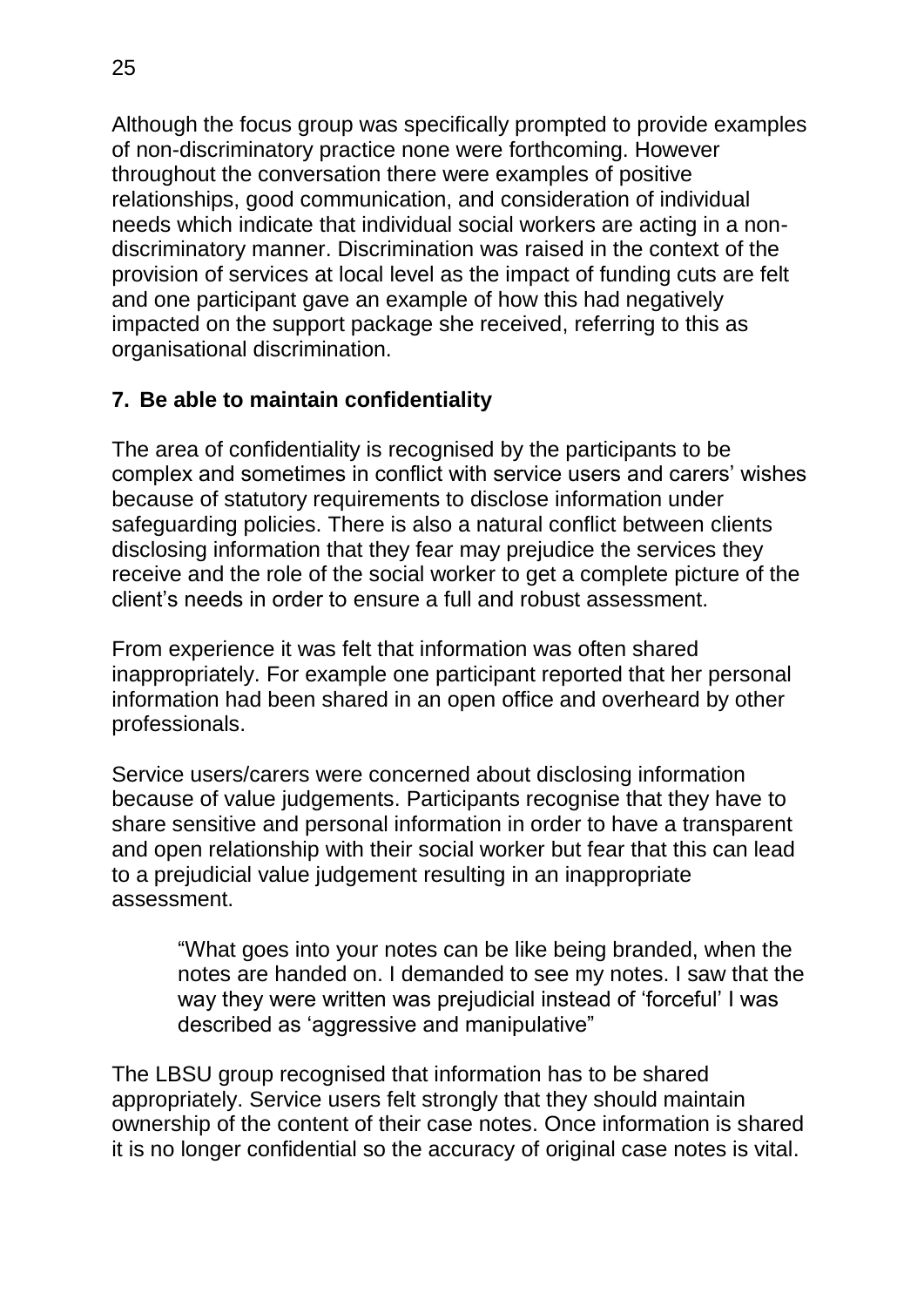Although the focus group was specifically prompted to provide examples of non-discriminatory practice none were forthcoming. However throughout the conversation there were examples of positive relationships, good communication, and consideration of individual needs which indicate that individual social workers are acting in a nondiscriminatory manner. Discrimination was raised in the context of the provision of services at local level as the impact of funding cuts are felt and one participant gave an example of how this had negatively impacted on the support package she received, referring to this as organisational discrimination.

#### **7. Be able to maintain confidentiality**

The area of confidentiality is recognised by the participants to be complex and sometimes in conflict with service users and carers' wishes because of statutory requirements to disclose information under safeguarding policies. There is also a natural conflict between clients disclosing information that they fear may prejudice the services they receive and the role of the social worker to get a complete picture of the client's needs in order to ensure a full and robust assessment.

From experience it was felt that information was often shared inappropriately. For example one participant reported that her personal information had been shared in an open office and overheard by other professionals.

Service users/carers were concerned about disclosing information because of value judgements. Participants recognise that they have to share sensitive and personal information in order to have a transparent and open relationship with their social worker but fear that this can lead to a prejudicial value judgement resulting in an inappropriate assessment.

"What goes into your notes can be like being branded, when the notes are handed on. I demanded to see my notes. I saw that the way they were written was prejudicial instead of 'forceful' I was described as 'aggressive and manipulative"

The LBSU group recognised that information has to be shared appropriately. Service users felt strongly that they should maintain ownership of the content of their case notes. Once information is shared it is no longer confidential so the accuracy of original case notes is vital.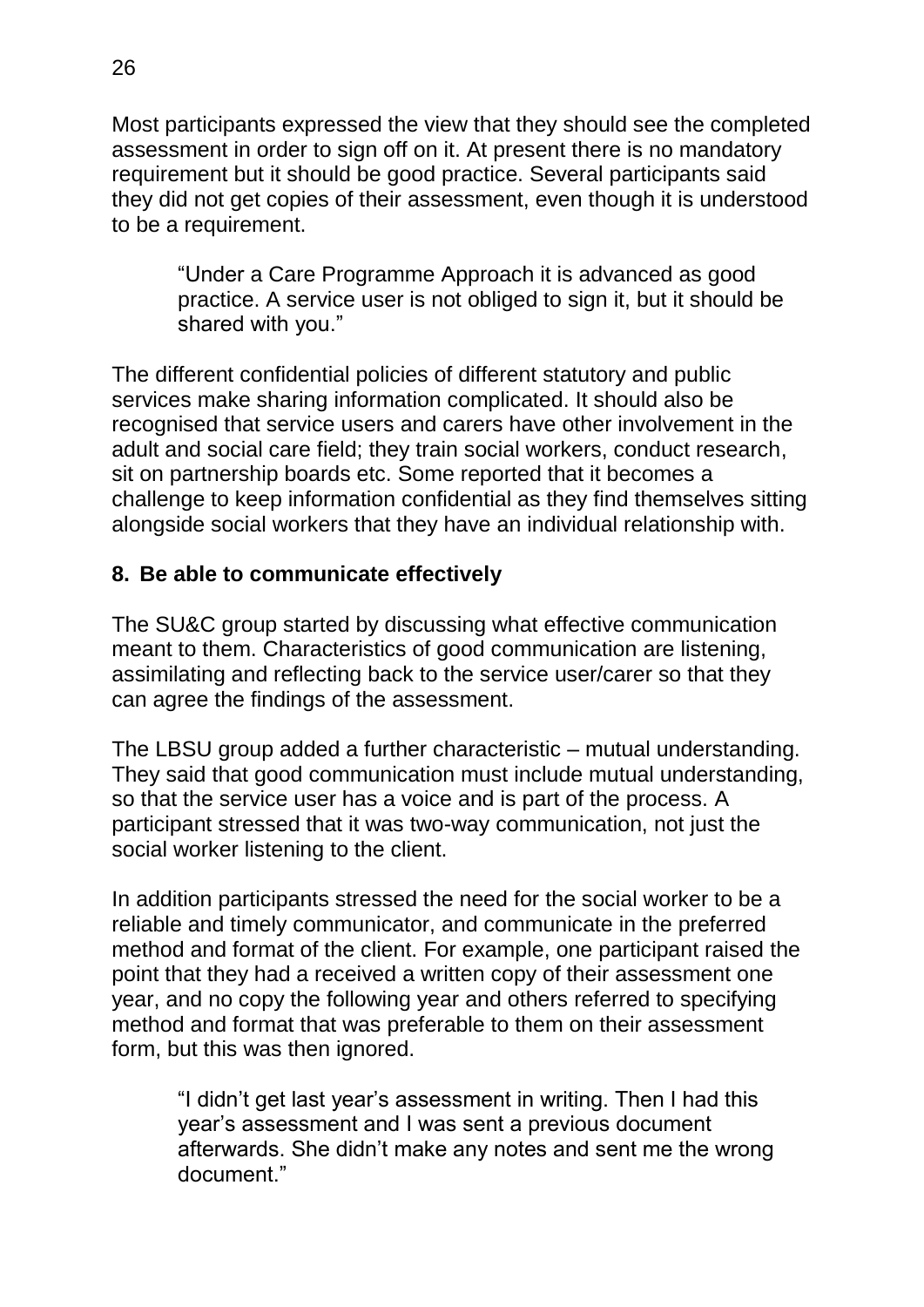Most participants expressed the view that they should see the completed assessment in order to sign off on it. At present there is no mandatory requirement but it should be good practice. Several participants said they did not get copies of their assessment, even though it is understood to be a requirement.

"Under a Care Programme Approach it is advanced as good practice. A service user is not obliged to sign it, but it should be shared with you."

The different confidential policies of different statutory and public services make sharing information complicated. It should also be recognised that service users and carers have other involvement in the adult and social care field; they train social workers, conduct research, sit on partnership boards etc. Some reported that it becomes a challenge to keep information confidential as they find themselves sitting alongside social workers that they have an individual relationship with.

#### **8. Be able to communicate effectively**

The SU&C group started by discussing what effective communication meant to them. Characteristics of good communication are listening, assimilating and reflecting back to the service user/carer so that they can agree the findings of the assessment.

The LBSU group added a further characteristic – mutual understanding. They said that good communication must include mutual understanding, so that the service user has a voice and is part of the process. A participant stressed that it was two-way communication, not just the social worker listening to the client.

In addition participants stressed the need for the social worker to be a reliable and timely communicator, and communicate in the preferred method and format of the client. For example, one participant raised the point that they had a received a written copy of their assessment one year, and no copy the following year and others referred to specifying method and format that was preferable to them on their assessment form, but this was then ignored.

"I didn't get last year's assessment in writing. Then I had this year's assessment and I was sent a previous document afterwards. She didn't make any notes and sent me the wrong document"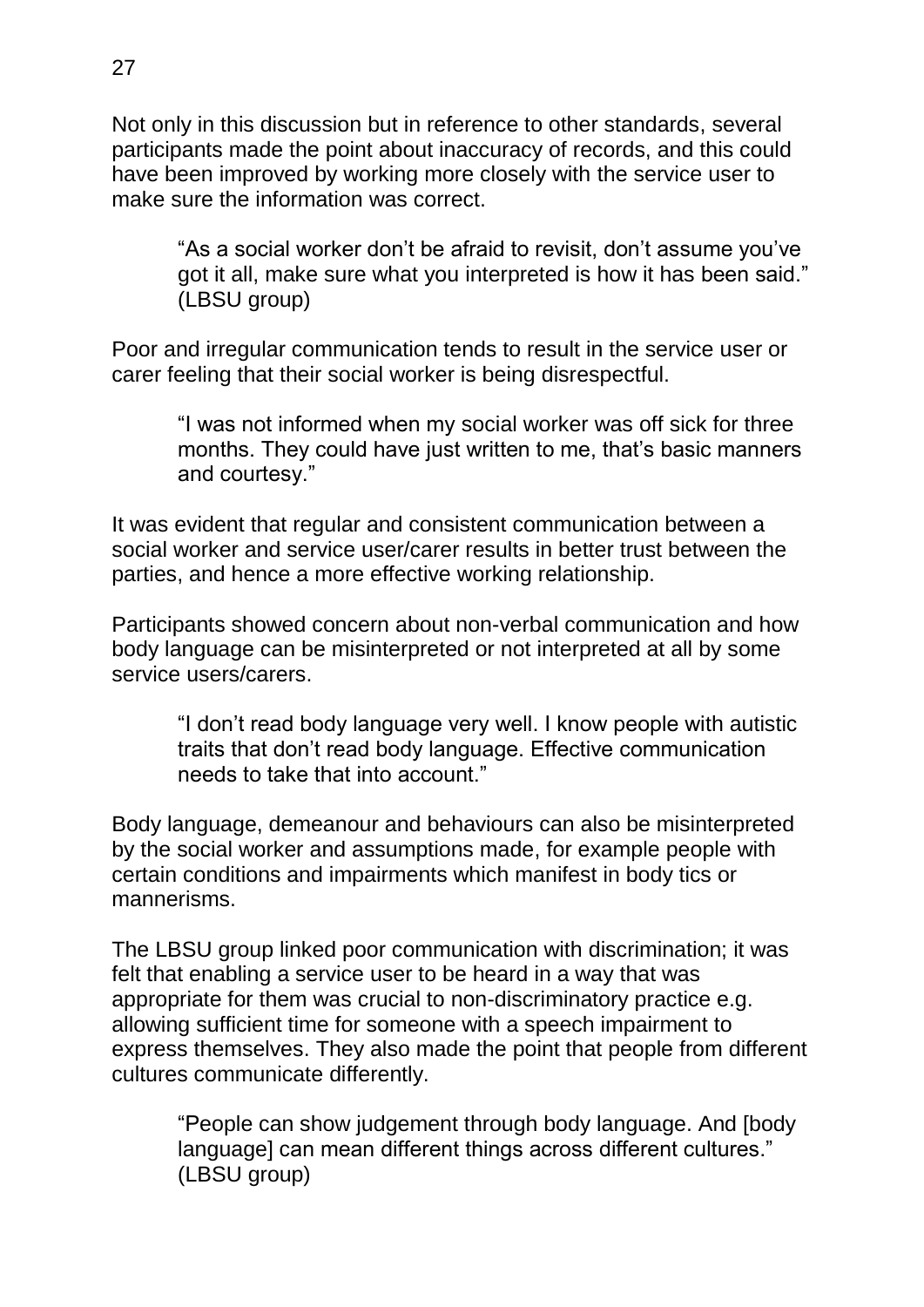Not only in this discussion but in reference to other standards, several participants made the point about inaccuracy of records, and this could have been improved by working more closely with the service user to make sure the information was correct.

"As a social worker don't be afraid to revisit, don't assume you've got it all, make sure what you interpreted is how it has been said." (LBSU group)

Poor and irregular communication tends to result in the service user or carer feeling that their social worker is being disrespectful.

"I was not informed when my social worker was off sick for three months. They could have just written to me, that's basic manners and courtesy."

It was evident that regular and consistent communication between a social worker and service user/carer results in better trust between the parties, and hence a more effective working relationship.

Participants showed concern about non-verbal communication and how body language can be misinterpreted or not interpreted at all by some service users/carers.

"I don't read body language very well. I know people with autistic traits that don't read body language. Effective communication needs to take that into account."

Body language, demeanour and behaviours can also be misinterpreted by the social worker and assumptions made, for example people with certain conditions and impairments which manifest in body tics or mannerisms.

The LBSU group linked poor communication with discrimination; it was felt that enabling a service user to be heard in a way that was appropriate for them was crucial to non-discriminatory practice e.g. allowing sufficient time for someone with a speech impairment to express themselves. They also made the point that people from different cultures communicate differently.

"People can show judgement through body language. And [body language] can mean different things across different cultures." (LBSU group)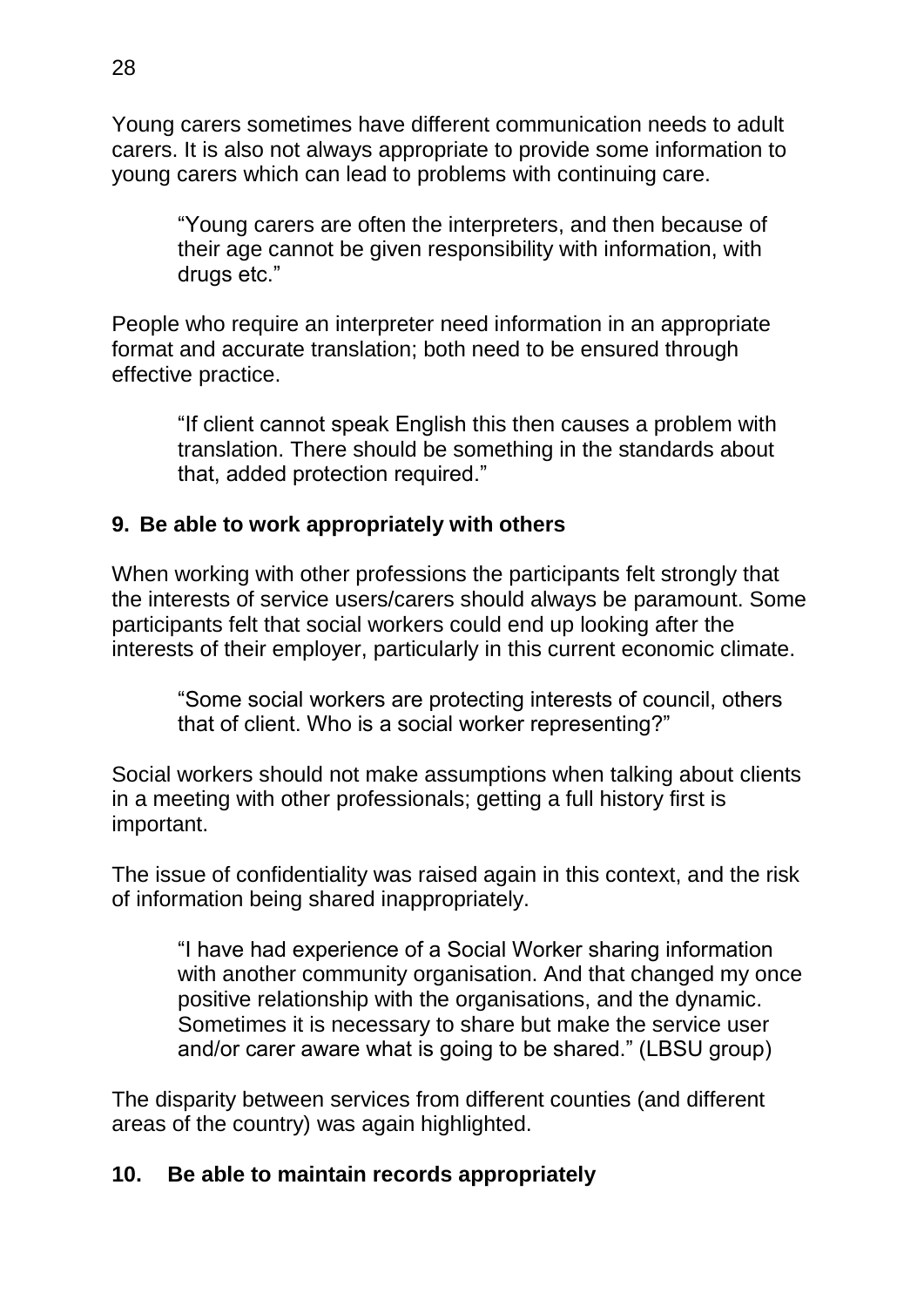Young carers sometimes have different communication needs to adult carers. It is also not always appropriate to provide some information to young carers which can lead to problems with continuing care.

"Young carers are often the interpreters, and then because of their age cannot be given responsibility with information, with drugs etc."

People who require an interpreter need information in an appropriate format and accurate translation; both need to be ensured through effective practice.

"If client cannot speak English this then causes a problem with translation. There should be something in the standards about that, added protection required."

## **9. Be able to work appropriately with others**

When working with other professions the participants felt strongly that the interests of service users/carers should always be paramount. Some participants felt that social workers could end up looking after the interests of their employer, particularly in this current economic climate.

"Some social workers are protecting interests of council, others that of client. Who is a social worker representing?"

Social workers should not make assumptions when talking about clients in a meeting with other professionals; getting a full history first is important.

The issue of confidentiality was raised again in this context, and the risk of information being shared inappropriately.

"I have had experience of a Social Worker sharing information with another community organisation. And that changed my once positive relationship with the organisations, and the dynamic. Sometimes it is necessary to share but make the service user and/or carer aware what is going to be shared." (LBSU group)

The disparity between services from different counties (and different areas of the country) was again highlighted.

#### **10. Be able to maintain records appropriately**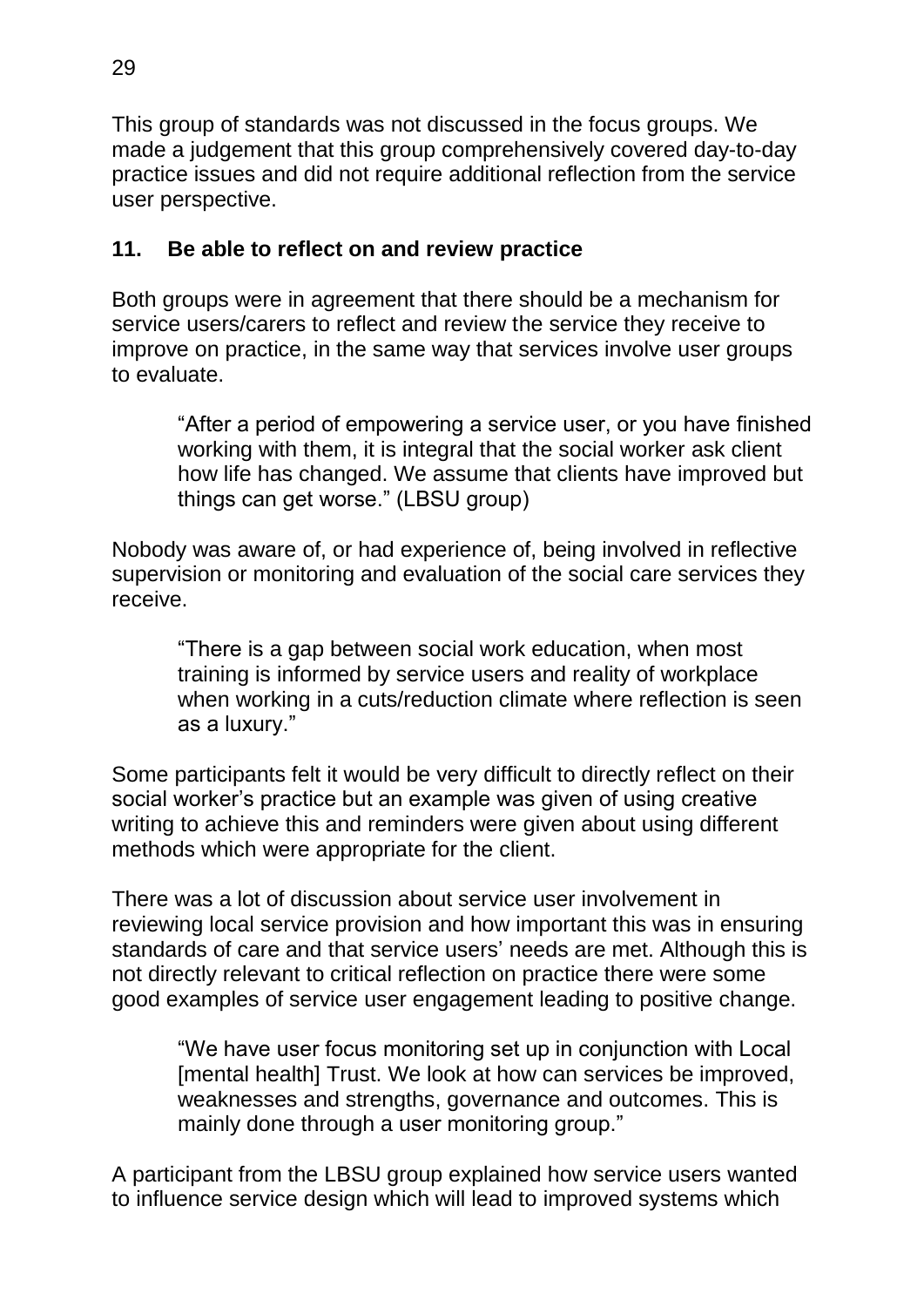This group of standards was not discussed in the focus groups. We made a judgement that this group comprehensively covered day-to-day practice issues and did not require additional reflection from the service user perspective.

## **11. Be able to reflect on and review practice**

Both groups were in agreement that there should be a mechanism for service users/carers to reflect and review the service they receive to improve on practice, in the same way that services involve user groups to evaluate.

"After a period of empowering a service user, or you have finished working with them, it is integral that the social worker ask client how life has changed. We assume that clients have improved but things can get worse." (LBSU group)

Nobody was aware of, or had experience of, being involved in reflective supervision or monitoring and evaluation of the social care services they receive.

"There is a gap between social work education, when most training is informed by service users and reality of workplace when working in a cuts/reduction climate where reflection is seen as a luxury."

Some participants felt it would be very difficult to directly reflect on their social worker's practice but an example was given of using creative writing to achieve this and reminders were given about using different methods which were appropriate for the client.

There was a lot of discussion about service user involvement in reviewing local service provision and how important this was in ensuring standards of care and that service users' needs are met. Although this is not directly relevant to critical reflection on practice there were some good examples of service user engagement leading to positive change.

"We have user focus monitoring set up in conjunction with Local [mental health] Trust. We look at how can services be improved, weaknesses and strengths, governance and outcomes. This is mainly done through a user monitoring group."

A participant from the LBSU group explained how service users wanted to influence service design which will lead to improved systems which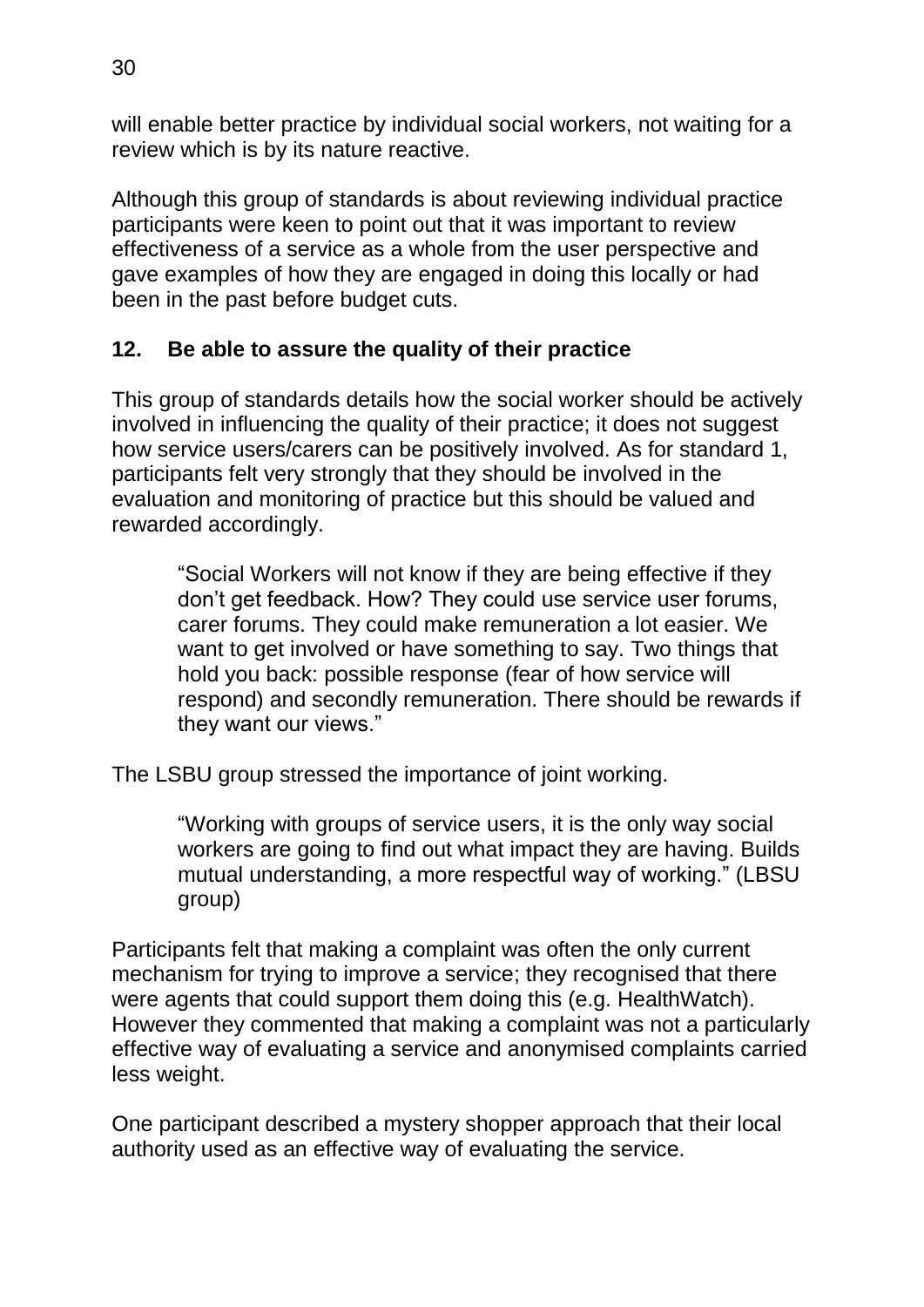will enable better practice by individual social workers, not waiting for a review which is by its nature reactive.

Although this group of standards is about reviewing individual practice participants were keen to point out that it was important to review effectiveness of a service as a whole from the user perspective and gave examples of how they are engaged in doing this locally or had been in the past before budget cuts.

## **12. Be able to assure the quality of their practice**

This group of standards details how the social worker should be actively involved in influencing the quality of their practice; it does not suggest how service users/carers can be positively involved. As for standard 1, participants felt very strongly that they should be involved in the evaluation and monitoring of practice but this should be valued and rewarded accordingly.

"Social Workers will not know if they are being effective if they don't get feedback. How? They could use service user forums, carer forums. They could make remuneration a lot easier. We want to get involved or have something to say. Two things that hold you back: possible response (fear of how service will respond) and secondly remuneration. There should be rewards if they want our views."

The LSBU group stressed the importance of joint working.

"Working with groups of service users, it is the only way social workers are going to find out what impact they are having. Builds mutual understanding, a more respectful way of working." (LBSU group)

Participants felt that making a complaint was often the only current mechanism for trying to improve a service; they recognised that there were agents that could support them doing this (e.g. HealthWatch). However they commented that making a complaint was not a particularly effective way of evaluating a service and anonymised complaints carried less weight.

One participant described a mystery shopper approach that their local authority used as an effective way of evaluating the service.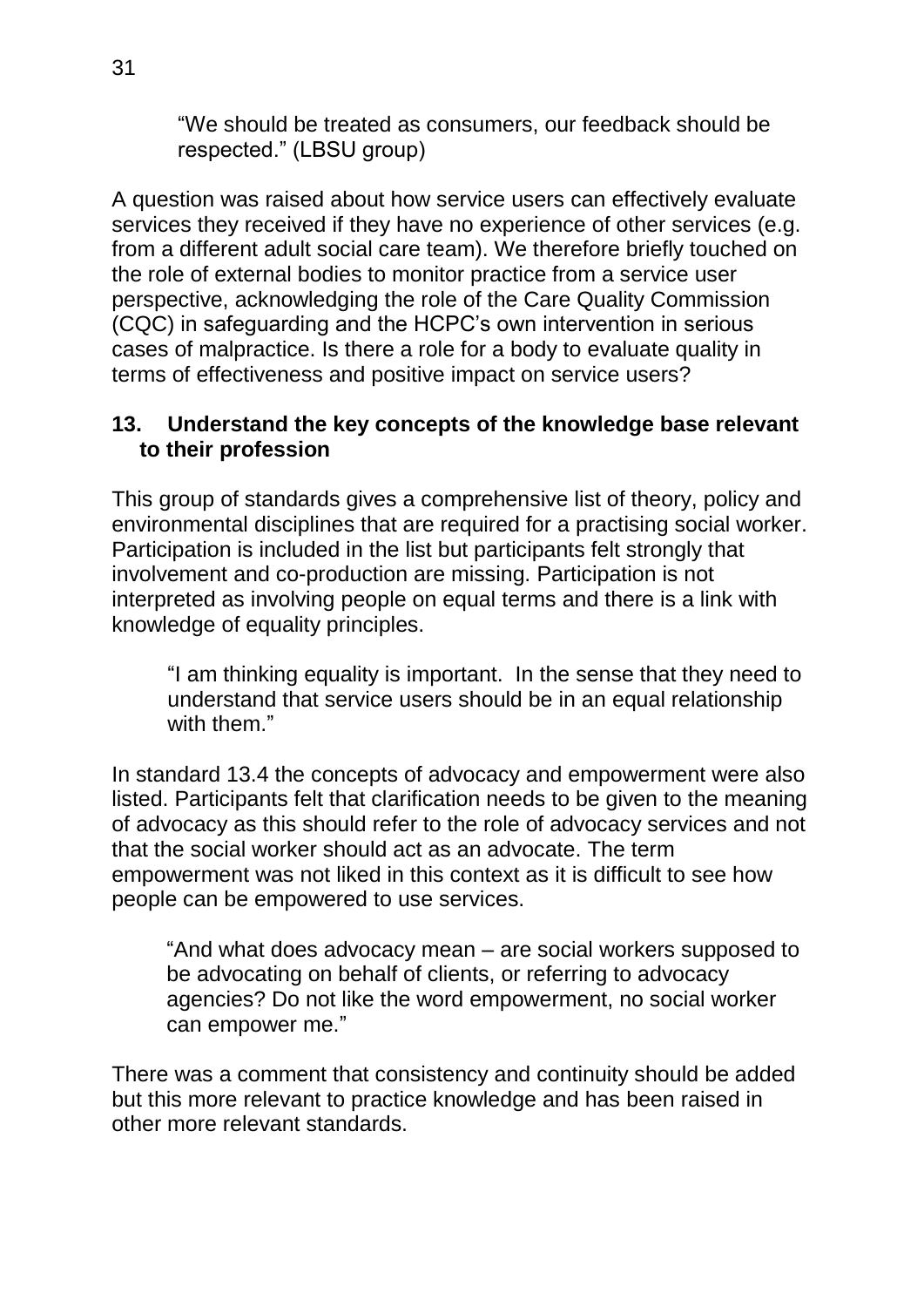"We should be treated as consumers, our feedback should be respected." (LBSU group)

A question was raised about how service users can effectively evaluate services they received if they have no experience of other services (e.g. from a different adult social care team). We therefore briefly touched on the role of external bodies to monitor practice from a service user perspective, acknowledging the role of the Care Quality Commission (CQC) in safeguarding and the HCPC's own intervention in serious cases of malpractice. Is there a role for a body to evaluate quality in terms of effectiveness and positive impact on service users?

#### **13. Understand the key concepts of the knowledge base relevant to their profession**

This group of standards gives a comprehensive list of theory, policy and environmental disciplines that are required for a practising social worker. Participation is included in the list but participants felt strongly that involvement and co-production are missing. Participation is not interpreted as involving people on equal terms and there is a link with knowledge of equality principles.

"I am thinking equality is important. In the sense that they need to understand that service users should be in an equal relationship with them."

In standard 13.4 the concepts of advocacy and empowerment were also listed. Participants felt that clarification needs to be given to the meaning of advocacy as this should refer to the role of advocacy services and not that the social worker should act as an advocate. The term empowerment was not liked in this context as it is difficult to see how people can be empowered to use services.

"And what does advocacy mean – are social workers supposed to be advocating on behalf of clients, or referring to advocacy agencies? Do not like the word empowerment, no social worker can empower me."

There was a comment that consistency and continuity should be added but this more relevant to practice knowledge and has been raised in other more relevant standards.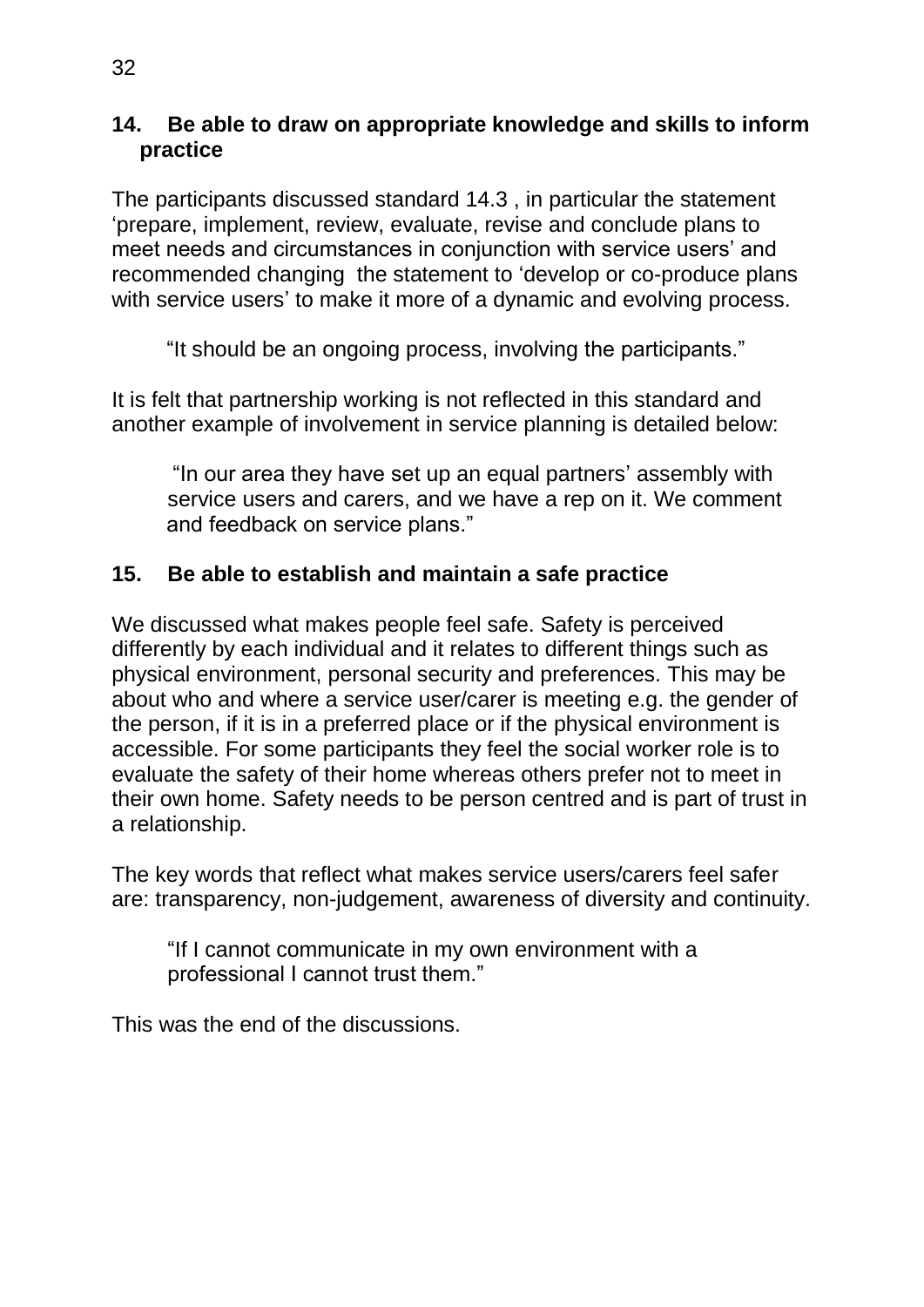#### **14. Be able to draw on appropriate knowledge and skills to inform practice**

The participants discussed standard 14.3 , in particular the statement 'prepare, implement, review, evaluate, revise and conclude plans to meet needs and circumstances in conjunction with service users' and recommended changing the statement to 'develop or co-produce plans with service users' to make it more of a dynamic and evolving process.

"It should be an ongoing process, involving the participants."

It is felt that partnership working is not reflected in this standard and another example of involvement in service planning is detailed below:

"In our area they have set up an equal partners' assembly with service users and carers, and we have a rep on it. We comment and feedback on service plans."

## **15. Be able to establish and maintain a safe practice**

We discussed what makes people feel safe. Safety is perceived differently by each individual and it relates to different things such as physical environment, personal security and preferences. This may be about who and where a service user/carer is meeting e.g. the gender of the person, if it is in a preferred place or if the physical environment is accessible. For some participants they feel the social worker role is to evaluate the safety of their home whereas others prefer not to meet in their own home. Safety needs to be person centred and is part of trust in a relationship.

The key words that reflect what makes service users/carers feel safer are: transparency, non-judgement, awareness of diversity and continuity.

"If I cannot communicate in my own environment with a professional I cannot trust them."

This was the end of the discussions.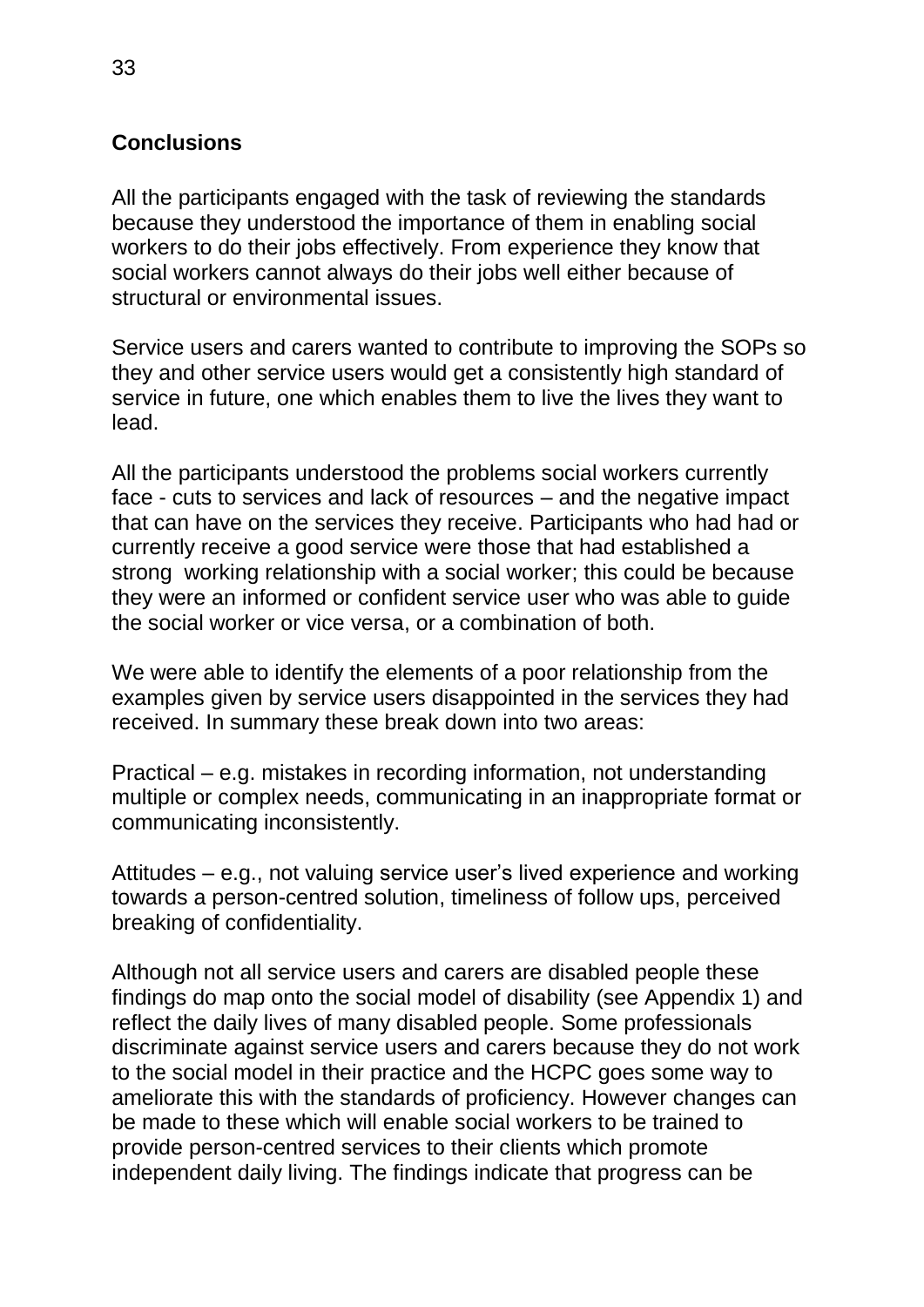## <span id="page-32-0"></span>**Conclusions**

All the participants engaged with the task of reviewing the standards because they understood the importance of them in enabling social workers to do their jobs effectively. From experience they know that social workers cannot always do their jobs well either because of structural or environmental issues.

Service users and carers wanted to contribute to improving the SOPs so they and other service users would get a consistently high standard of service in future, one which enables them to live the lives they want to lead.

All the participants understood the problems social workers currently face - cuts to services and lack of resources – and the negative impact that can have on the services they receive. Participants who had had or currently receive a good service were those that had established a strong working relationship with a social worker; this could be because they were an informed or confident service user who was able to guide the social worker or vice versa, or a combination of both.

We were able to identify the elements of a poor relationship from the examples given by service users disappointed in the services they had received. In summary these break down into two areas:

Practical – e.g. mistakes in recording information, not understanding multiple or complex needs, communicating in an inappropriate format or communicating inconsistently.

Attitudes – e.g., not valuing service user's lived experience and working towards a person-centred solution, timeliness of follow ups, perceived breaking of confidentiality.

Although not all service users and carers are disabled people these findings do map onto the social model of disability (see Appendix 1) and reflect the daily lives of many disabled people. Some professionals discriminate against service users and carers because they do not work to the social model in their practice and the HCPC goes some way to ameliorate this with the standards of proficiency. However changes can be made to these which will enable social workers to be trained to provide person-centred services to their clients which promote independent daily living. The findings indicate that progress can be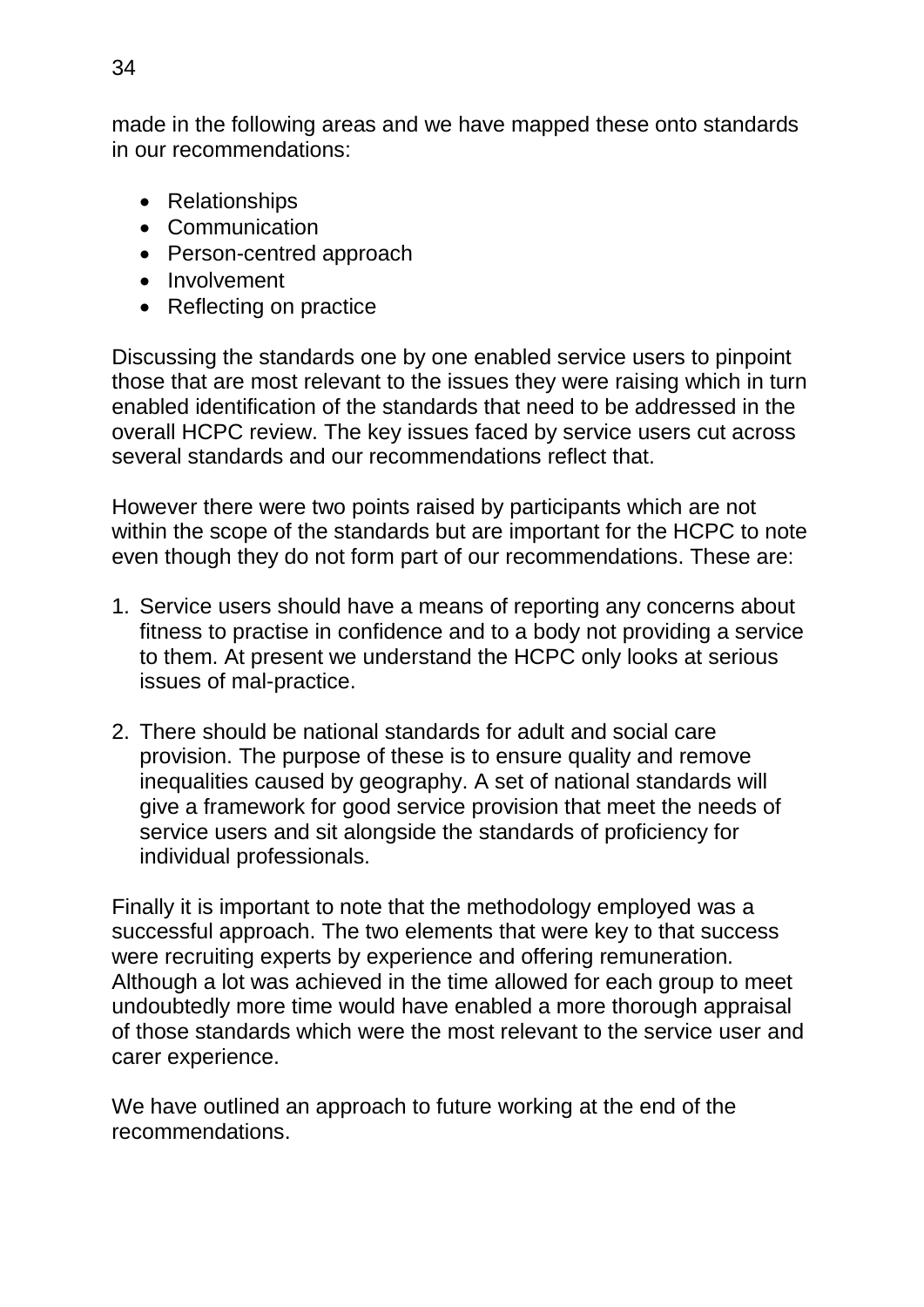made in the following areas and we have mapped these onto standards in our recommendations:

- Relationships
- Communication
- Person-centred approach
- Involvement
- Reflecting on practice

Discussing the standards one by one enabled service users to pinpoint those that are most relevant to the issues they were raising which in turn enabled identification of the standards that need to be addressed in the overall HCPC review. The key issues faced by service users cut across several standards and our recommendations reflect that.

However there were two points raised by participants which are not within the scope of the standards but are important for the HCPC to note even though they do not form part of our recommendations. These are:

- 1. Service users should have a means of reporting any concerns about fitness to practise in confidence and to a body not providing a service to them. At present we understand the HCPC only looks at serious issues of mal-practice.
- 2. There should be national standards for adult and social care provision. The purpose of these is to ensure quality and remove inequalities caused by geography. A set of national standards will give a framework for good service provision that meet the needs of service users and sit alongside the standards of proficiency for individual professionals.

Finally it is important to note that the methodology employed was a successful approach. The two elements that were key to that success were recruiting experts by experience and offering remuneration. Although a lot was achieved in the time allowed for each group to meet undoubtedly more time would have enabled a more thorough appraisal of those standards which were the most relevant to the service user and carer experience.

We have outlined an approach to future working at the end of the recommendations.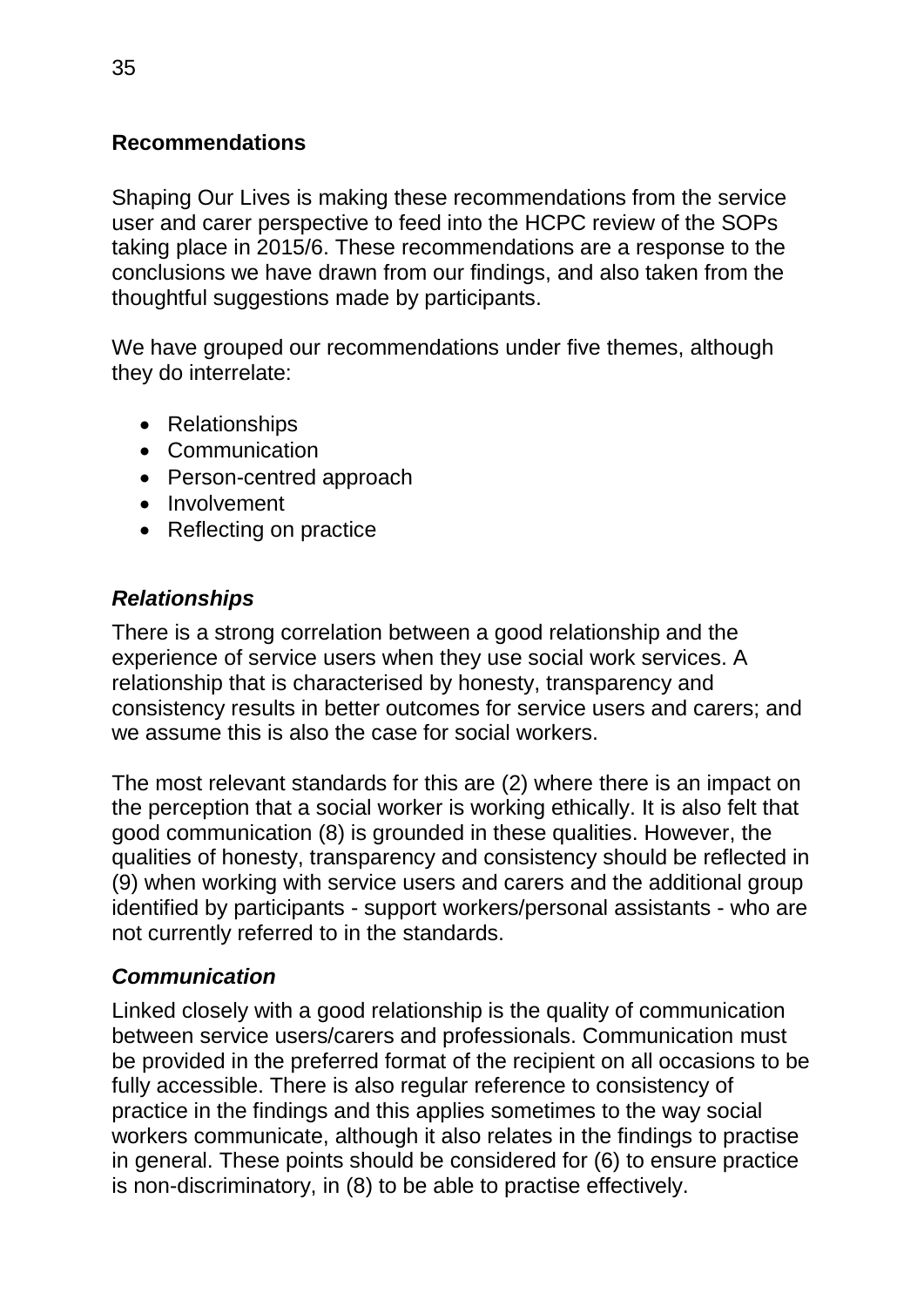### <span id="page-34-0"></span>**Recommendations**

Shaping Our Lives is making these recommendations from the service user and carer perspective to feed into the HCPC review of the SOPs taking place in 2015/6. These recommendations are a response to the conclusions we have drawn from our findings, and also taken from the thoughtful suggestions made by participants.

We have grouped our recommendations under five themes, although they do interrelate:

- Relationships
- Communication
- Person-centred approach
- Involvement
- Reflecting on practice

## *Relationships*

There is a strong correlation between a good relationship and the experience of service users when they use social work services. A relationship that is characterised by honesty, transparency and consistency results in better outcomes for service users and carers; and we assume this is also the case for social workers.

The most relevant standards for this are (2) where there is an impact on the perception that a social worker is working ethically. It is also felt that good communication (8) is grounded in these qualities. However, the qualities of honesty, transparency and consistency should be reflected in (9) when working with service users and carers and the additional group identified by participants - support workers/personal assistants - who are not currently referred to in the standards.

## *Communication*

Linked closely with a good relationship is the quality of communication between service users/carers and professionals. Communication must be provided in the preferred format of the recipient on all occasions to be fully accessible. There is also regular reference to consistency of practice in the findings and this applies sometimes to the way social workers communicate, although it also relates in the findings to practise in general. These points should be considered for (6) to ensure practice is non-discriminatory, in (8) to be able to practise effectively.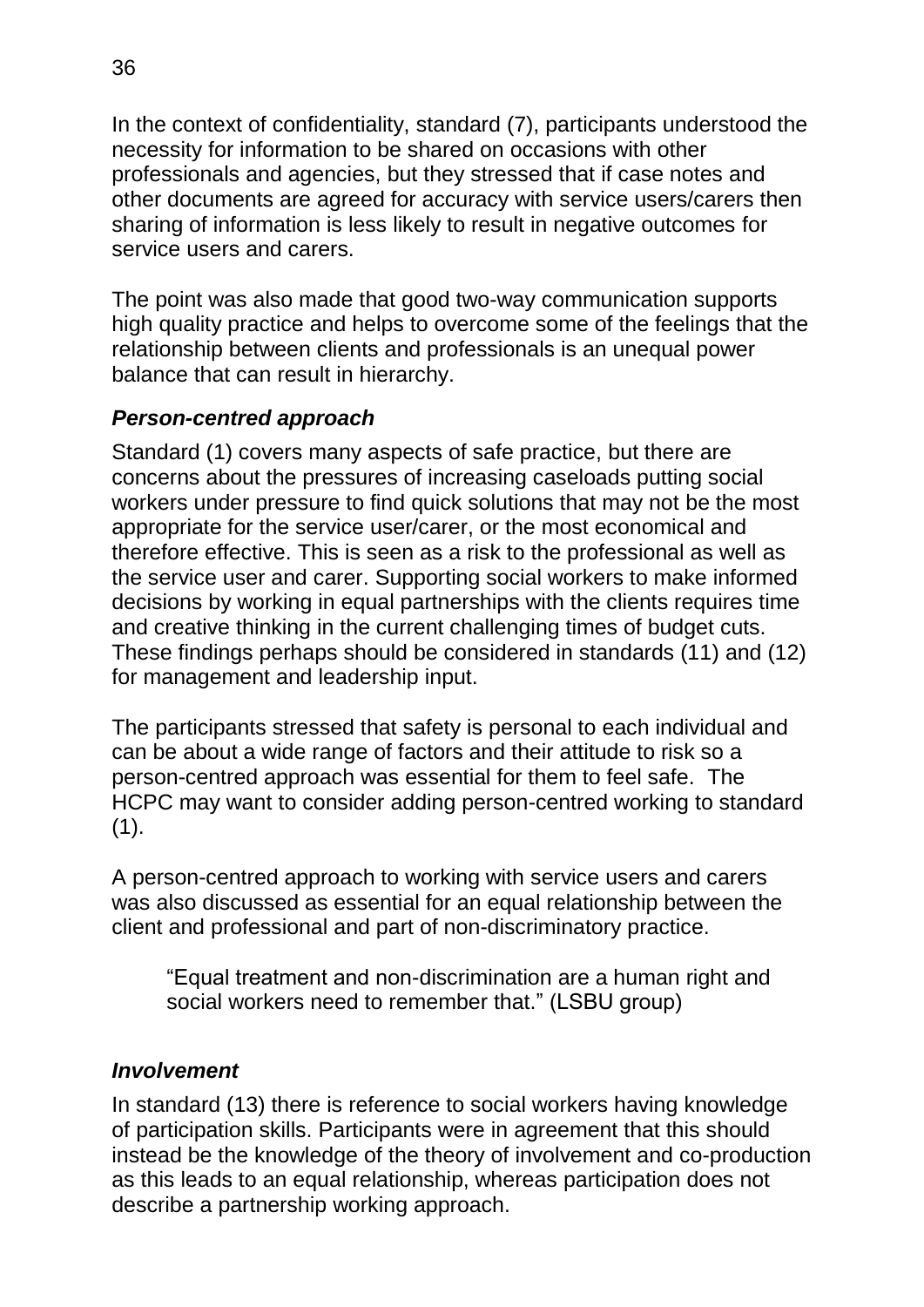In the context of confidentiality, standard (7), participants understood the necessity for information to be shared on occasions with other professionals and agencies, but they stressed that if case notes and other documents are agreed for accuracy with service users/carers then sharing of information is less likely to result in negative outcomes for service users and carers.

The point was also made that good two-way communication supports high quality practice and helps to overcome some of the feelings that the relationship between clients and professionals is an unequal power balance that can result in hierarchy.

#### *Person-centred approach*

Standard (1) covers many aspects of safe practice, but there are concerns about the pressures of increasing caseloads putting social workers under pressure to find quick solutions that may not be the most appropriate for the service user/carer, or the most economical and therefore effective. This is seen as a risk to the professional as well as the service user and carer. Supporting social workers to make informed decisions by working in equal partnerships with the clients requires time and creative thinking in the current challenging times of budget cuts. These findings perhaps should be considered in standards (11) and (12) for management and leadership input.

The participants stressed that safety is personal to each individual and can be about a wide range of factors and their attitude to risk so a person-centred approach was essential for them to feel safe. The HCPC may want to consider adding person-centred working to standard  $(1)$ .

A person-centred approach to working with service users and carers was also discussed as essential for an equal relationship between the client and professional and part of non-discriminatory practice.

"Equal treatment and non-discrimination are a human right and social workers need to remember that." (LSBU group)

#### *Involvement*

In standard (13) there is reference to social workers having knowledge of participation skills. Participants were in agreement that this should instead be the knowledge of the theory of involvement and co-production as this leads to an equal relationship, whereas participation does not describe a partnership working approach.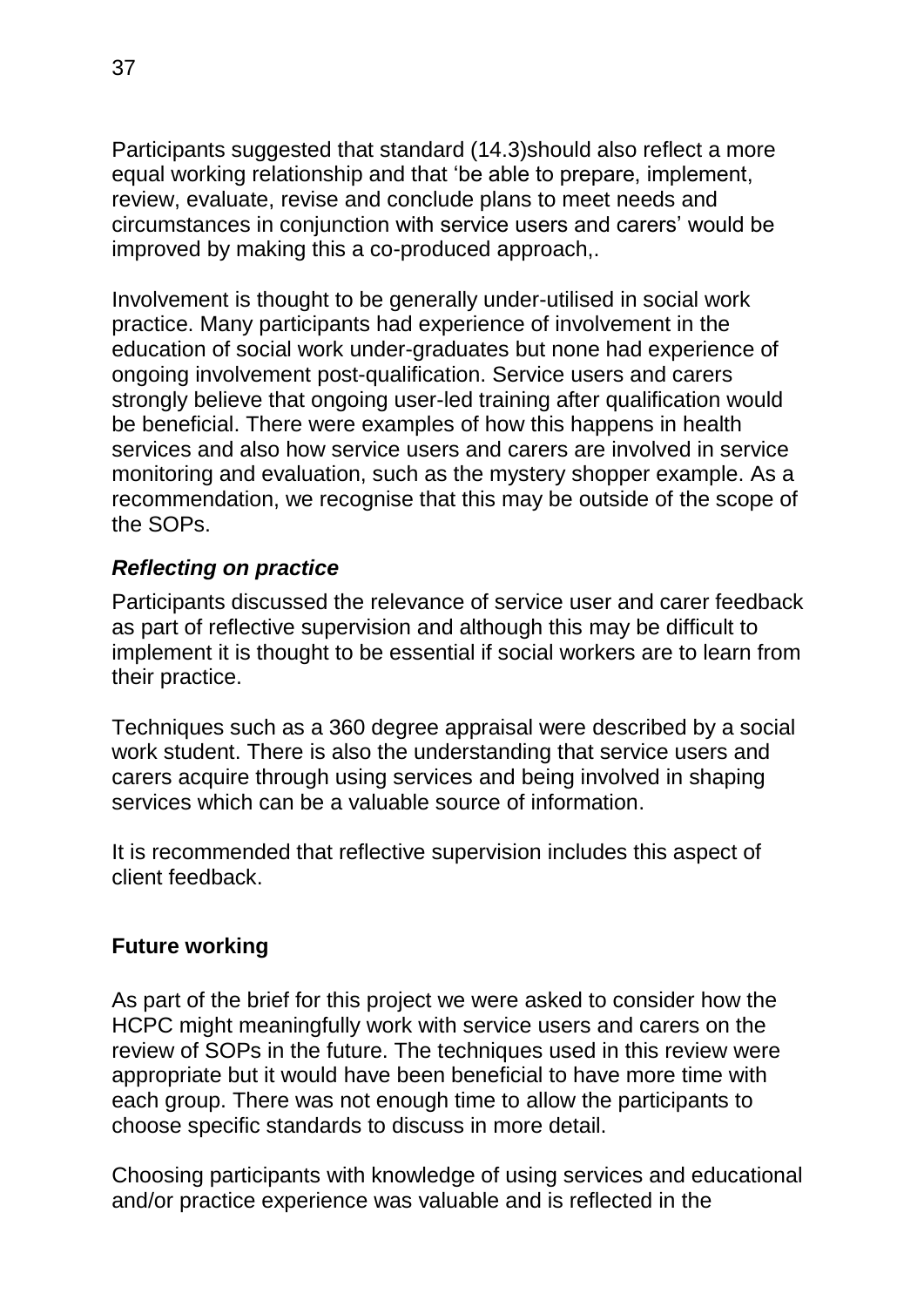Participants suggested that standard (14.3)should also reflect a more equal working relationship and that 'be able to prepare, implement, review, evaluate, revise and conclude plans to meet needs and circumstances in conjunction with service users and carers' would be improved by making this a co-produced approach,.

Involvement is thought to be generally under-utilised in social work practice. Many participants had experience of involvement in the education of social work under-graduates but none had experience of ongoing involvement post-qualification. Service users and carers strongly believe that ongoing user-led training after qualification would be beneficial. There were examples of how this happens in health services and also how service users and carers are involved in service monitoring and evaluation, such as the mystery shopper example. As a recommendation, we recognise that this may be outside of the scope of the SOPs.

#### *Reflecting on practice*

Participants discussed the relevance of service user and carer feedback as part of reflective supervision and although this may be difficult to implement it is thought to be essential if social workers are to learn from their practice.

Techniques such as a 360 degree appraisal were described by a social work student. There is also the understanding that service users and carers acquire through using services and being involved in shaping services which can be a valuable source of information.

It is recommended that reflective supervision includes this aspect of client feedback.

#### <span id="page-36-0"></span>**Future working**

As part of the brief for this project we were asked to consider how the HCPC might meaningfully work with service users and carers on the review of SOPs in the future. The techniques used in this review were appropriate but it would have been beneficial to have more time with each group. There was not enough time to allow the participants to choose specific standards to discuss in more detail.

Choosing participants with knowledge of using services and educational and/or practice experience was valuable and is reflected in the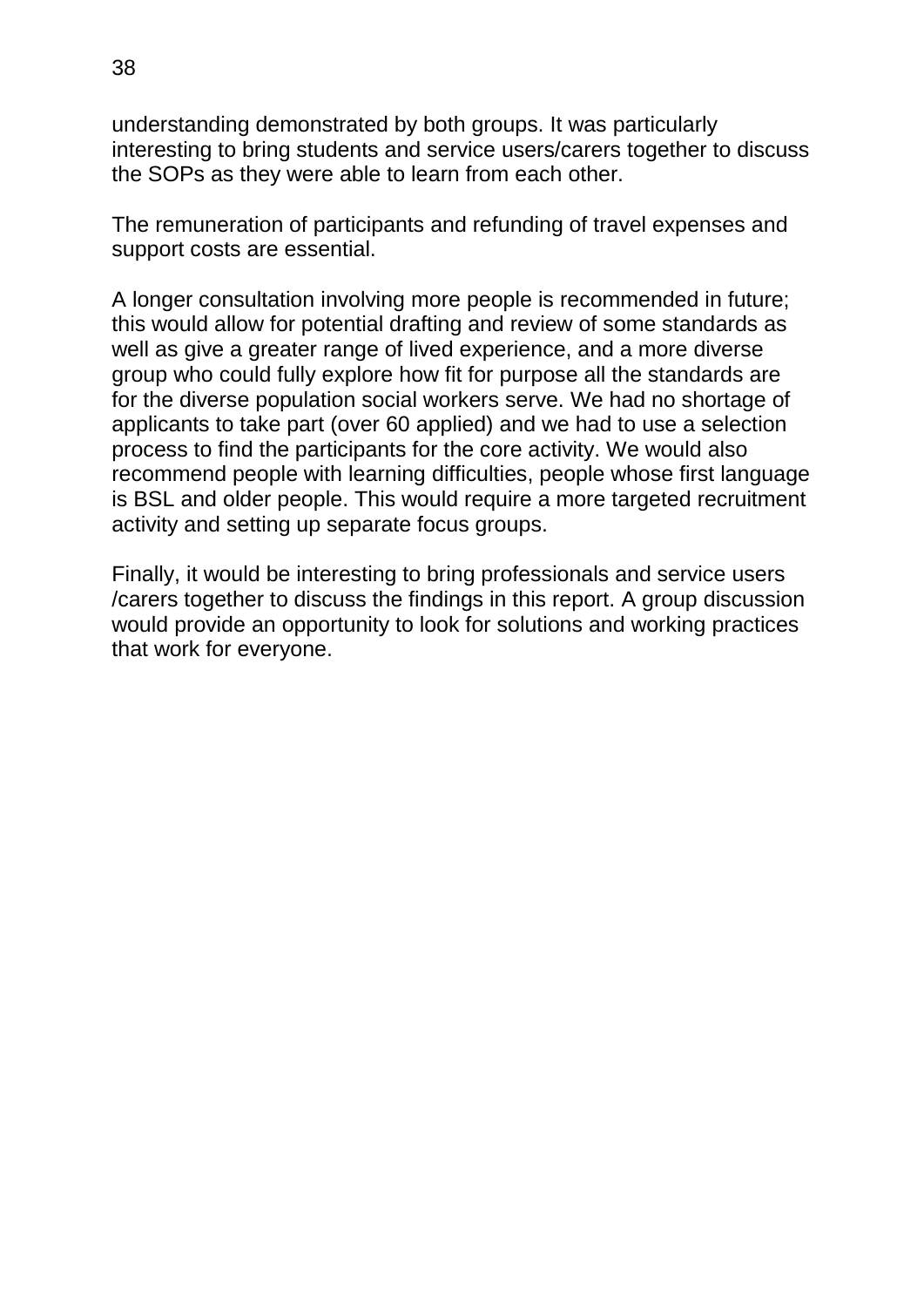understanding demonstrated by both groups. It was particularly interesting to bring students and service users/carers together to discuss the SOPs as they were able to learn from each other.

The remuneration of participants and refunding of travel expenses and support costs are essential.

A longer consultation involving more people is recommended in future; this would allow for potential drafting and review of some standards as well as give a greater range of lived experience, and a more diverse group who could fully explore how fit for purpose all the standards are for the diverse population social workers serve. We had no shortage of applicants to take part (over 60 applied) and we had to use a selection process to find the participants for the core activity. We would also recommend people with learning difficulties, people whose first language is BSL and older people. This would require a more targeted recruitment activity and setting up separate focus groups.

Finally, it would be interesting to bring professionals and service users /carers together to discuss the findings in this report. A group discussion would provide an opportunity to look for solutions and working practices that work for everyone.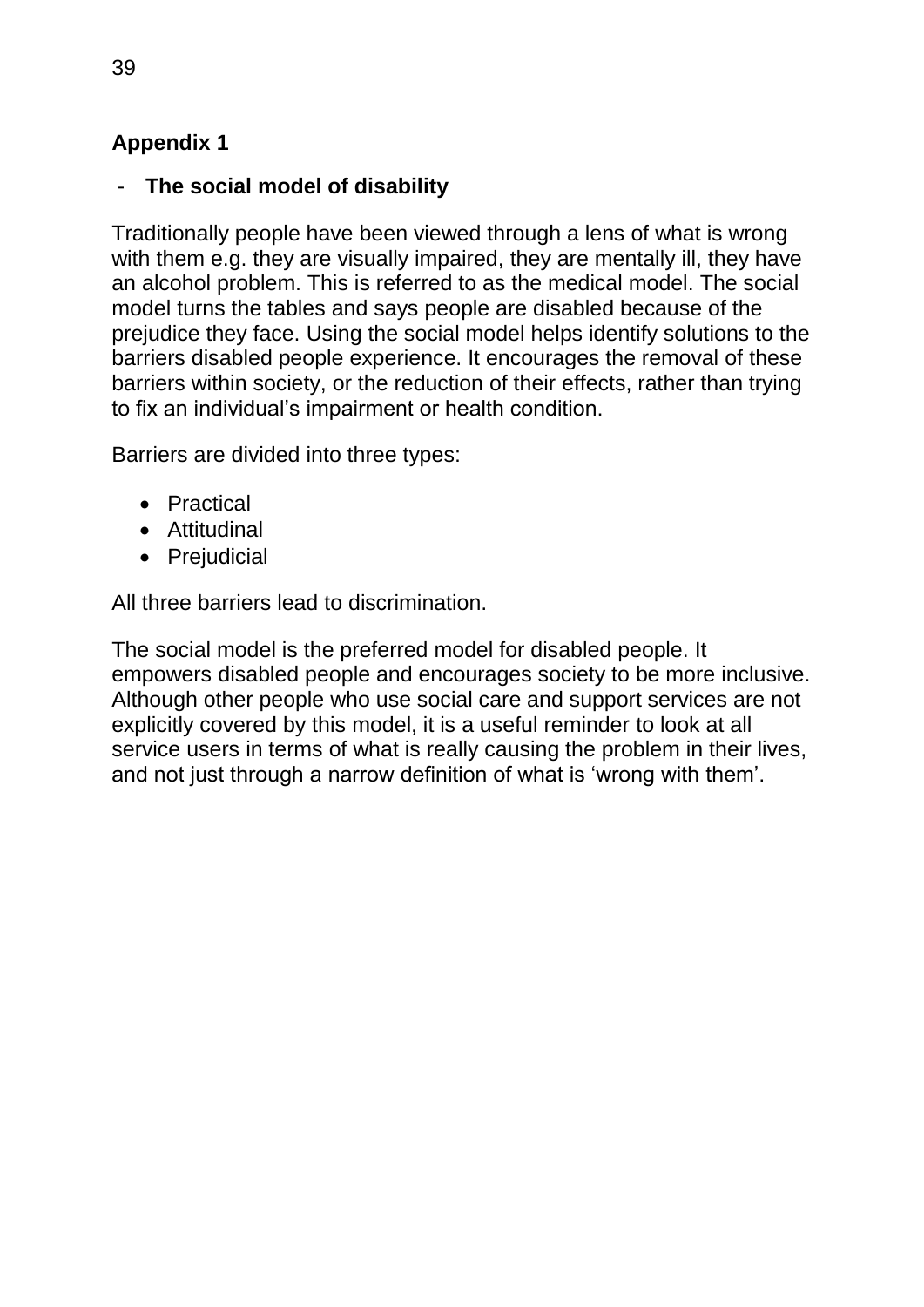# <span id="page-38-0"></span>**Appendix 1**

## <span id="page-38-1"></span>- **The social model of disability**

Traditionally people have been viewed through a lens of what is wrong with them e.g. they are visually impaired, they are mentally ill, they have an alcohol problem. This is referred to as the medical model. The social model turns the tables and says people are disabled because of the prejudice they face. Using the social model helps identify solutions to the barriers disabled people experience. It encourages the removal of these barriers within society, or the reduction of their effects, rather than trying to fix an individual's impairment or health condition.

Barriers are divided into three types:

- Practical
- Attitudinal
- Prejudicial

All three barriers lead to discrimination.

The social model is the preferred model for disabled people. It empowers disabled people and encourages society to be more inclusive. Although other people who use social care and support services are not explicitly covered by this model, it is a useful reminder to look at all service users in terms of what is really causing the problem in their lives, and not just through a narrow definition of what is 'wrong with them'.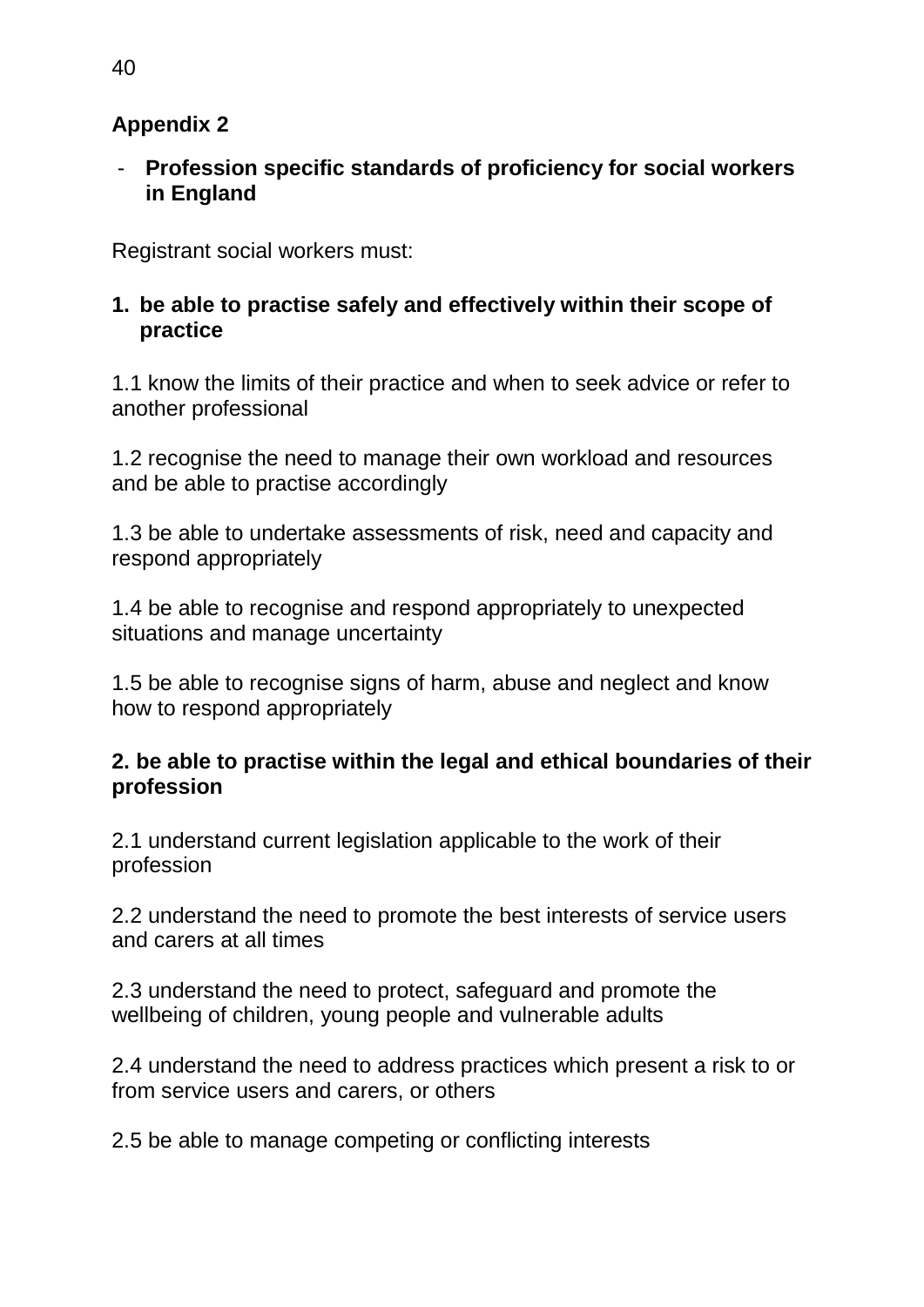# **Appendix 2**

<span id="page-39-0"></span>- **Profession specific standards of proficiency for social workers in England**

Registrant social workers must:

## **1. be able to practise safely and effectively within their scope of practice**

1.1 know the limits of their practice and when to seek advice or refer to another professional

1.2 recognise the need to manage their own workload and resources and be able to practise accordingly

1.3 be able to undertake assessments of risk, need and capacity and respond appropriately

1.4 be able to recognise and respond appropriately to unexpected situations and manage uncertainty

1.5 be able to recognise signs of harm, abuse and neglect and know how to respond appropriately

## **2. be able to practise within the legal and ethical boundaries of their profession**

2.1 understand current legislation applicable to the work of their profession

2.2 understand the need to promote the best interests of service users and carers at all times

2.3 understand the need to protect, safeguard and promote the wellbeing of children, young people and vulnerable adults

2.4 understand the need to address practices which present a risk to or from service users and carers, or others

2.5 be able to manage competing or conflicting interests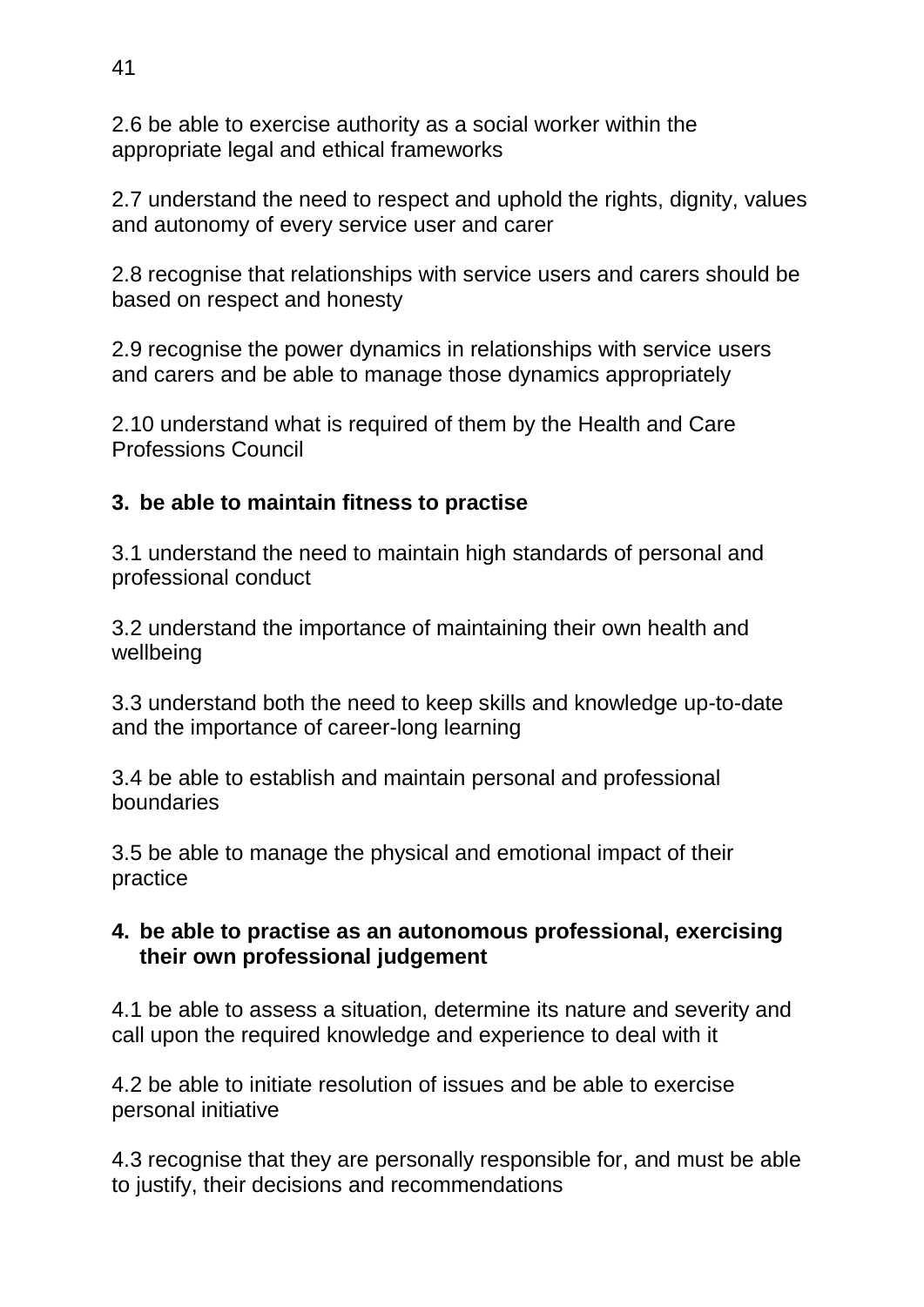2.6 be able to exercise authority as a social worker within the appropriate legal and ethical frameworks

2.7 understand the need to respect and uphold the rights, dignity, values and autonomy of every service user and carer

2.8 recognise that relationships with service users and carers should be based on respect and honesty

2.9 recognise the power dynamics in relationships with service users and carers and be able to manage those dynamics appropriately

2.10 understand what is required of them by the Health and Care Professions Council

## **3. be able to maintain fitness to practise**

3.1 understand the need to maintain high standards of personal and professional conduct

3.2 understand the importance of maintaining their own health and wellbeing

3.3 understand both the need to keep skills and knowledge up-to-date and the importance of career-long learning

3.4 be able to establish and maintain personal and professional boundaries

3.5 be able to manage the physical and emotional impact of their practice

#### **4. be able to practise as an autonomous professional, exercising their own professional judgement**

4.1 be able to assess a situation, determine its nature and severity and call upon the required knowledge and experience to deal with it

4.2 be able to initiate resolution of issues and be able to exercise personal initiative

4.3 recognise that they are personally responsible for, and must be able to justify, their decisions and recommendations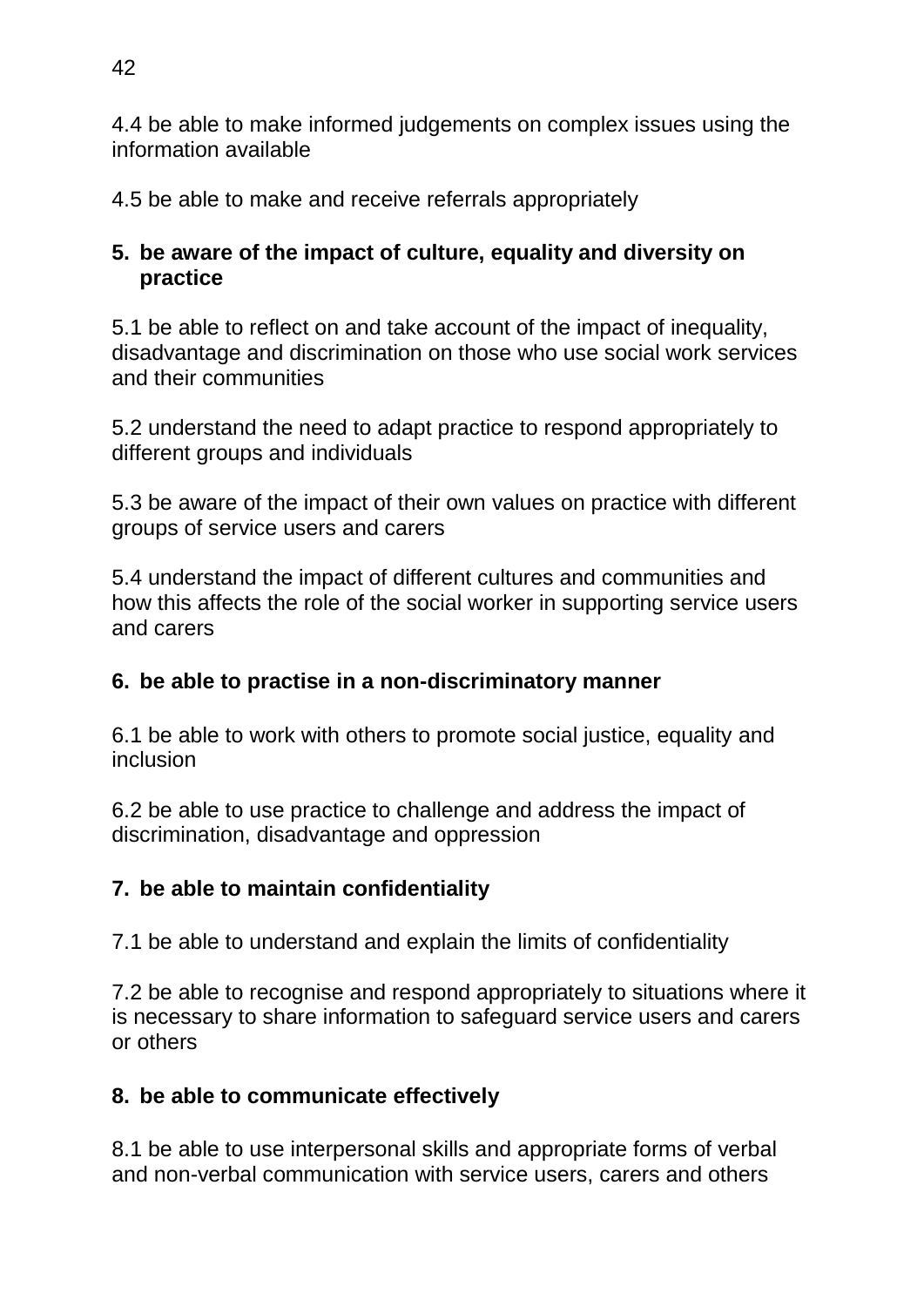4.4 be able to make informed judgements on complex issues using the information available

4.5 be able to make and receive referrals appropriately

## **5. be aware of the impact of culture, equality and diversity on practice**

5.1 be able to reflect on and take account of the impact of inequality, disadvantage and discrimination on those who use social work services and their communities

5.2 understand the need to adapt practice to respond appropriately to different groups and individuals

5.3 be aware of the impact of their own values on practice with different groups of service users and carers

5.4 understand the impact of different cultures and communities and how this affects the role of the social worker in supporting service users and carers

# **6. be able to practise in a non-discriminatory manner**

6.1 be able to work with others to promote social justice, equality and inclusion

6.2 be able to use practice to challenge and address the impact of discrimination, disadvantage and oppression

## **7. be able to maintain confidentiality**

7.1 be able to understand and explain the limits of confidentiality

7.2 be able to recognise and respond appropriately to situations where it is necessary to share information to safeguard service users and carers or others

# **8. be able to communicate effectively**

8.1 be able to use interpersonal skills and appropriate forms of verbal and non-verbal communication with service users, carers and others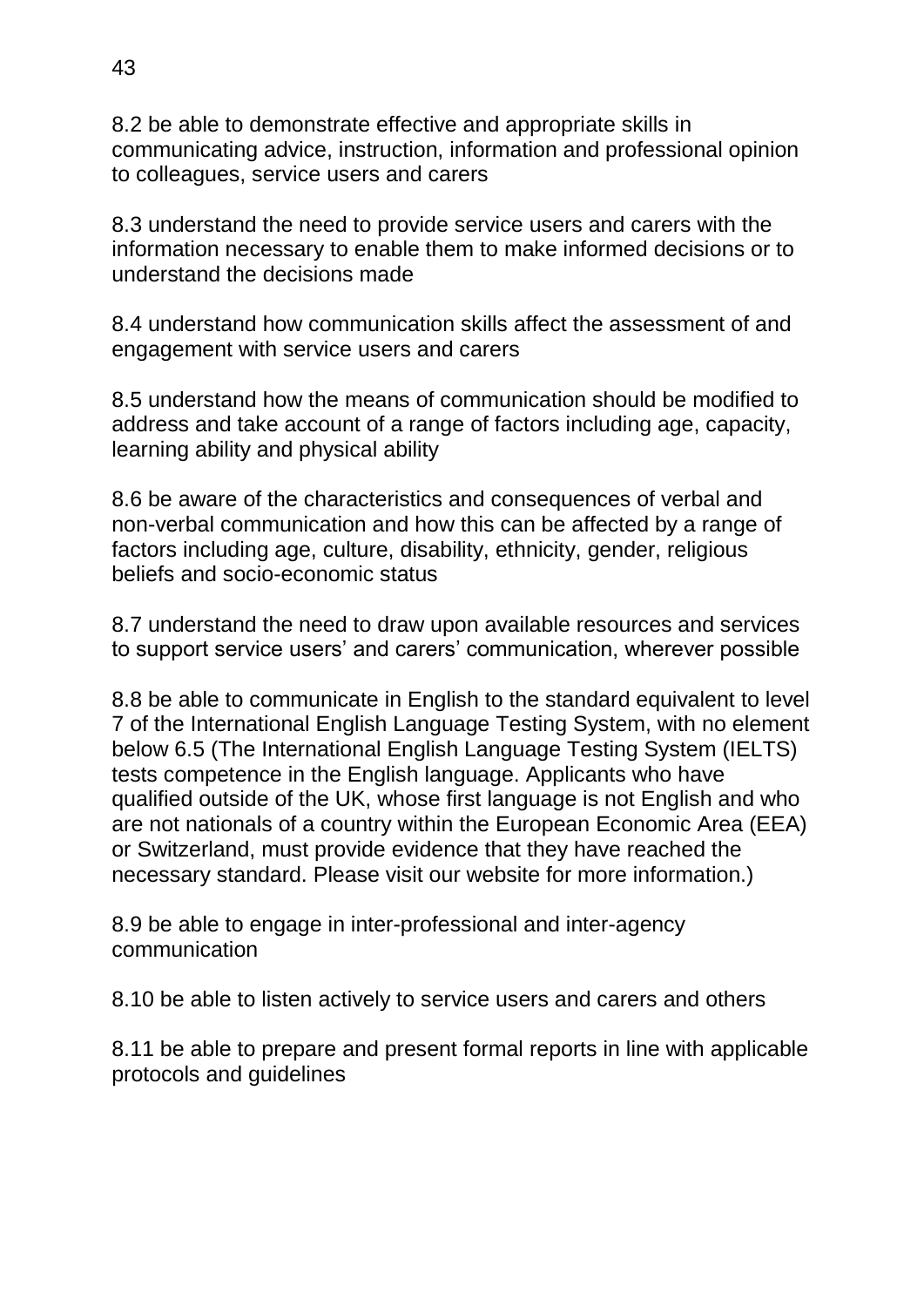8.2 be able to demonstrate effective and appropriate skills in communicating advice, instruction, information and professional opinion to colleagues, service users and carers

8.3 understand the need to provide service users and carers with the information necessary to enable them to make informed decisions or to understand the decisions made

8.4 understand how communication skills affect the assessment of and engagement with service users and carers

8.5 understand how the means of communication should be modified to address and take account of a range of factors including age, capacity, learning ability and physical ability

8.6 be aware of the characteristics and consequences of verbal and non-verbal communication and how this can be affected by a range of factors including age, culture, disability, ethnicity, gender, religious beliefs and socio-economic status

8.7 understand the need to draw upon available resources and services to support service users' and carers' communication, wherever possible

8.8 be able to communicate in English to the standard equivalent to level 7 of the International English Language Testing System, with no element below 6.5 (The International English Language Testing System (IELTS) tests competence in the English language. Applicants who have qualified outside of the UK, whose first language is not English and who are not nationals of a country within the European Economic Area (EEA) or Switzerland, must provide evidence that they have reached the necessary standard. Please visit our website for more information.)

8.9 be able to engage in inter-professional and inter-agency communication

8.10 be able to listen actively to service users and carers and others

8.11 be able to prepare and present formal reports in line with applicable protocols and guidelines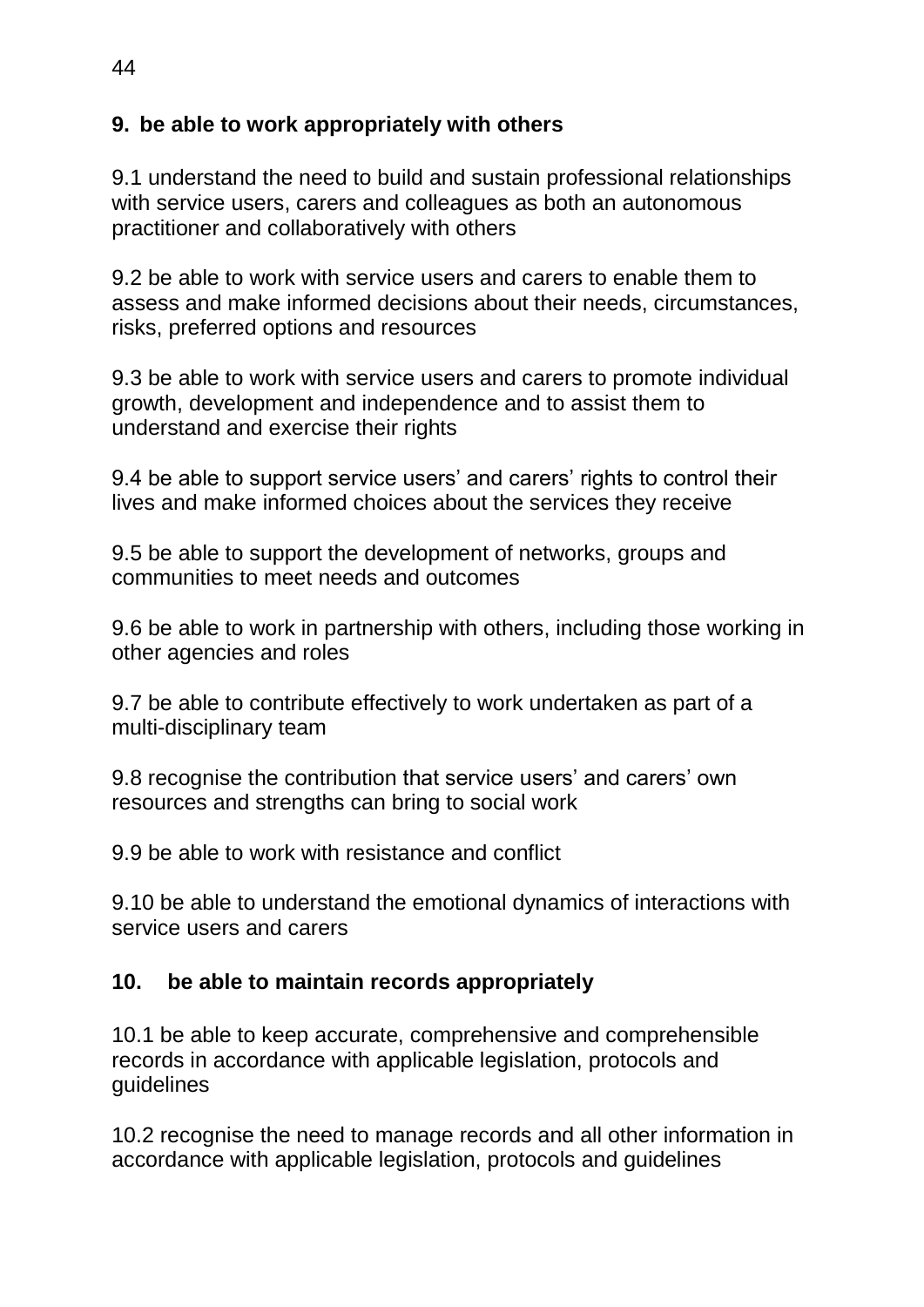## **9. be able to work appropriately with others**

9.1 understand the need to build and sustain professional relationships with service users, carers and colleagues as both an autonomous practitioner and collaboratively with others

9.2 be able to work with service users and carers to enable them to assess and make informed decisions about their needs, circumstances, risks, preferred options and resources

9.3 be able to work with service users and carers to promote individual growth, development and independence and to assist them to understand and exercise their rights

9.4 be able to support service users' and carers' rights to control their lives and make informed choices about the services they receive

9.5 be able to support the development of networks, groups and communities to meet needs and outcomes

9.6 be able to work in partnership with others, including those working in other agencies and roles

9.7 be able to contribute effectively to work undertaken as part of a multi-disciplinary team

9.8 recognise the contribution that service users' and carers' own resources and strengths can bring to social work

9.9 be able to work with resistance and conflict

9.10 be able to understand the emotional dynamics of interactions with service users and carers

## **10. be able to maintain records appropriately**

10.1 be able to keep accurate, comprehensive and comprehensible records in accordance with applicable legislation, protocols and guidelines

10.2 recognise the need to manage records and all other information in accordance with applicable legislation, protocols and guidelines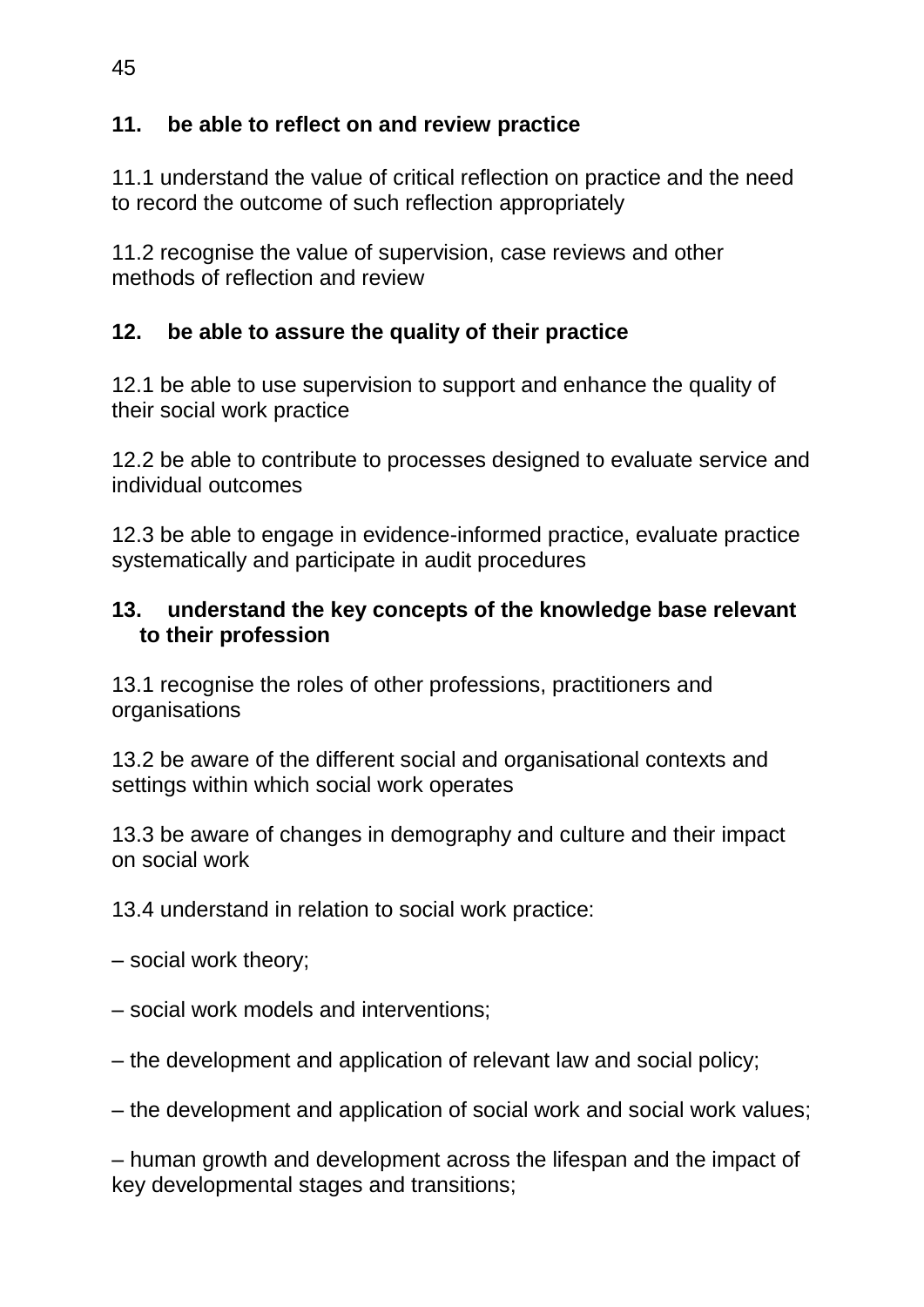## **11. be able to reflect on and review practice**

11.1 understand the value of critical reflection on practice and the need to record the outcome of such reflection appropriately

11.2 recognise the value of supervision, case reviews and other methods of reflection and review

## **12. be able to assure the quality of their practice**

12.1 be able to use supervision to support and enhance the quality of their social work practice

12.2 be able to contribute to processes designed to evaluate service and individual outcomes

12.3 be able to engage in evidence-informed practice, evaluate practice systematically and participate in audit procedures

#### **13. understand the key concepts of the knowledge base relevant to their profession**

13.1 recognise the roles of other professions, practitioners and **organisations** 

13.2 be aware of the different social and organisational contexts and settings within which social work operates

13.3 be aware of changes in demography and culture and their impact on social work

13.4 understand in relation to social work practice:

– social work theory;

- social work models and interventions;
- the development and application of relevant law and social policy;

– the development and application of social work and social work values;

– human growth and development across the lifespan and the impact of key developmental stages and transitions;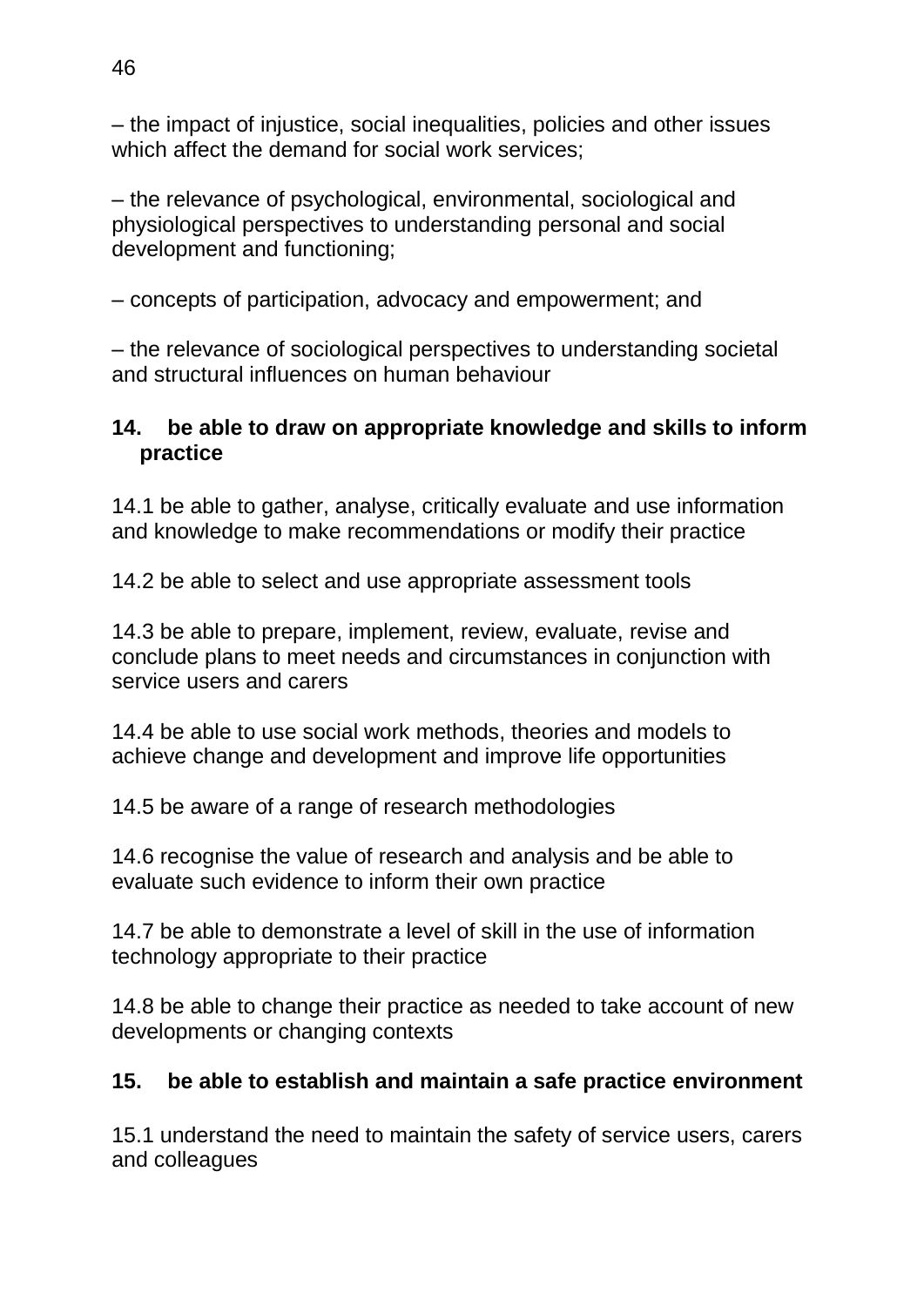– the impact of injustice, social inequalities, policies and other issues which affect the demand for social work services;

– the relevance of psychological, environmental, sociological and physiological perspectives to understanding personal and social development and functioning;

– concepts of participation, advocacy and empowerment; and

– the relevance of sociological perspectives to understanding societal and structural influences on human behaviour

### **14. be able to draw on appropriate knowledge and skills to inform practice**

14.1 be able to gather, analyse, critically evaluate and use information and knowledge to make recommendations or modify their practice

14.2 be able to select and use appropriate assessment tools

14.3 be able to prepare, implement, review, evaluate, revise and conclude plans to meet needs and circumstances in conjunction with service users and carers

14.4 be able to use social work methods, theories and models to achieve change and development and improve life opportunities

14.5 be aware of a range of research methodologies

14.6 recognise the value of research and analysis and be able to evaluate such evidence to inform their own practice

14.7 be able to demonstrate a level of skill in the use of information technology appropriate to their practice

14.8 be able to change their practice as needed to take account of new developments or changing contexts

# **15. be able to establish and maintain a safe practice environment**

15.1 understand the need to maintain the safety of service users, carers and colleagues